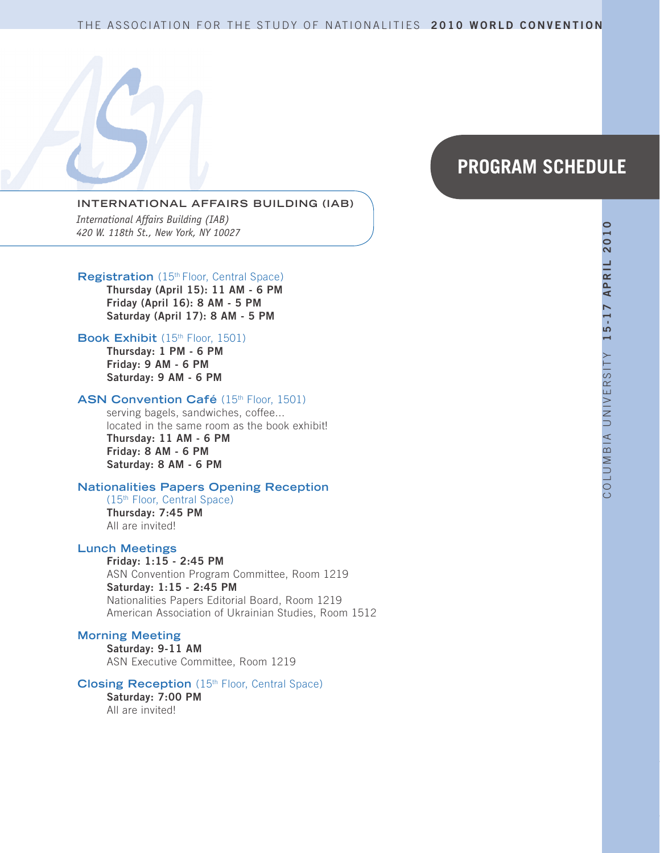# THE ASSOCIATION FOR THE STUDY OF NATIONALITIES 2010 WORLD CONVENTION

# **PROGRAM SCHEDULE**

#### **INTERNATIONAL AFFAIRS BUILDING (IAB)**

*International Affairs Building (IAB) 420 W. 118th St., New York, NY 10027*

#### **Registration** (15<sup>th</sup> Floor, Central Space)

**Thursday (April 15): 11 AM - 6 PM Friday (April 16): 8 AM - 5 PM Saturday (April 17): 8 AM - 5 PM**

#### Book Exhibit (15<sup>th</sup> Floor, 1501)

**Thursday: 1 PM - 6 PM Friday: 9 AM - 6 PM Saturday: 9 AM - 6 PM**

#### ASN Convention Café (15th Floor, 1501)

serving bagels, sandwiches, coffee... located in the same room as the book exhibit! **Thursday: 11 AM - 6 PM Friday: 8 AM - 6 PM Saturday: 8 AM - 6 PM**

#### **Nationalities Papers Opening Reception**

(15th Floor, Central Space) **Thursday: 7:45 PM** All are invited!

#### **Lunch Meetings**

**Friday: 1:15 - 2:45 PM** ASN Convention Program Committee, Room 1219 **Saturday: 1:15 - 2:45 PM** Nationalities Papers Editorial Board, Room 1219 American Association of Ukrainian Studies, Room 1512

#### **Morning Meeting**

**Saturday: 9-11 AM** ASN Executive Committee, Room 1219

#### **Closing Reception** (15th Floor, Central Space)

**Saturday: 7:00 PM** All are invited!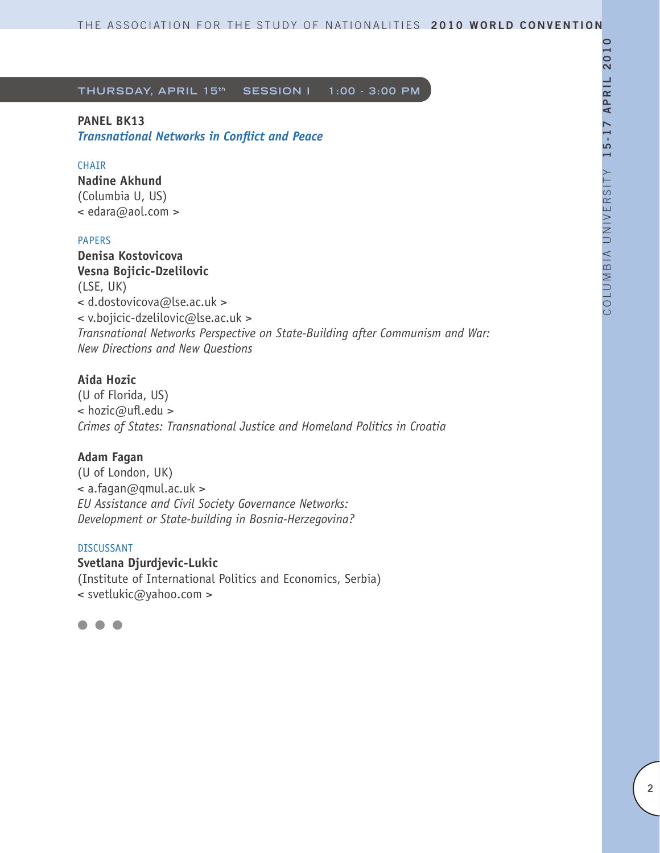# **PANEL BK13**

*Transnational Networks in Conflict and Peace*

# **CHATR**

**Nadine Akhund** (Columbia U, US) < edara@aol.com >

### PAPERS

**Denisa Kostovicova Vesna Bojicic-Dzelilovic** (LSE, UK) < d.dostovicova@lse.ac.uk > < v.bojicic-dzelilovic@lse.ac.uk > *Transnational Networks Perspective on State-Building after Communism and War: New Directions and New Questions*

# **Aida Hozic**

(U of Florida, US) < hozic@ufl.edu > *Crimes of States: Transnational Justice and Homeland Politics in Croatia*

# **Adam Fagan**

(U of London, UK)  $\leq$  a.fagan@qmul.ac.uk > *EU Assistance and Civil Society Governance Networks: Development or State-building in Bosnia-Herzegovina?* 

### DISCUSSANT

**Svetlana Djurdjevic-Lukic**

(Institute of International Politics and Economics, Serbia) < svetlukic@yahoo.com >

l l l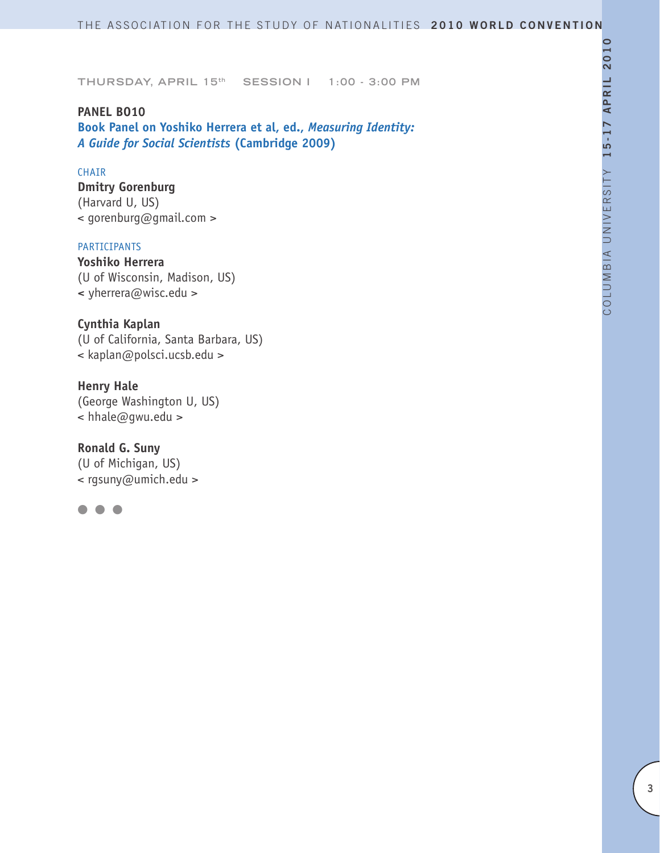**PANEL BO10 Book Panel on Yoshiko Herrera et al, ed.,** *Measuring Identity: A Guide for Social Scientists* **(Cambridge 2009)**

# CHAIR

**Dmitry Gorenburg** (Harvard U, US) < gorenburg@gmail.com >

#### PARTICIPANTS

**Yoshiko Herrera** (U of Wisconsin, Madison, US) **<** yherrera@wisc.edu >

**Cynthia Kaplan** (U of California, Santa Barbara, US) < kaplan@polsci.ucsb.edu >

**Henry Hale** (George Washington U, US) < hhale@gwu.edu >

**Ronald G. Suny** (U of Michigan, US) < rgsuny@umich.edu >

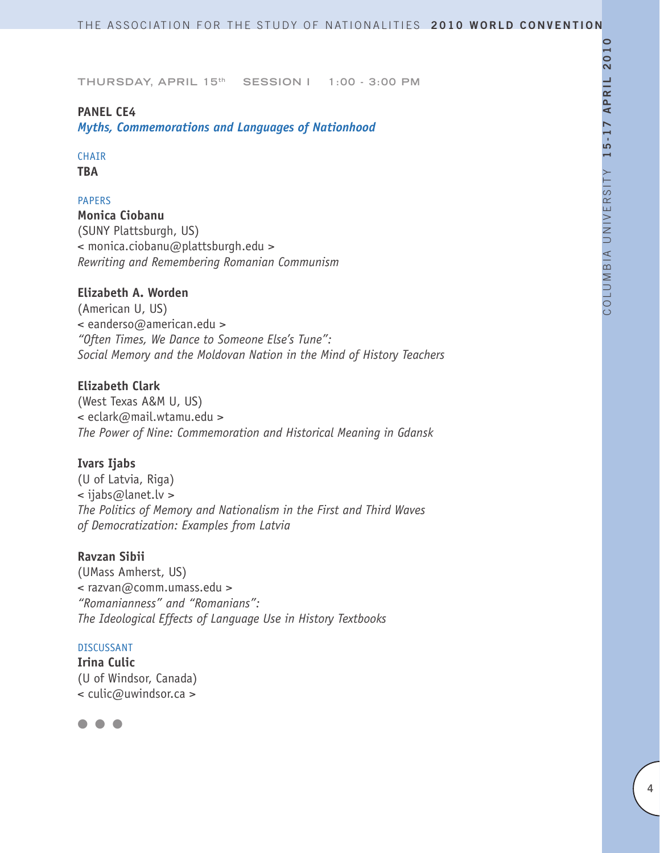# **PANEL CE4**

*Myths, Commemorations and Languages of Nationhood*

# CHAIR

**TBA**

# PAPERS

**Monica Ciobanu** (SUNY Plattsburgh, US) < monica.ciobanu@plattsburgh.edu > *Rewriting and Remembering Romanian Communism* 

# **Elizabeth A. Worden**

(American U, US) < eanderso@american.edu > *"Often Times, We Dance to Someone Else's Tune": Social Memory and the Moldovan Nation in the Mind of History Teachers*

# **Elizabeth Clark**

(West Texas A&M U, US) < eclark@mail.wtamu.edu > *The Power of Nine: Commemoration and Historical Meaning in Gdansk* 

# **Ivars Ijabs**

(U of Latvia, Riga) < ijabs@lanet.lv > *The Politics of Memory and Nationalism in the First and Third Waves of Democratization: Examples from Latvia* 

### **Ravzan Sibii**

(UMass Amherst, US) < razvan@comm.umass.edu > *"Romanianness" and "Romanians": The Ideological Effects of Language Use in History Textbooks* 

### DISCUSSANT

**Irina Culic** (U of Windsor, Canada) < culic@uwindsor.ca >

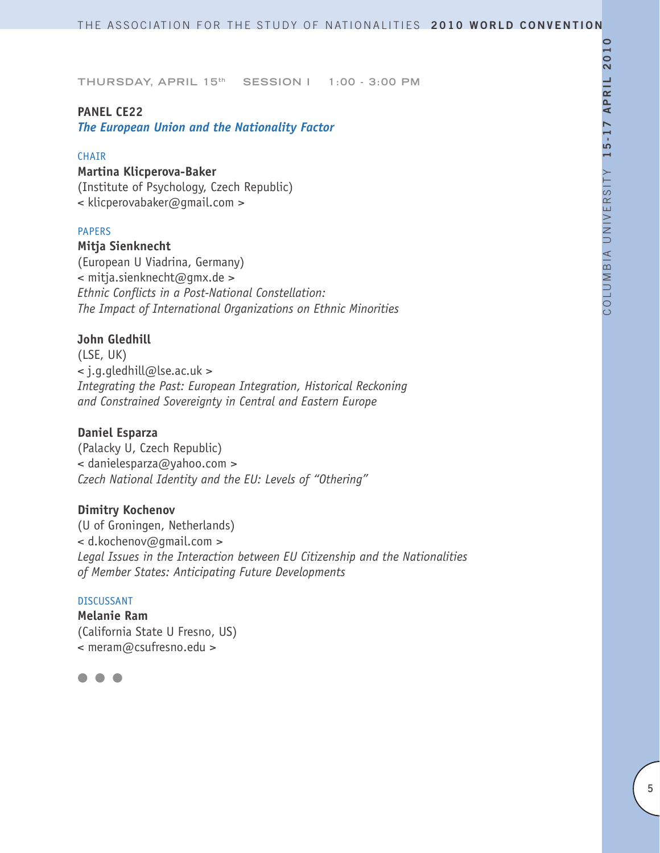### **PANEL CE22**

*The European Union and the Nationality Factor*

#### CHAIR

### **Martina Klicperova-Baker**

(Institute of Psychology, Czech Republic) < klicperovabaker@gmail.com >

### PAPERS

### **Mitja Sienknecht**

(European U Viadrina, Germany) < mitja.sienknecht@gmx.de > *Ethnic Conflicts in a Post-National Constellation: The Impact of International Organizations on Ethnic Minorities*

# **John Gledhill**

(LSE, UK) < j.g.gledhill@lse.ac.uk > *Integrating the Past: European Integration, Historical Reckoning and Constrained Sovereignty in Central and Eastern Europe*

### **Daniel Esparza**

(Palacky U, Czech Republic) < danielesparza@yahoo.com > *Czech National Identity and the EU: Levels of "Othering"* 

# **Dimitry Kochenov**

(U of Groningen, Netherlands) < d.kochenov@gmail.com > *Legal Issues in the Interaction between EU Citizenship and the Nationalities of Member States: Anticipating Future Developments*

#### DISCUSSANT

**Melanie Ram** (California State U Fresno, US) < meram@csufresno.edu >

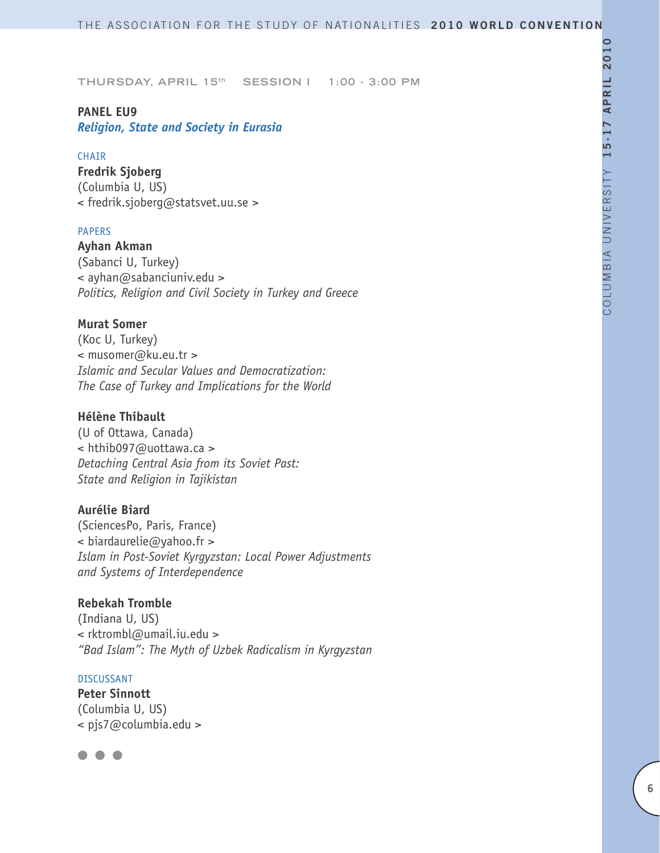### **PANEL EU9**

*Religion, State and Society in Eurasia*

#### **CHAIR**

**Fredrik Sjoberg** (Columbia U, US) < fredrik.sjoberg@statsvet.uu.se >

### PAPERS

**Ayhan Akman** (Sabanci U, Turkey) < ayhan@sabanciuniv.edu > *Politics, Religion and Civil Society in Turkey and Greece* 

### **Murat Somer**

(Koc U, Turkey) < musomer@ku.eu.tr > *Islamic and Secular Values and Democratization: The Case of Turkey and Implications for the World*

# **Hélène Thibault**

(U of Ottawa, Canada) < hthib097@uottawa.ca > *Detaching Central Asia from its Soviet Past: State and Religion in Tajikistan*

# **Aurélie Biard**

(SciencesPo, Paris, France)  $\leq$  biardaurelie@yahoo.fr > *Islam in Post-Soviet Kyrgyzstan: Local Power Adjustments and Systems of Interdependence*

# **Rebekah Tromble**

(Indiana U, US) < rktrombl@umail.iu.edu > *"Bad Islam": The Myth of Uzbek Radicalism in Kyrgyzstan*

#### DISCUSSANT

**Peter Sinnott** (Columbia U, US) < pjs7@columbia.edu >

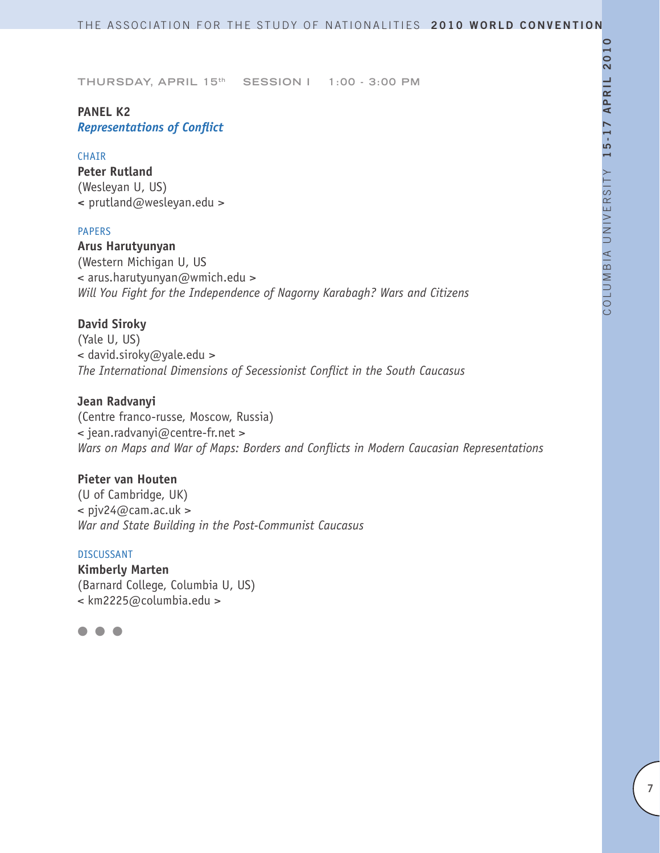# **PANEL K2** *Representations of Conflict*

### **CHAIR**

**Peter Rutland** (Wesleyan U, US) **<** prutland@wesleyan.edu >

### PAPERS

**Arus Harutyunyan** (Western Michigan U, US < arus.harutyunyan@wmich.edu > *Will You Fight for the Independence of Nagorny Karabagh? Wars and Citizens*

# **David Siroky**

(Yale U, US) < david.siroky@yale.edu > *The International Dimensions of Secessionist Conflict in the South Caucasus*

### **Jean Radvanyi**

(Centre franco-russe, Moscow, Russia) < jean.radvanyi@centre-fr.net > *Wars on Maps and War of Maps: Borders and Conflicts in Modern Caucasian Representations* 

### **Pieter van Houten**

(U of Cambridge, UK)  $\langle$  pjv24@cam.ac.uk > *War and State Building in the Post-Communist Caucasus*

#### DISCUSSANT

**Kimberly Marten** (Barnard College, Columbia U, US) < km2225@columbia.edu >

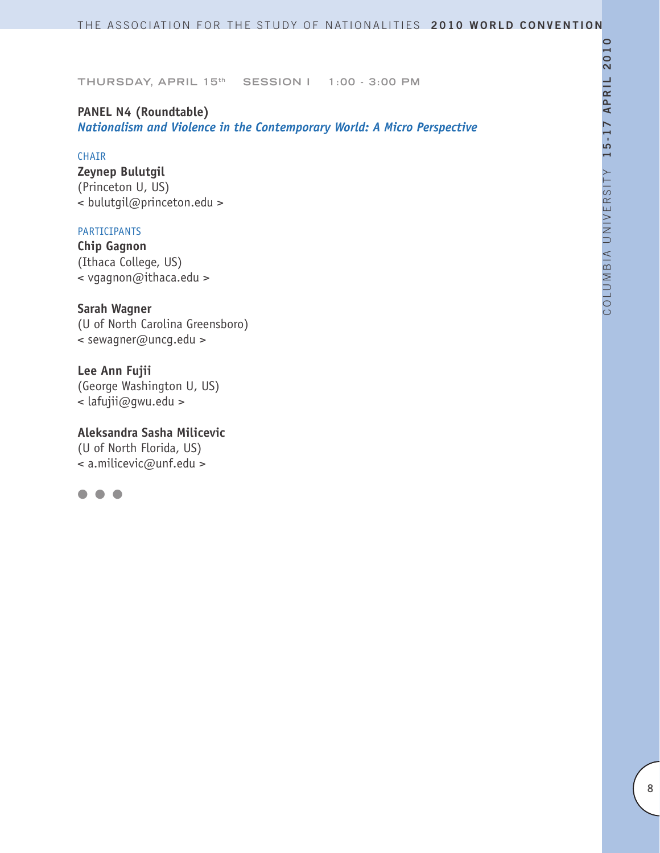# **PANEL N4 (Roundtable)**

*Nationalism and Violence in the Contemporary World: A Micro Perspective*

# CHAIR

**Zeynep Bulutgil** (Princeton U, US) < bulutgil@princeton.edu >

# PARTICIPANTS

**Chip Gagnon** (Ithaca College, US) < vgagnon@ithaca.edu >

**Sarah Wagner** (U of North Carolina Greensboro) < sewagner@uncg.edu >

**Lee Ann Fujii** (George Washington U, US) < lafujii@gwu.edu >

**Aleksandra Sasha Milicevic** (U of North Florida, US) < a.milicevic@unf.edu >

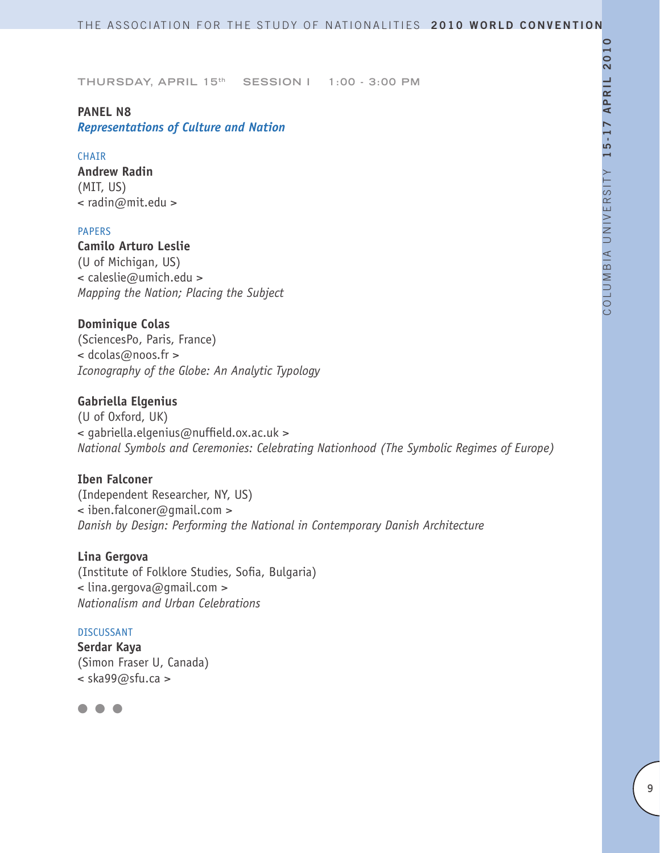# **PANEL N8**

# *Representations of Culture and Nation*

### **CHAIR**

**Andrew Radin** (MIT, US) < radin@mit.edu >

# PAPERS

**Camilo Arturo Leslie** (U of Michigan, US) < caleslie@umich.edu > *Mapping the Nation; Placing the Subject*

# **Dominique Colas**

(SciencesPo, Paris, France) < dcolas@noos.fr > *Iconography of the Globe: An Analytic Typology* 

# **Gabriella Elgenius**

(U of Oxford, UK) < gabriella.elgenius@nuffield.ox.ac.uk > *National Symbols and Ceremonies: Celebrating Nationhood (The Symbolic Regimes of Europe)*

# **Iben Falconer**

(Independent Researcher, NY, US) < iben.falconer@gmail.com > *Danish by Design: Performing the National in Contemporary Danish Architecture* 

# **Lina Gergova**

(Institute of Folklore Studies, Sofia, Bulgaria) < lina.gergova@gmail.com > *Nationalism and Urban Celebrations*

### DISCUSSANT

**Serdar Kaya**  (Simon Fraser U, Canada) < ska99@sfu.ca >

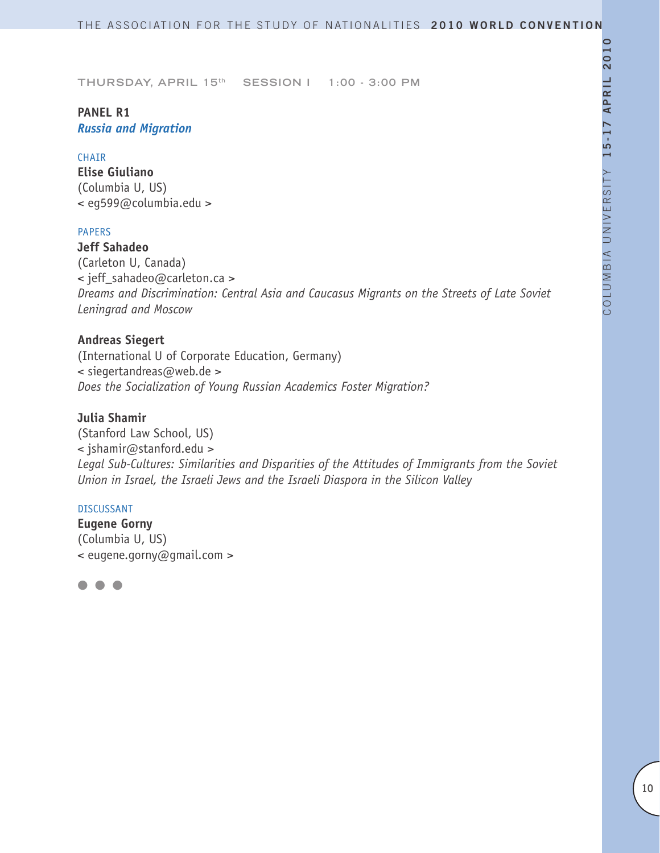# **PANEL R1** *Russia and Migration*

### **CHATR**

**Elise Giuliano** (Columbia U, US) < eg599@columbia.edu >

# PAPERS

**Jeff Sahadeo**  (Carleton U, Canada) < jeff\_sahadeo@carleton.ca > *Dreams and Discrimination: Central Asia and Caucasus Migrants on the Streets of Late Soviet Leningrad and Moscow* 

# **Andreas Siegert**

(International U of Corporate Education, Germany) < siegertandreas@web.de > *Does the Socialization of Young Russian Academics Foster Migration?*

# **Julia Shamir**

(Stanford Law School, US) < jshamir@stanford.edu > *Legal Sub-Cultures: Similarities and Disparities of the Attitudes of Immigrants from the Soviet Union in Israel, the Israeli Jews and the Israeli Diaspora in the Silicon Valley*

### DISCUSSANT

**Eugene Gorny** (Columbia U, US) < eugene.gorny@gmail.com >

 $\blacksquare$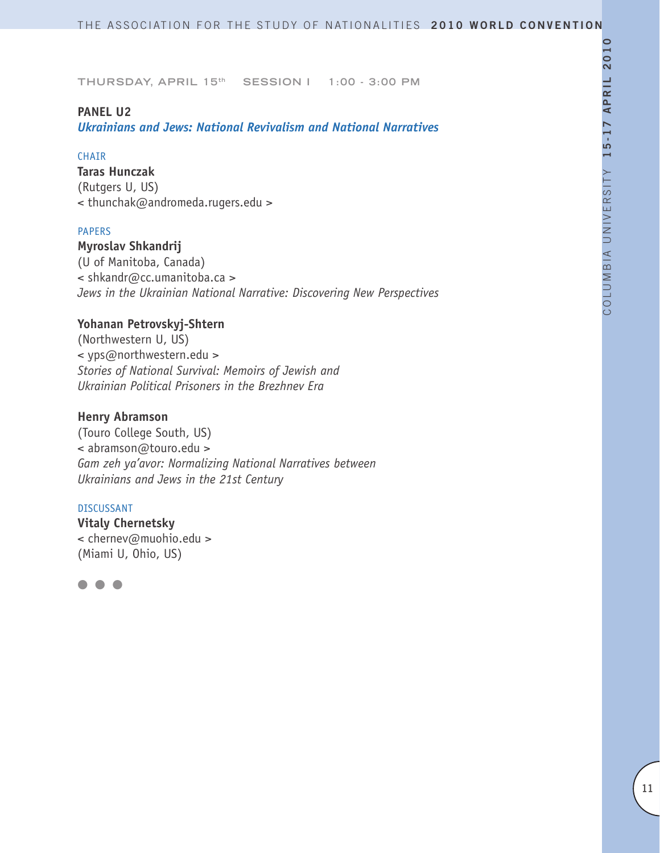### **PANEL U2**

*Ukrainians and Jews: National Revivalism and National Narratives*

### **CHAIR**

**Taras Hunczak** (Rutgers U, US) < thunchak@andromeda.rugers.edu >

### PAPERS

**Myroslav Shkandrij** (U of Manitoba, Canada) < shkandr@cc.umanitoba.ca > *Jews in the Ukrainian National Narrative: Discovering New Perspectives*

# **Yohanan Petrovskyj-Shtern**

(Northwestern U, US) < yps@northwestern.edu > *Stories of National Survival: Memoirs of Jewish and Ukrainian Political Prisoners in the Brezhnev Era* 

### **Henry Abramson**

(Touro College South, US) < abramson@touro.edu > *Gam zeh ya'avor: Normalizing National Narratives between Ukrainians and Jews in the 21st Century* 

#### DISCUSSANT

**Vitaly Chernetsky** < chernev@muohio.edu > (Miami U, Ohio, US)

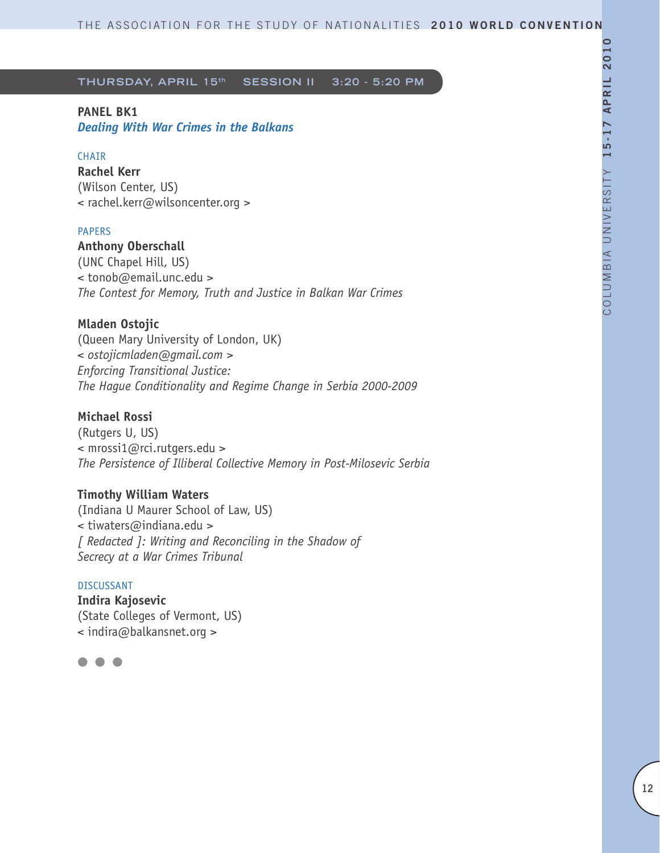# **PANEL BK1**

*Dealing With War Crimes in the Balkans*

# **CHAIR**

**Rachel Kerr** (Wilson Center, US) < rachel.kerr@wilsoncenter.org >

### PAPERS

**Anthony Oberschall**

(UNC Chapel Hill, US) < tonob@email.unc.edu > *The Contest for Memory, Truth and Justice in Balkan War Crimes*

# **Mladen Ostojic**

(Queen Mary University of London, UK) *< ostojicmladen@gmail.com > Enforcing Transitional Justice: The Hague Conditionality and Regime Change in Serbia 2000-2009*

# **Michael Rossi**

(Rutgers U, US) < mrossi1@rci.rutgers.edu > *The Persistence of Illiberal Collective Memory in Post-Milosevic Serbia*

# **Timothy William Waters**

(Indiana U Maurer School of Law, US) < tiwaters@indiana.edu > *[ Redacted ]: Writing and Reconciling in the Shadow of Secrecy at a War Crimes Tribunal*

### DISCUSSANT

**Indira Kajosevic** (State Colleges of Vermont, US) < indira@balkansnet.org >

 $\bullet$   $\bullet$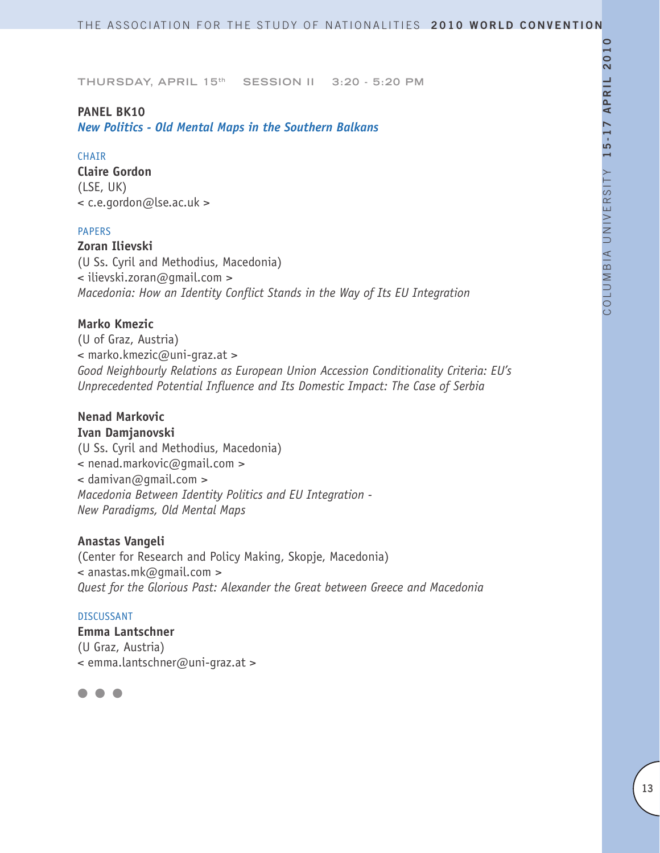### **PANEL BK10**

*New Politics - Old Mental Maps in the Southern Balkans*

#### **CHAIR**

**Claire Gordon** (LSE, UK) < c.e.gordon@lse.ac.uk >

# PAPERS

**Zoran Ilievski** (U Ss. Cyril and Methodius, Macedonia) < ilievski.zoran@gmail.com > *Macedonia: How an Identity Conflict Stands in the Way of Its EU Integration*

# **Marko Kmezic**

(U of Graz, Austria) < marko.kmezic@uni-graz.at > *Good Neighbourly Relations as European Union Accession Conditionality Criteria: EU's Unprecedented Potential Influence and Its Domestic Impact: The Case of Serbia* 

# **Nenad Markovic**

**Ivan Damjanovski** (U Ss. Cyril and Methodius, Macedonia) < nenad.markovic@gmail.com >  $\leq$  damivan@qmail.com > *Macedonia Between Identity Politics and EU Integration - New Paradigms, Old Mental Maps*

### **Anastas Vangeli**

(Center for Research and Policy Making, Skopje, Macedonia) < anastas.mk@gmail.com > *Quest for the Glorious Past: Alexander the Great between Greece and Macedonia*

#### DISCUSSANT

**Emma Lantschner** (U Graz, Austria) < emma.lantschner@uni-graz.at >

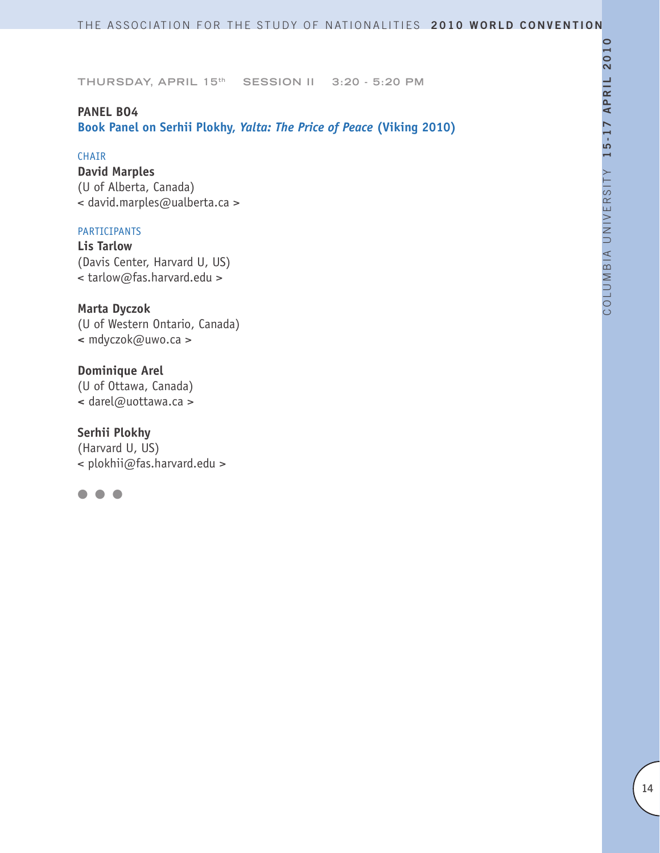# **PANEL BO4**

**Book Panel on Serhii Plokhy,** *Yalta: The Price of Peace* **(Viking 2010)**

### CHAIR

**David Marples** (U of Alberta, Canada) < david.marples@ualberta.ca >

# PARTICIPANTS

**Lis Tarlow** (Davis Center, Harvard U, US) < tarlow@fas.harvard.edu >

**Marta Dyczok** (U of Western Ontario, Canada) **<** mdyczok@uwo.ca >

**Dominique Arel** (U of Ottawa, Canada) **<** darel@uottawa.ca >

**Serhii Plokhy** (Harvard U, US) < plokhii@fas.harvard.edu >

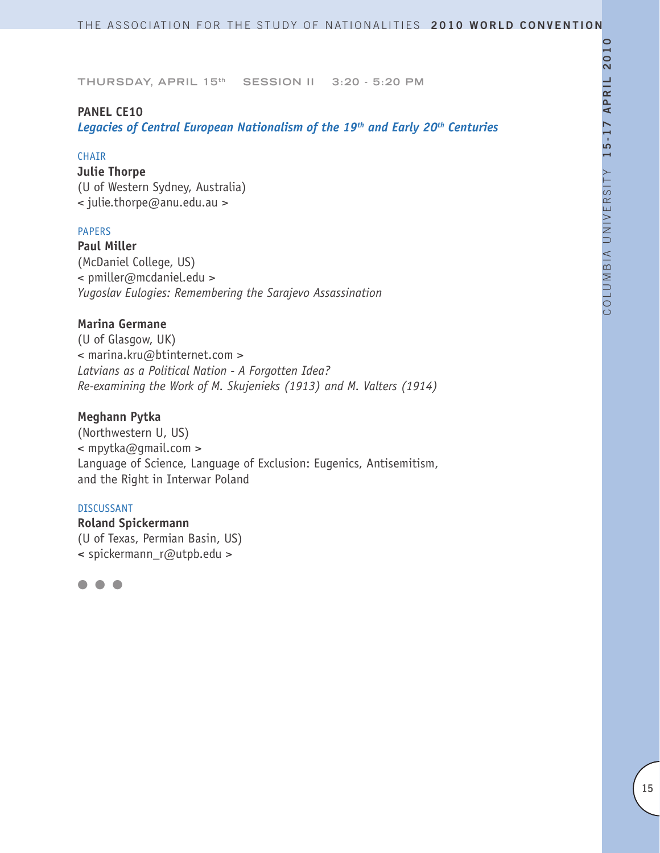# **PANEL CE10**

*Legacies of Central European Nationalism of the 19th and Early 20th Centuries*

#### **CHAIR**

**Julie Thorpe** (U of Western Sydney, Australia) < julie.thorpe@anu.edu.au >

# PAPERS

**Paul Miller** (McDaniel College, US) < pmiller@mcdaniel.edu > *Yugoslav Eulogies: Remembering the Sarajevo Assassination*

# **Marina Germane**

(U of Glasgow, UK) < marina.kru@btinternet.com > *Latvians as a Political Nation - A Forgotten Idea? Re-examining the Work of M. Skujenieks (1913) and M. Valters (1914)* 

# **Meghann Pytka**

(Northwestern U, US) < mpytka@gmail.com > Language of Science, Language of Exclusion: Eugenics, Antisemitism, and the Right in Interwar Poland

#### DISCUSSANT

**Roland Spickermann** (U of Texas, Permian Basin, US) **<** spickermann\_r@utpb.edu >

l l l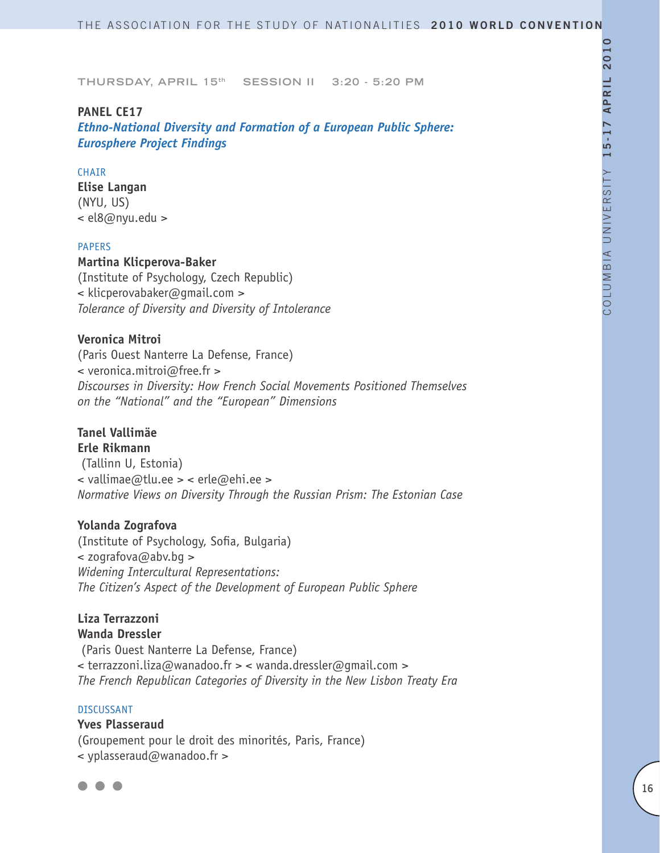### **PANEL CE17**

*Ethno-National Diversity and Formation of a European Public Sphere: Eurosphere Project Findings*

# CHAIR

**Elise Langan** (NYU, US) < el8@nyu.edu >

### PAPERS

**Martina Klicperova-Baker**

(Institute of Psychology, Czech Republic) < klicperovabaker@gmail.com > *Tolerance of Diversity and Diversity of Intolerance* 

# **Veronica Mitroi**

(Paris Ouest Nanterre La Defense, France) < veronica.mitroi@free.fr > *Discourses in Diversity: How French Social Movements Positioned Themselves on the "National" and the "European" Dimensions*

### **Tanel Vallimäe Erle Rikmann**

 (Tallinn U, Estonia) < vallimae@tlu.ee > < erle@ehi.ee > *Normative Views on Diversity Through the Russian Prism: The Estonian Case* 

### **Yolanda Zografova**

(Institute of Psychology, Sofia, Bulgaria) < zografova@abv.bg > *Widening Intercultural Representations: The Citizen's Aspect of the Development of European Public Sphere* 

# **Liza Terrazzoni Wanda Dressler**

 (Paris Ouest Nanterre La Defense, France) < terrazzoni.liza@wanadoo.fr > < wanda.dressler@gmail.com > *The French Republican Categories of Diversity in the New Lisbon Treaty Era*

#### DISCUSSANT

**Yves Plasseraud** (Groupement pour le droit des minorités, Paris, France) < yplasseraud@wanadoo.fr >

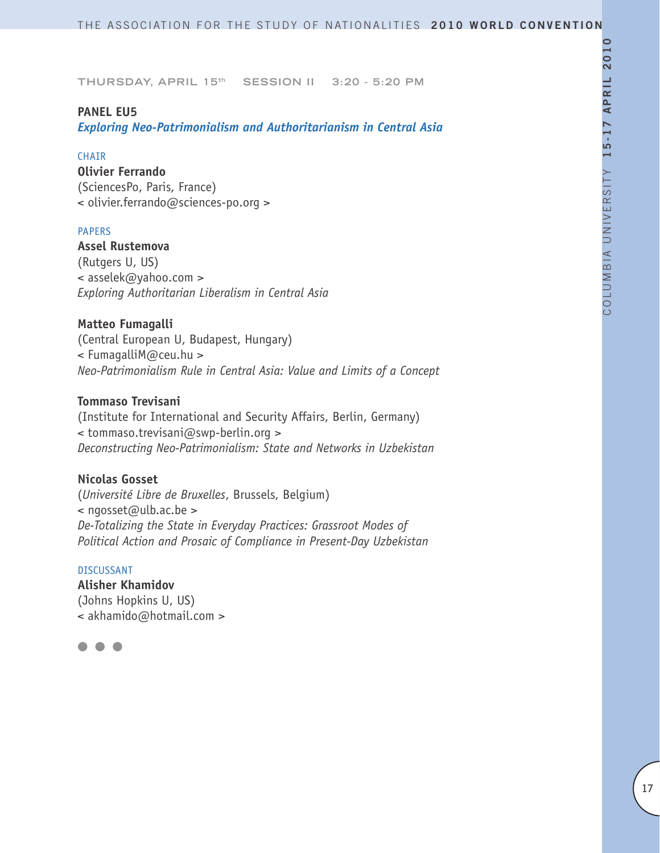### **PANEL EU5**

*Exploring Neo-Patrimonialism and Authoritarianism in Central Asia*

#### **CHAIR**

**Olivier Ferrando** (SciencesPo, Paris, France) < olivier.ferrando@sciences-po.org >

# PAPERS

**Assel Rustemova** (Rutgers U, US) < asselek@yahoo.com > *Exploring Authoritarian Liberalism in Central Asia*

### **Matteo Fumagalli**

(Central European U, Budapest, Hungary) < FumagalliM@ceu.hu > *Neo-Patrimonialism Rule in Central Asia: Value and Limits of a Concept*

### **Tommaso Trevisani**

(Institute for International and Security Affairs, Berlin, Germany) < tommaso.trevisani@swp-berlin.org > *Deconstructing Neo-Patrimonialism: State and Networks in Uzbekistan*

# **Nicolas Gosset**

(*Université Libre de Bruxelles*, Brussels, Belgium) < ngosset@ulb.ac.be > *De-Totalizing the State in Everyday Practices: Grassroot Modes of Political Action and Prosaic of Compliance in Present-Day Uzbekistan*

### DISCUSSANT

**Alisher Khamidov** (Johns Hopkins U, US) < akhamido@hotmail.com >

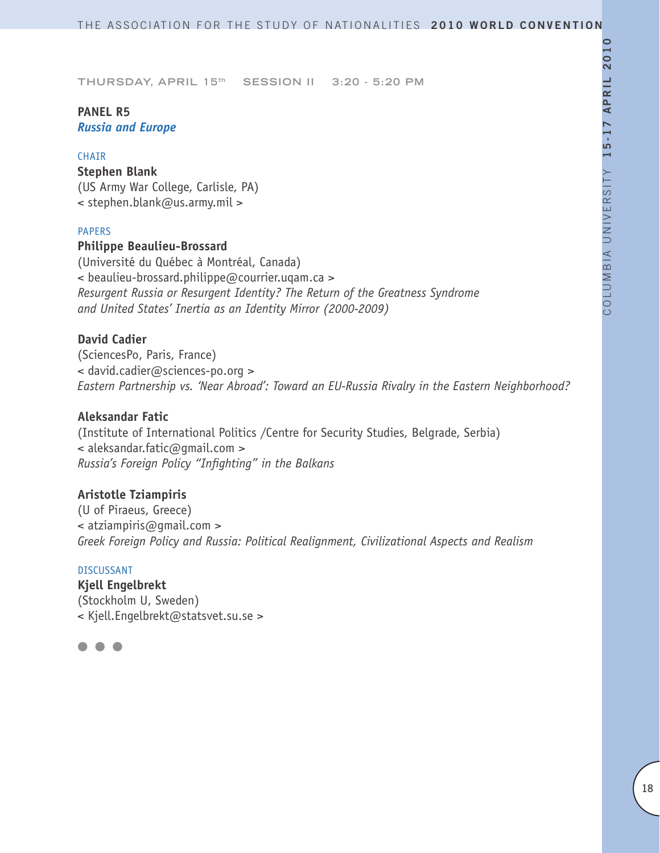# **PANEL R5** *Russia and Europe*

#### **CHAIR**

# **Stephen Blank** (US Army War College, Carlisle, PA) < stephen.blank@us.army.mil >

#### PAPERS

#### **Philippe Beaulieu-Brossard**

(Université du Québec à Montréal, Canada) < beaulieu-brossard.philippe@courrier.uqam.ca > *Resurgent Russia or Resurgent Identity? The Return of the Greatness Syndrome and United States' Inertia as an Identity Mirror (2000-2009)*

# **David Cadier**

(SciencesPo, Paris, France) < david.cadier@sciences-po.org > *Eastern Partnership vs. 'Near Abroad': Toward an EU-Russia Rivalry in the Eastern Neighborhood?*

# **Aleksandar Fatic**

(Institute of International Politics /Centre for Security Studies, Belgrade, Serbia) < aleksandar.fatic@gmail.com > *Russia's Foreign Policy "Infighting" in the Balkans*

# **Aristotle Tziampiris**

(U of Piraeus, Greece) < atziampiris@gmail.com > *Greek Foreign Policy and Russia: Political Realignment, Civilizational Aspects and Realism*

### DISCUSSANT

**Kjell Engelbrekt** (Stockholm U, Sweden) < Kjell.Engelbrekt@statsvet.su.se >

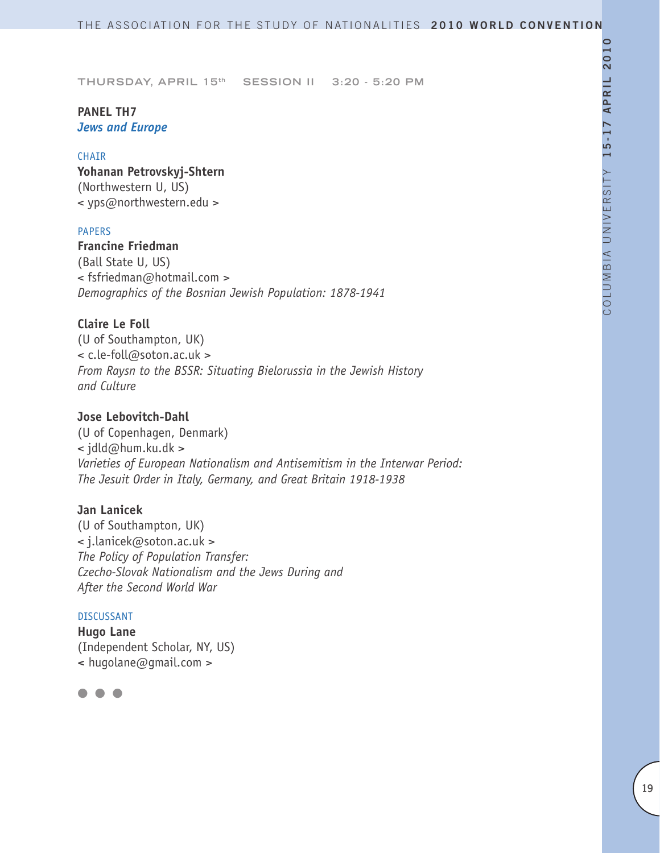# **PANEL TH7** *Jews and Europe*

#### **CHAIR**

**Yohanan Petrovskyj-Shtern** (Northwestern U, US) < yps@northwestern.edu >

### PAPERS

# **Francine Friedman**

(Ball State U, US) < fsfriedman@hotmail.com > *Demographics of the Bosnian Jewish Population: 1878-1941*

### **Claire Le Foll**

(U of Southampton, UK) < c.le-foll@soton.ac.uk > *From Raysn to the BSSR: Situating Bielorussia in the Jewish History and Culture* 

# **Jose Lebovitch-Dahl**

(U of Copenhagen, Denmark) < jdld@hum.ku.dk > *Varieties of European Nationalism and Antisemitism in the Interwar Period: The Jesuit Order in Italy, Germany, and Great Britain 1918-1938*

# **Jan Lanicek**

(U of Southampton, UK) < j.lanicek@soton.ac.uk > *The Policy of Population Transfer: Czecho-Slovak Nationalism and the Jews During and After the Second World War* 

#### DISCUSSANT

**Hugo Lane** (Independent Scholar, NY, US) **<** hugolane@gmail.com >

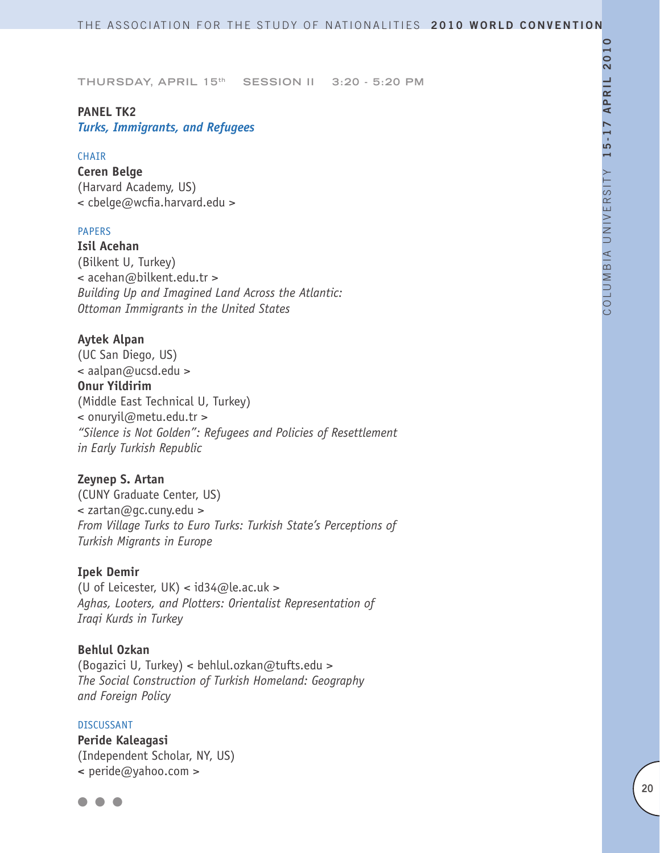# **PANEL TK2**

*Turks, Immigrants, and Refugees*

#### **CHAIR**

**Ceren Belge** (Harvard Academy, US) < cbelge@wcfia.harvard.edu >

# PAPERS

**Isil Acehan** (Bilkent U, Turkey) < acehan@bilkent.edu.tr > *Building Up and Imagined Land Across the Atlantic: Ottoman Immigrants in the United States*

# **Aytek Alpan**

(UC San Diego, US) < aalpan@ucsd.edu > **Onur Yildirim** (Middle East Technical U, Turkey) < onuryil@metu.edu.tr > *"Silence is Not Golden": Refugees and Policies of Resettlement in Early Turkish Republic*

# **Zeynep S. Artan**

(CUNY Graduate Center, US) < zartan@gc.cuny.edu > *From Village Turks to Euro Turks: Turkish State's Perceptions of Turkish Migrants in Europe*

#### **Ipek Demir**

(U of Leicester, UK) <  $id34@le.ac.uk$  > *Aghas, Looters, and Plotters: Orientalist Representation of Iraqi Kurds in Turkey* 

#### **Behlul Ozkan**

(Bogazici U, Turkey) < behlul.ozkan@tufts.edu > *The Social Construction of Turkish Homeland: Geography and Foreign Policy* 

# DISCUSSANT **Peride Kaleagasi** (Independent Scholar, NY, US) **<** peride@yahoo.com >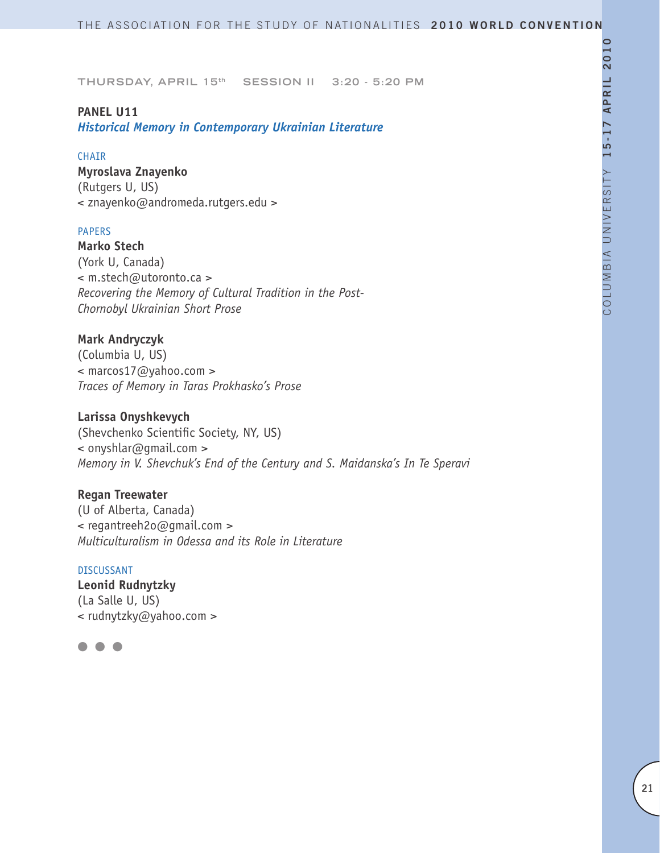# **PANEL U11**

*Historical Memory in Contemporary Ukrainian Literature*

#### **CHAIR**

**Myroslava Znayenko** (Rutgers U, US) < znayenko@andromeda.rutgers.edu >

### PAPERS

**Marko Stech** (York U, Canada) < m.stech@utoronto.ca > *Recovering the Memory of Cultural Tradition in the Post-Chornobyl Ukrainian Short Prose*

# **Mark Andryczyk**

(Columbia U, US) < marcos17@yahoo.com > *Traces of Memory in Taras Prokhasko's Prose*

# **Larissa Onyshkevych**

(Shevchenko Scientific Society, NY, US) < onyshlar@gmail.com > *Memory in V. Shevchuk's End of the Century and S. Maidanska's In Te Speravi*

# **Regan Treewater**

(U of Alberta, Canada) < regantreeh2o@gmail.com > *Multiculturalism in Odessa and its Role in Literature* 

### DISCUSSANT

**Leonid Rudnytzky** (La Salle U, US) < rudnytzky@yahoo.com >

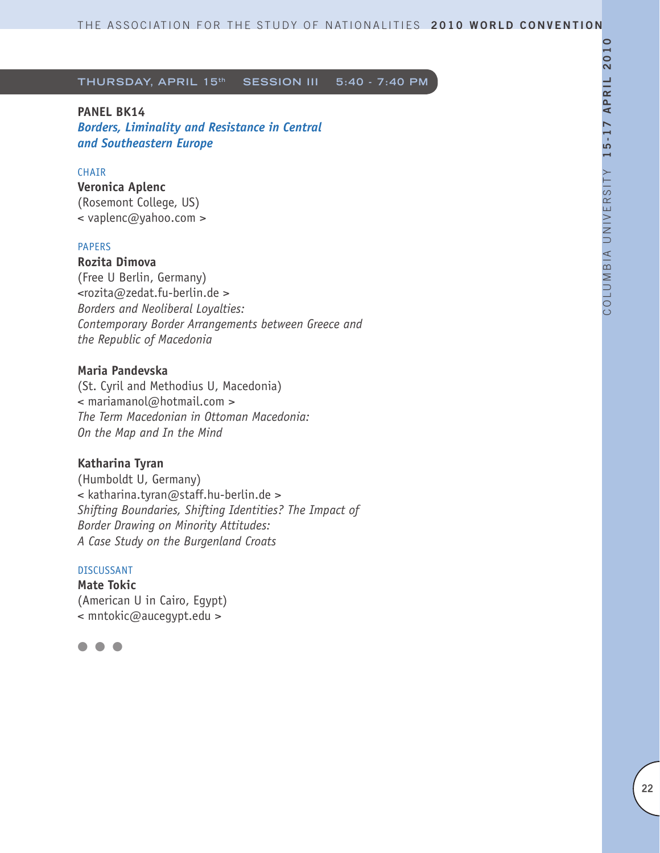# **PANEL BK14**

*Borders, Liminality and Resistance in Central and Southeastern Europe*

# CHAIR

**Veronica Aplenc** (Rosemont College, US)

< vaplenc@yahoo.com >

#### PAPERS

# **Rozita Dimova**

(Free U Berlin, Germany) <rozita@zedat.fu-berlin.de > *Borders and Neoliberal Loyalties: Contemporary Border Arrangements between Greece and the Republic of Macedonia* 

# **Maria Pandevska**

(St. Cyril and Methodius U, Macedonia) < mariamanol@hotmail.com > *The Term Macedonian in Ottoman Macedonia: On the Map and In the Mind* 

### **Katharina Tyran**

(Humboldt U, Germany) < katharina.tyran@staff.hu-berlin.de > *Shifting Boundaries, Shifting Identities? The Impact of Border Drawing on Minority Attitudes: A Case Study on the Burgenland Croats* 

# DISCUSSANT

**Mate Tokic** (American U in Cairo, Egypt) < mntokic@aucegypt.edu >

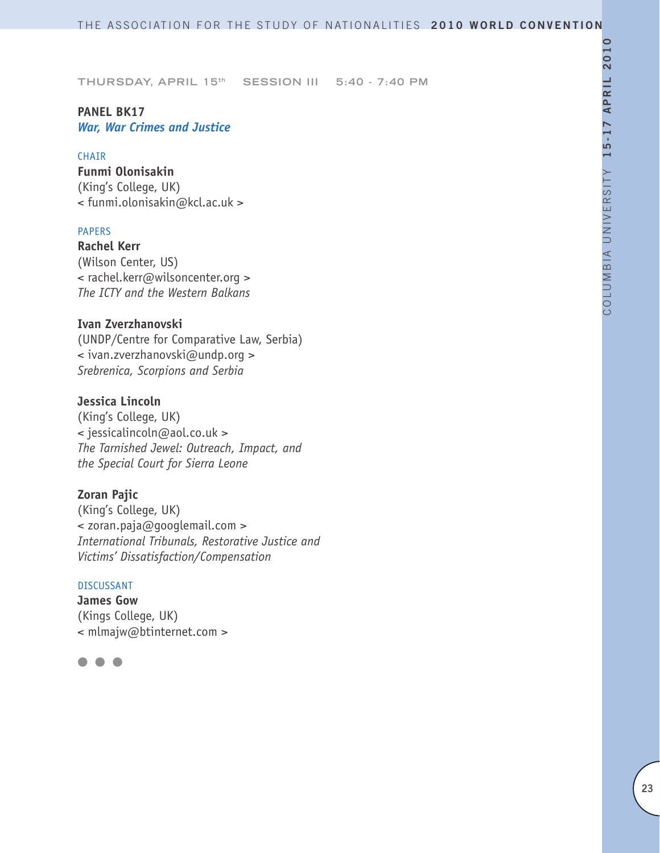# **PANEL BK17** *War, War Crimes and Justice*

### **CHAIR**

**Funmi Olonisakin** (King's College, UK) < funmi.olonisakin@kcl.ac.uk >

# PAPERS

**Rachel Kerr** (Wilson Center, US) < rachel.kerr@wilsoncenter.org > *The ICTY and the Western Balkans*

# **Ivan Zverzhanovski**

(UNDP/Centre for Comparative Law, Serbia) < ivan.zverzhanovski@undp.org > *Srebrenica, Scorpions and Serbia*

# **Jessica Lincoln**

(King's College, UK) < jessicalincoln@aol.co.uk > *The Tarnished Jewel: Outreach, Impact, and the Special Court for Sierra Leone*

# **Zoran Pajic**

(King's College, UK) < zoran.paja@googlemail.com > *International Tribunals, Restorative Justice and Victims' Dissatisfaction/Compensation*

#### DISCUSSANT

**James Gow** (Kings College, UK) < mlmajw@btinternet.com >

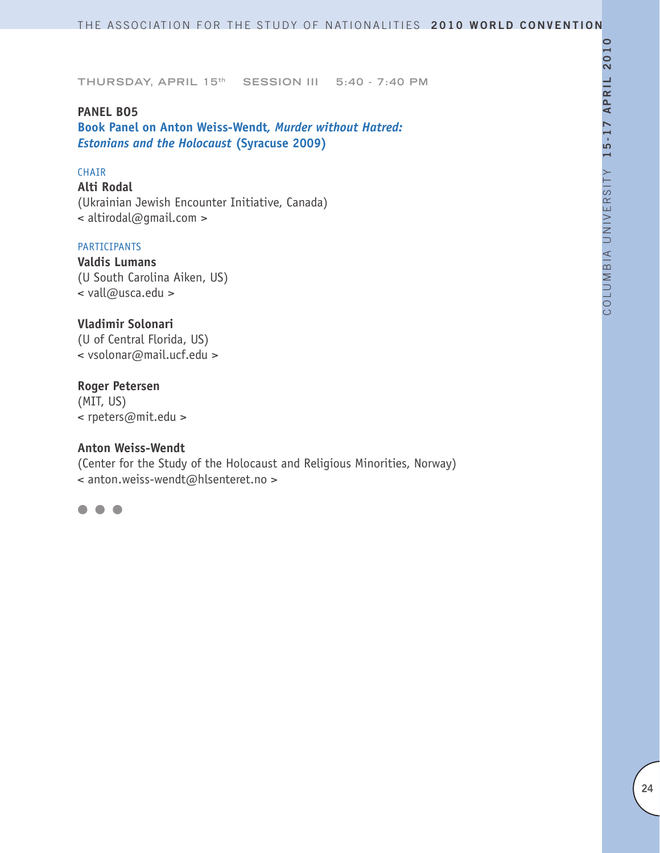#### **PANEL BO5**

**Book Panel on Anton Weiss-Wendt***, Murder without Hatred: Estonians and the Holocaust* **(Syracuse 2009)**

# CHAIR

**Alti Rodal** (Ukrainian Jewish Encounter Initiative, Canada) < altirodal@gmail.com >

#### PARTICIPANTS

**Valdis Lumans** (U South Carolina Aiken, US) < vall@usca.edu >

# **Vladimir Solonari**

(U of Central Florida, US) < vsolonar@mail.ucf.edu >

### **Roger Petersen**

(MIT, US) < rpeters@mit.edu >

# **Anton Weiss-Wendt**

(Center for the Study of the Holocaust and Religious Minorities, Norway) < anton.weiss-wendt@hlsenteret.no >

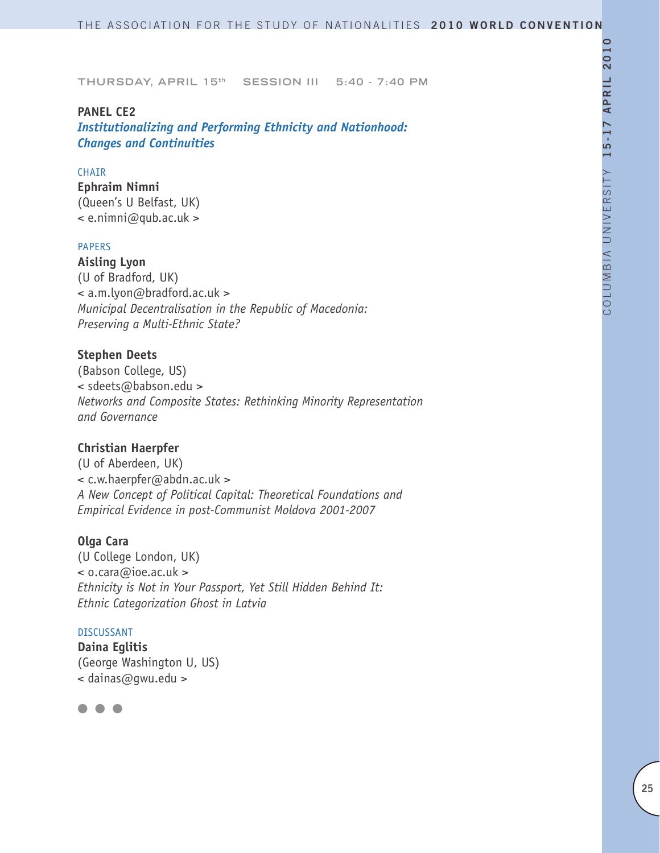### **PANEL CE2**

*Institutionalizing and Performing Ethnicity and Nationhood: Changes and Continuities* 

# CHAIR

**Ephraim Nimni** (Queen's U Belfast, UK)  $\leq$  e.nimni@qub.ac.uk >

#### PAPERS

**Aisling Lyon** (U of Bradford, UK) < a.m.lyon@bradford.ac.uk > *Municipal Decentralisation in the Republic of Macedonia: Preserving a Multi-Ethnic State?*

# **Stephen Deets**

(Babson College, US) < sdeets@babson.edu > *Networks and Composite States: Rethinking Minority Representation and Governance*

### **Christian Haerpfer**

(U of Aberdeen, UK) < c.w.haerpfer@abdn.ac.uk > *A New Concept of Political Capital: Theoretical Foundations and Empirical Evidence in post-Communist Moldova 2001-2007*

### **Olga Cara**

(U College London, UK) < o.cara@ioe.ac.uk > *Ethnicity is Not in Your Passport, Yet Still Hidden Behind It: Ethnic Categorization Ghost in Latvia*

#### DISCUSSANT

**Daina Eglitis** (George Washington U, US) < dainas@gwu.edu >

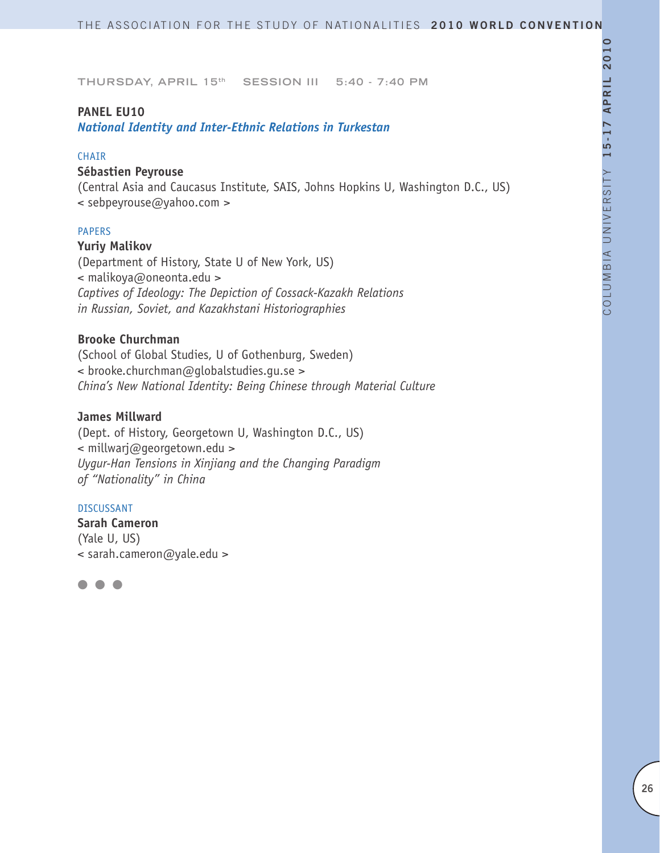### **PANEL EU10**

*National Identity and Inter-Ethnic Relations in Turkestan* 

### **CHAIR**

# **Sébastien Peyrouse**

(Central Asia and Caucasus Institute, SAIS, Johns Hopkins U, Washington D.C., US) < sebpeyrouse@yahoo.com >

### PAPERS

#### **Yuriy Malikov**

(Department of History, State U of New York, US) < malikoya@oneonta.edu > *Captives of Ideology: The Depiction of Cossack-Kazakh Relations in Russian, Soviet, and Kazakhstani Historiographies*

# **Brooke Churchman**

(School of Global Studies, U of Gothenburg, Sweden) < brooke.churchman@globalstudies.gu.se > *China's New National Identity: Being Chinese through Material Culture*

# **James Millward**

(Dept. of History, Georgetown U, Washington D.C., US) < millwarj@georgetown.edu > *Uygur-Han Tensions in Xinjiang and the Changing Paradigm of "Nationality" in China*

#### DISCUSSANT

**Sarah Cameron** (Yale U, US) < sarah.cameron@yale.edu >

l l l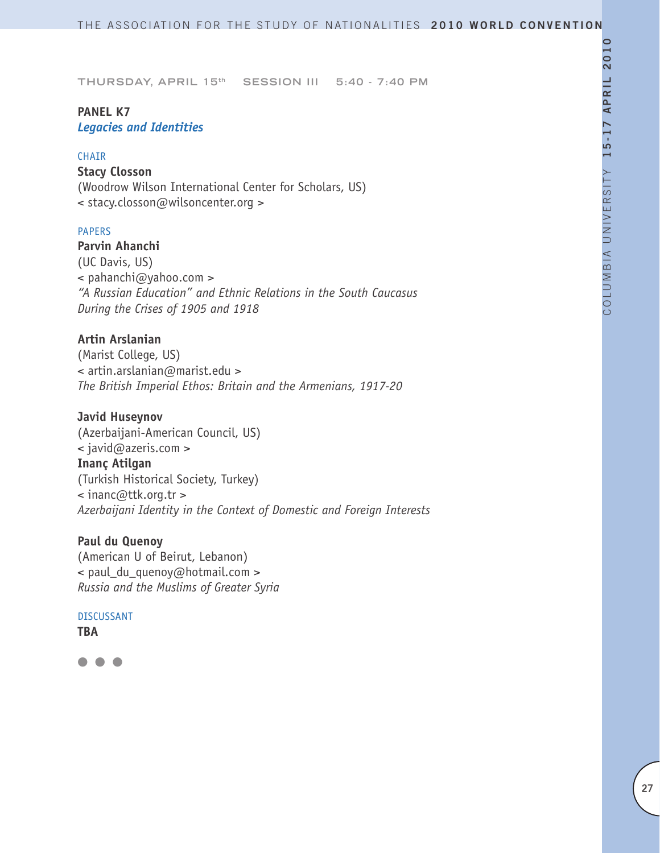# **PANEL K7** *Legacies and Identities*

#### **CHAIR**

# **Stacy Closson**

(Woodrow Wilson International Center for Scholars, US) < stacy.closson@wilsoncenter.org >

# PAPERS

**Parvin Ahanchi** (UC Davis, US) < pahanchi@yahoo.com > *"A Russian Education" and Ethnic Relations in the South Caucasus During the Crises of 1905 and 1918*

# **Artin Arslanian**

(Marist College, US) < artin.arslanian@marist.edu > *The British Imperial Ethos: Britain and the Armenians, 1917-20*

# **Javid Huseynov**

(Azerbaijani-American Council, US) < javid@azeris.com > **Inanç Atilgan** (Turkish Historical Society, Turkey) < inanc@ttk.org.tr > *Azerbaijani Identity in the Context of Domestic and Foreign Interests* 

# **Paul du Quenoy**

(American U of Beirut, Lebanon) < paul\_du\_quenoy@hotmail.com > *Russia and the Muslims of Greater Syria*

#### DISCUSSANT **TBA**

 $\bullet$   $\bullet$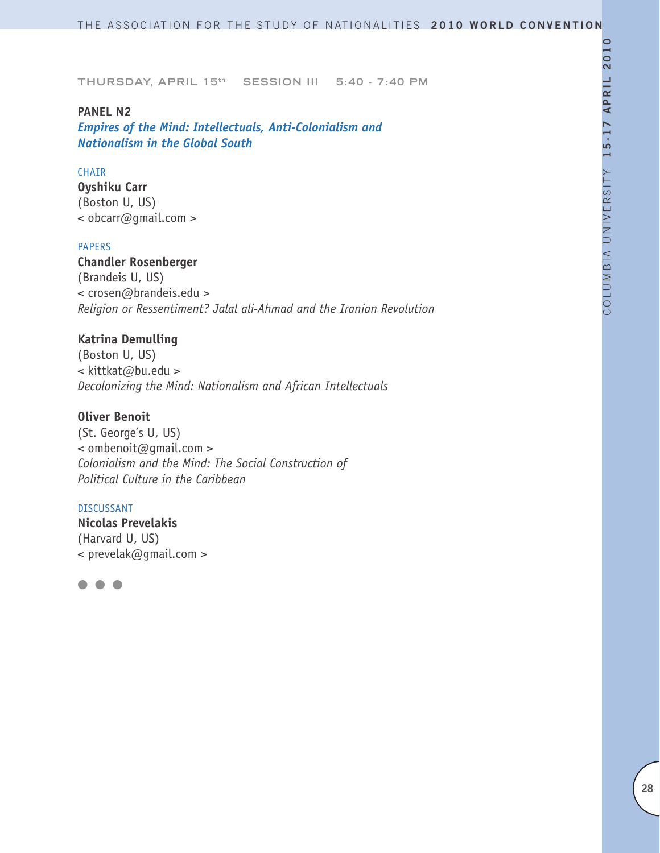### **PANEL N2**

*Empires of the Mind: Intellectuals, Anti-Colonialism and Nationalism in the Global South*

# CHAIR

**Oyshiku Carr** (Boston U, US) < obcarr@gmail.com >

#### PAPERS

**Chandler Rosenberger** (Brandeis U, US) < crosen@brandeis.edu > *Religion or Ressentiment? Jalal ali-Ahmad and the Iranian Revolution* 

# **Katrina Demulling**

(Boston U, US) < kittkat@bu.edu > *Decolonizing the Mind: Nationalism and African Intellectuals* 

# **Oliver Benoit**

(St. George's U, US) < ombenoit@gmail.com > *Colonialism and the Mind: The Social Construction of Political Culture in the Caribbean*

#### DISCUSSANT

**Nicolas Prevelakis** (Harvard U, US) < prevelak@gmail.com >

l l l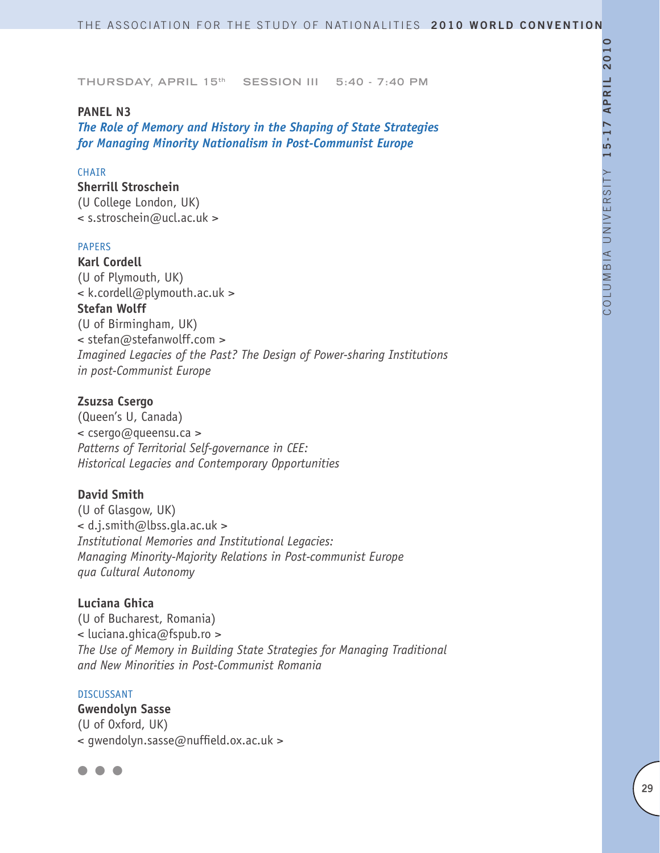### **PANEL N3**

*The Role of Memory and History in the Shaping of State Strategies for Managing Minority Nationalism in Post-Communist Europe* 

# CHAIR

**Sherrill Stroschein**  (U College London, UK) < s.stroschein@ucl.ac.uk >

#### PAPERS

**Karl Cordell** (U of Plymouth, UK) < k.cordell@plymouth.ac.uk > **Stefan Wolff** (U of Birmingham, UK) < stefan@stefanwolff.com > *Imagined Legacies of the Past? The Design of Power-sharing Institutions in post-Communist Europe*

#### **Zsuzsa Csergo**

(Queen's U, Canada) < csergo@queensu.ca > *Patterns of Territorial Self-governance in CEE: Historical Legacies and Contemporary Opportunities*

#### **David Smith**

(U of Glasgow, UK) < d.j.smith@lbss.gla.ac.uk > *Institutional Memories and Institutional Legacies: Managing Minority-Majority Relations in Post-communist Europe qua Cultural Autonomy*

# **Luciana Ghica**

(U of Bucharest, Romania) < luciana.ghica@fspub.ro > *The Use of Memory in Building State Strategies for Managing Traditional and New Minorities in Post-Communist Romania* 

#### DISCUSSANT

**Gwendolyn Sasse**  (U of Oxford, UK) < gwendolyn.sasse@nuffield.ox.ac.uk >

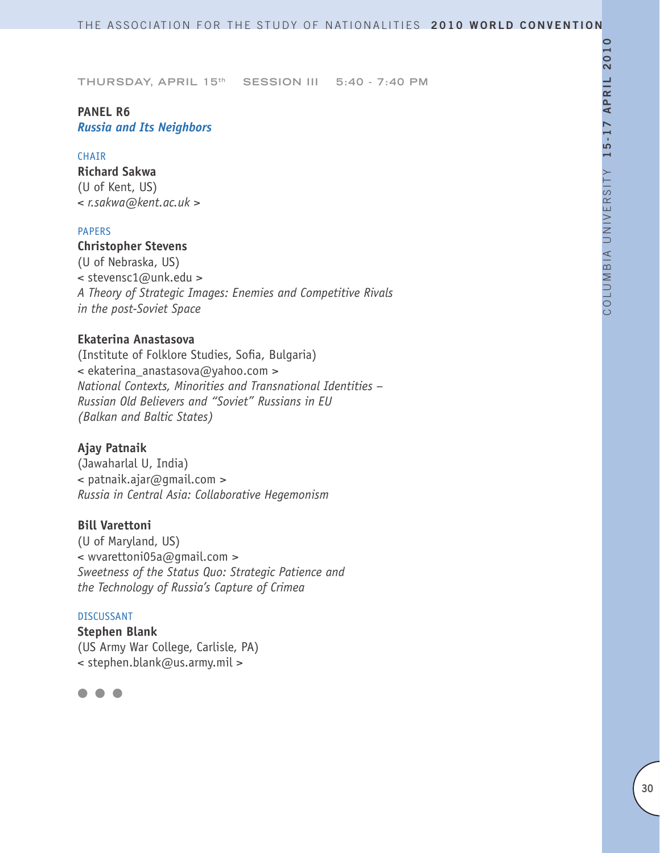# **PANEL R6** *Russia and Its Neighbors*

#### **CHAIR**

**Richard Sakwa**  (U of Kent, US) *< r.sakwa@kent.ac.uk >*

# PAPERS

# **Christopher Stevens**

(U of Nebraska, US) < stevensc1@unk.edu > *A Theory of Strategic Images: Enemies and Competitive Rivals in the post-Soviet Space*

# **Ekaterina Anastasova**

(Institute of Folklore Studies, Sofia, Bulgaria) < ekaterina\_anastasova@yahoo.com > *National Contexts, Minorities and Transnational Identities – Russian Old Believers and "Soviet" Russians in EU (Balkan and Baltic States)*

#### **Ajay Patnaik**

(Jawaharlal U, India) < patnaik.ajar@gmail.com > *Russia in Central Asia: Collaborative Hegemonism*

#### **Bill Varettoni**

(U of Maryland, US) < wvarettoni05a@gmail.com > *Sweetness of the Status Quo: Strategic Patience and the Technology of Russia's Capture of Crimea* 

#### DISCUSSANT

**Stephen Blank** (US Army War College, Carlisle, PA) < stephen.blank@us.army.mil >

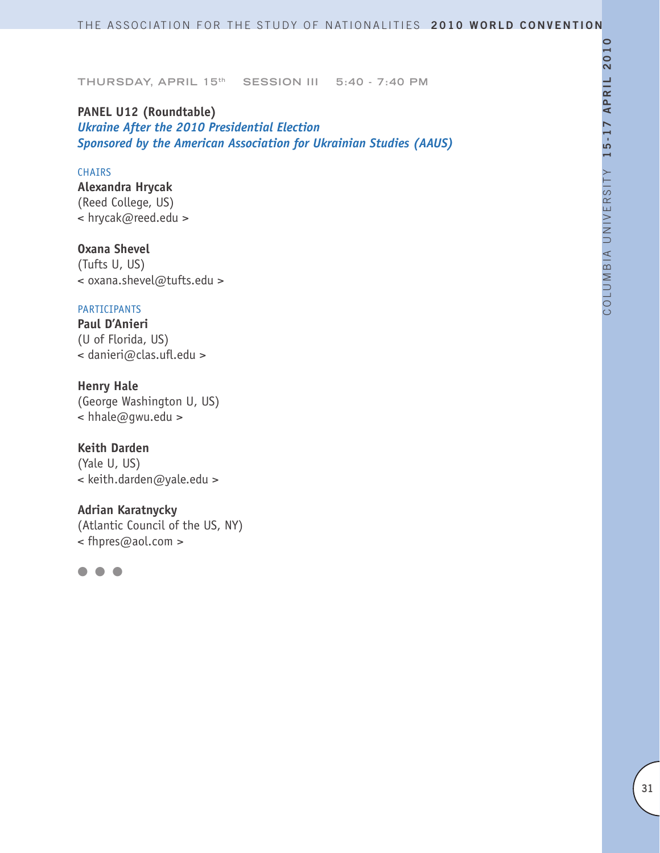**PANEL U12 (Roundtable)** *Ukraine After the 2010 Presidential Election Sponsored by the American Association for Ukrainian Studies (AAUS)*

#### CHAIRS

**Alexandra Hrycak** (Reed College, US) < hrycak@reed.edu >

**Oxana Shevel** (Tufts U, US) < oxana.shevel@tufts.edu >

### PARTICIPANTS

**Paul D'Anieri** (U of Florida, US) < danieri@clas.ufl.edu >

# **Henry Hale**

(George Washington U, US) < hhale@gwu.edu >

### **Keith Darden**

(Yale U, US) < keith.darden@yale.edu >

**Adrian Karatnycky** (Atlantic Council of the US, NY) < fhpres@aol.com >

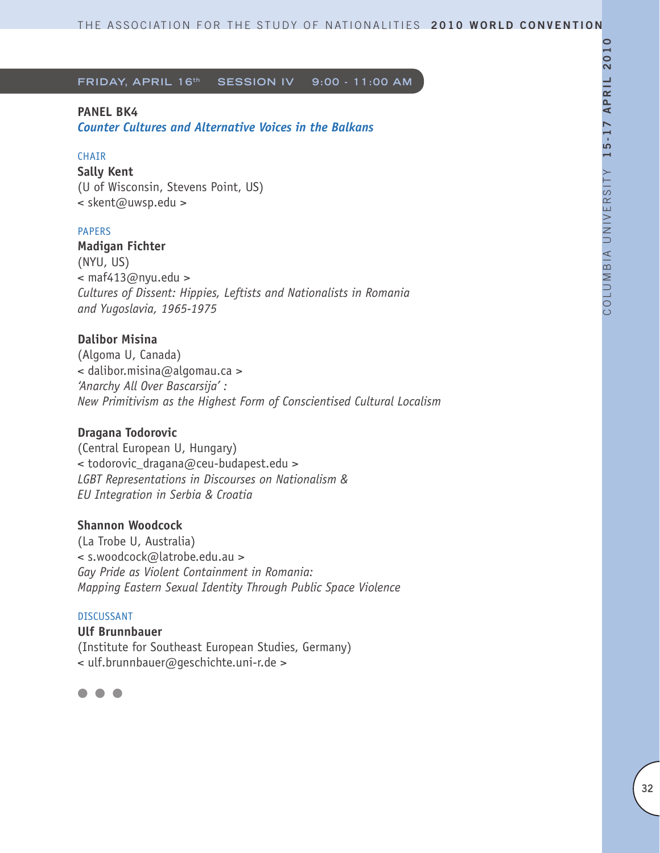# **PANEL BK4**

*Counter Cultures and Alternative Voices in the Balkans*

### **CHAIR**

**Sally Kent** (U of Wisconsin, Stevens Point, US) < skent@uwsp.edu >

### PAPERS

**Madigan Fichter** (NYU, US)  $\leq$  maf413@nyu.edu > *Cultures of Dissent: Hippies, Leftists and Nationalists in Romania and Yugoslavia, 1965-1975*

# **Dalibor Misina**

(Algoma U, Canada) < dalibor.misina@algomau.ca > *'Anarchy All Over Bascarsija' : New Primitivism as the Highest Form of Conscientised Cultural Localism* 

### **Dragana Todorovic**

(Central European U, Hungary) < todorovic\_dragana@ceu-budapest.edu > *LGBT Representations in Discourses on Nationalism & EU Integration in Serbia & Croatia* 

# **Shannon Woodcock**

(La Trobe U, Australia) < s.woodcock@latrobe.edu.au > *Gay Pride as Violent Containment in Romania: Mapping Eastern Sexual Identity Through Public Space Violence* 

## DISCUSSANT

**Ulf Brunnbauer** (Institute for Southeast European Studies, Germany) < ulf.brunnbauer@geschichte.uni-r.de >

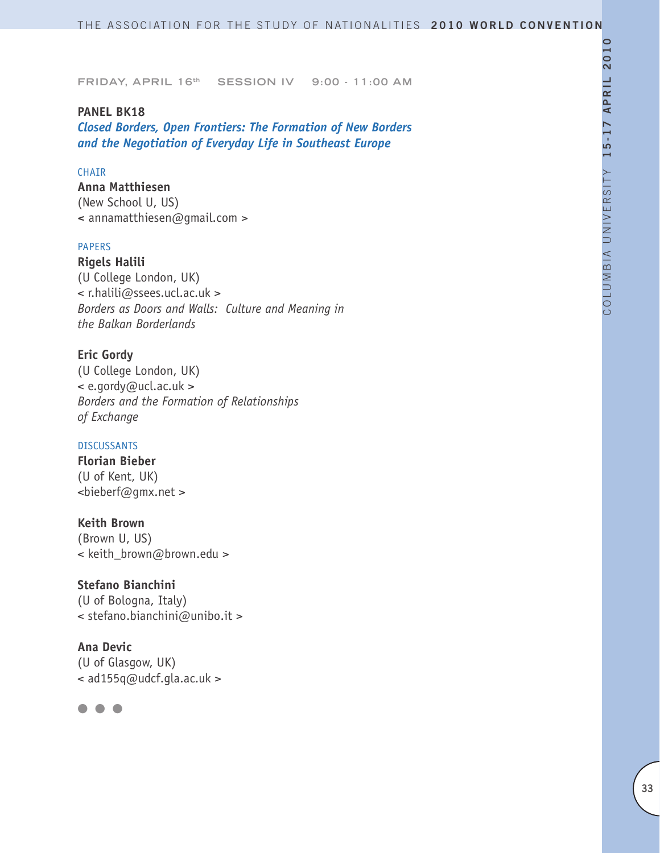### **PANEL BK18**

*Closed Borders, Open Frontiers: The Formation of New Borders and the Negotiation of Everyday Life in Southeast Europe*

# CHAIR

**Anna Matthiesen**  (New School U, US) **<** annamatthiesen@gmail.com >

#### PAPERS

**Rigels Halili**  (U College London, UK) < r.halili@ssees.ucl.ac.uk > *Borders as Doors and Walls: Culture and Meaning in the Balkan Borderlands* 

# **Eric Gordy**

(U College London, UK) < e.gordy@ucl.ac.uk > *Borders and the Formation of Relationships of Exchange*

### DISCUSSANTS

**Florian Bieber** (U of Kent, UK) <bieberf@gmx.net >

# **Keith Brown**

(Brown U, US) < keith brown@brown.edu >

# **Stefano Bianchini**

(U of Bologna, Italy) < stefano.bianchini@unibo.it >

# **Ana Devic**

(U of Glasgow, UK) < ad155q@udcf.gla.ac.uk >

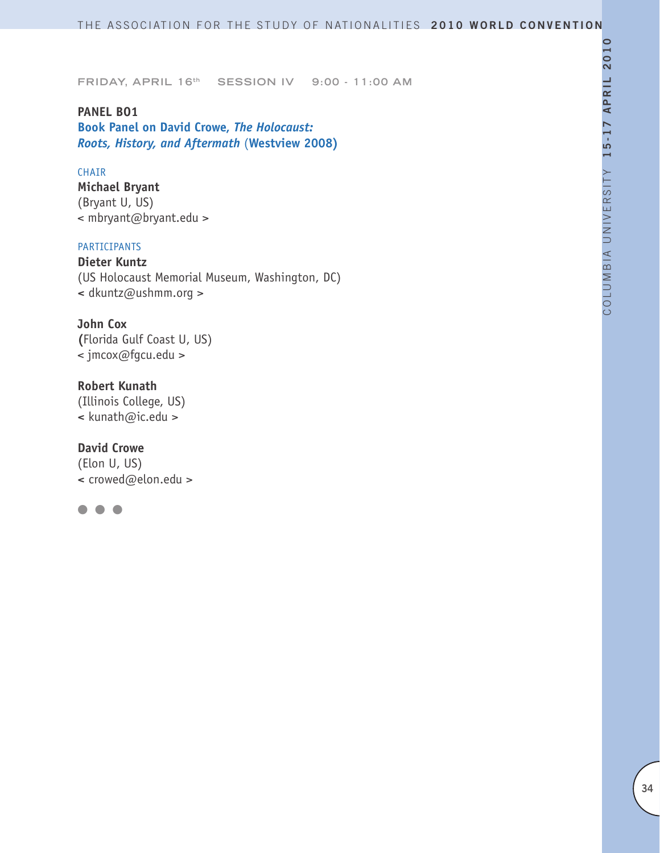**PANEL BO1 Book Panel on David Crowe,** *The Holocaust: Roots, History, and Aftermath* (**Westview 2008)**

#### CHAIR

**Michael Bryant** (Bryant U, US) < mbryant@bryant.edu >

### PARTICIPANTS

**Dieter Kuntz** (US Holocaust Memorial Museum, Washington, DC) **<** dkuntz@ushmm.org >

## **John Cox**

**(**Florida Gulf Coast U, US) < jmcox@fgcu.edu >

**Robert Kunath** (Illinois College, US) **<** kunath@ic.edu >

**David Crowe** (Elon U, US) **<** crowed@elon.edu >

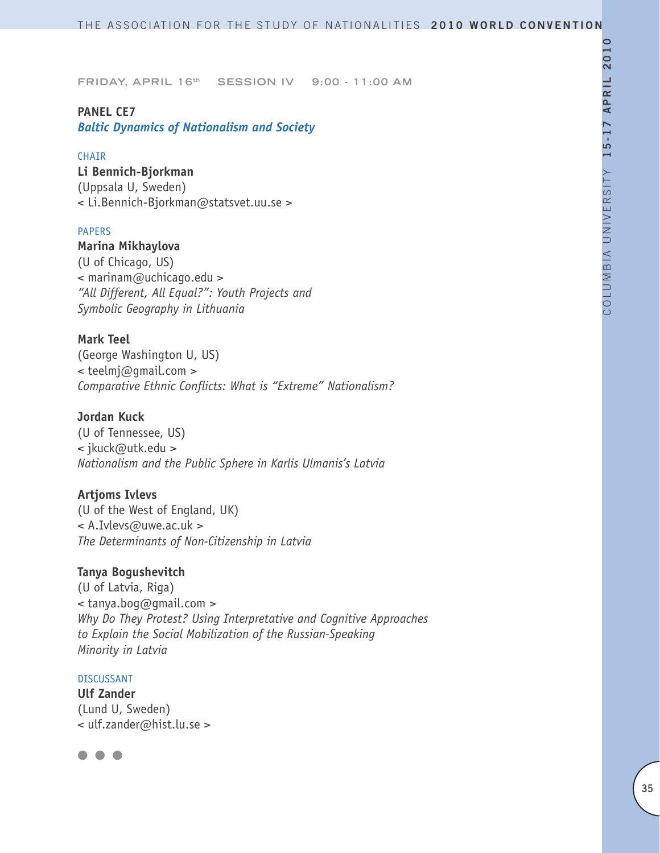# **PANEL CE7**

*Baltic Dynamics of Nationalism and Society*

#### **CHAIR**

**Li Bennich-Bjorkman** (Uppsala U, Sweden) < Li.Bennich-Bjorkman@statsvet.uu.se >

#### PAPERS

# **Marina Mikhaylova**

(U of Chicago, US) < marinam@uchicago.edu > *"All Different, All Equal?": Youth Projects and Symbolic Geography in Lithuania*

# **Mark Teel**

(George Washington U, US) < teelmj@gmail.com > *Comparative Ethnic Conflicts: What is "Extreme" Nationalism?* 

# **Jordan Kuck**

(U of Tennessee, US) < jkuck@utk.edu > *Nationalism and the Public Sphere in Karlis Ulmanis's Latvia* 

# **Artjoms Ivlevs**

(U of the West of England, UK) < A.Ivlevs@uwe.ac.uk > *The Determinants of Non-Citizenship in Latvia*

#### **Tanya Bogushevitch**

(U of Latvia, Riga) < tanya.bog@gmail.com > *Why Do They Protest? Using Interpretative and Cognitive Approaches to Explain the Social Mobilization of the Russian-Speaking Minority in Latvia* 

#### DISCUSSANT

**Ulf Zander** (Lund U, Sweden) < ulf.zander@hist.lu.se >

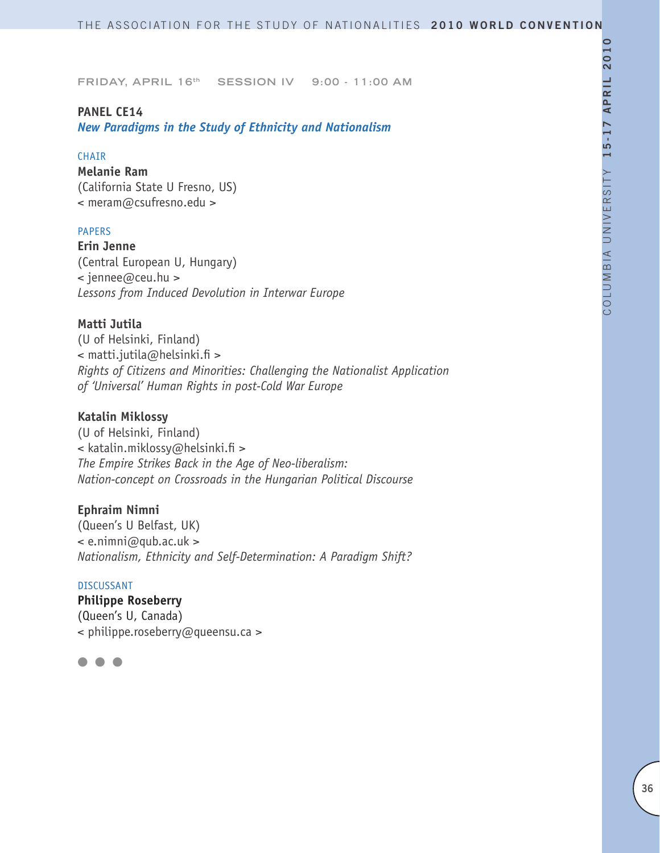# **PANEL CE14**

*New Paradigms in the Study of Ethnicity and Nationalism*

#### **CHAIR**

**Melanie Ram** (California State U Fresno, US) < meram@csufresno.edu >

# PAPERS

**Erin Jenne** (Central European U, Hungary) < jennee@ceu.hu > *Lessons from Induced Devolution in Interwar Europe* 

### **Matti Jutila**

(U of Helsinki, Finland) < matti.jutila@helsinki.fi > *Rights of Citizens and Minorities: Challenging the Nationalist Application of 'Universal' Human Rights in post-Cold War Europe*

### **Katalin Miklossy**

(U of Helsinki, Finland) < katalin.miklossy@helsinki.fi > *The Empire Strikes Back in the Age of Neo-liberalism: Nation-concept on Crossroads in the Hungarian Political Discourse*

# **Ephraim Nimni**

(Queen's U Belfast, UK)  $\leq$  e.nimni@qub.ac.uk > *Nationalism, Ethnicity and Self-Determination: A Paradigm Shift?* 

#### DISCUSSANT

**Philippe Roseberry** (Queen's U, Canada) < philippe.roseberry@queensu.ca >

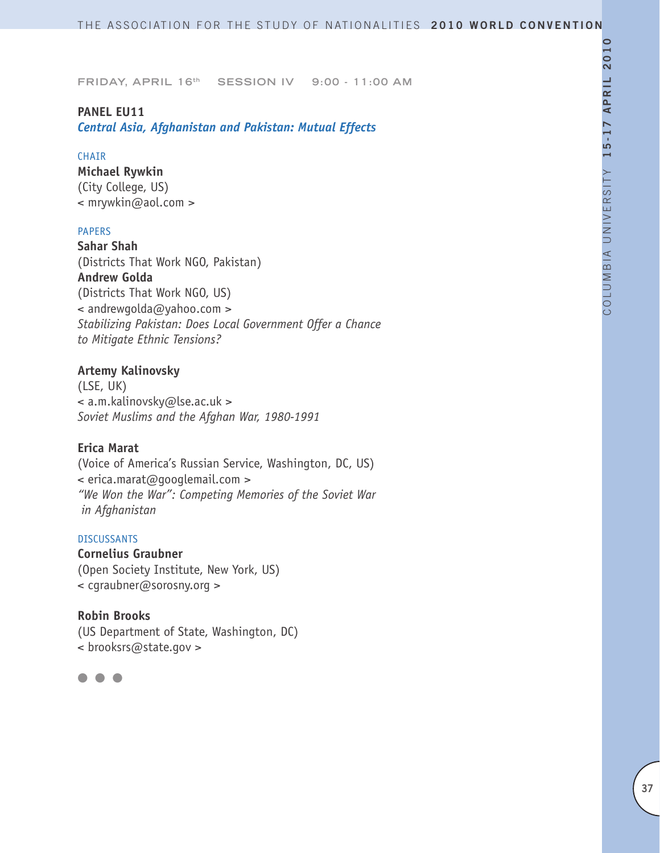# **PANEL EU11**

*Central Asia, Afghanistan and Pakistan: Mutual Effects*

#### CHAIR

**Michael Rywkin** (City College, US) < mrywkin@aol.com >

#### PAPERS

**Sahar Shah** (Districts That Work NGO, Pakistan) **Andrew Golda** (Districts That Work NGO, US) < andrewgolda@yahoo.com > *Stabilizing Pakistan: Does Local Government Offer a Chance to Mitigate Ethnic Tensions?*

#### **Artemy Kalinovsky**

(LSE, UK) < a.m.kalinovsky@lse.ac.uk > *Soviet Muslims and the Afghan War, 1980-1991*

#### **Erica Marat**

(Voice of America's Russian Service, Washington, DC, US) < erica.marat@googlemail.com > *"We Won the War": Competing Memories of the Soviet War in Afghanistan*

# DISCUSSANTS

**Cornelius Graubner** (Open Society Institute, New York, US) < cgraubner@sorosny.org >

#### **Robin Brooks**

(US Department of State, Washington, DC) < brooksrs@state.gov >

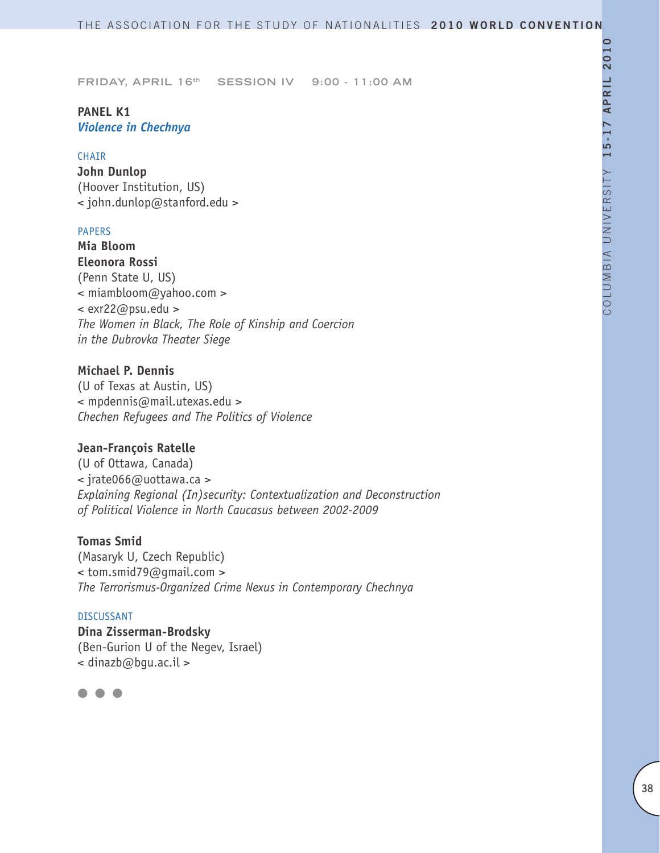# **PANEL K1** *Violence in Chechnya*

#### **CHAIR**

**John Dunlop**  (Hoover Institution, US) < john.dunlop@stanford.edu >

#### PAPERS

**Mia Bloom Eleonora Rossi** (Penn State U, US) < miambloom@yahoo.com > < exr22@psu.edu > *The Women in Black, The Role of Kinship and Coercion in the Dubrovka Theater Siege*

# **Michael P. Dennis**

(U of Texas at Austin, US) < mpdennis@mail.utexas.edu > *Chechen Refugees and The Politics of Violence*

#### **Jean-François Ratelle**

(U of Ottawa, Canada) < jrate066@uottawa.ca > *Explaining Regional (In)security: Contextualization and Deconstruction of Political Violence in North Caucasus between 2002-2009*

# **Tomas Smid**

(Masaryk U, Czech Republic) < tom.smid79@gmail.com > *The Terrorismus-Organized Crime Nexus in Contemporary Chechnya*

### DISCUSSANT

**Dina Zisserman-Brodsky** (Ben-Gurion U of the Negev, Israel) < dinazb@bgu.ac.il >

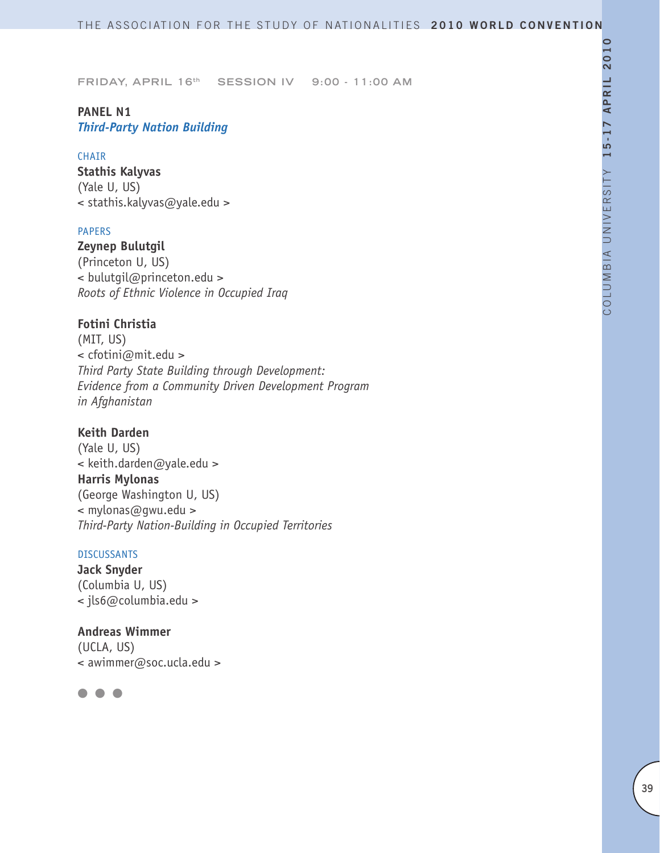# **PANEL N1** *Third-Party Nation Building*

#### CHAIR

**Stathis Kalyvas** (Yale U, US) < stathis.kalyvas@yale.edu >

### PAPERS

**Zeynep Bulutgil** (Princeton U, US) < bulutgil@princeton.edu > *Roots of Ethnic Violence in Occupied Iraq*

# **Fotini Christia**

(MIT, US) < cfotini@mit.edu > *Third Party State Building through Development: Evidence from a Community Driven Development Program in Afghanistan* 

# **Keith Darden**

(Yale U, US) < keith.darden@yale.edu > **Harris Mylonas** (George Washington U, US) < mylonas@gwu.edu > *Third-Party Nation-Building in Occupied Territories* 

#### DISCUSSANTS

**Jack Snyder** (Columbia U, US) < jls6@columbia.edu >

**Andreas Wimmer** (UCLA, US) < awimmer@soc.ucla.edu >

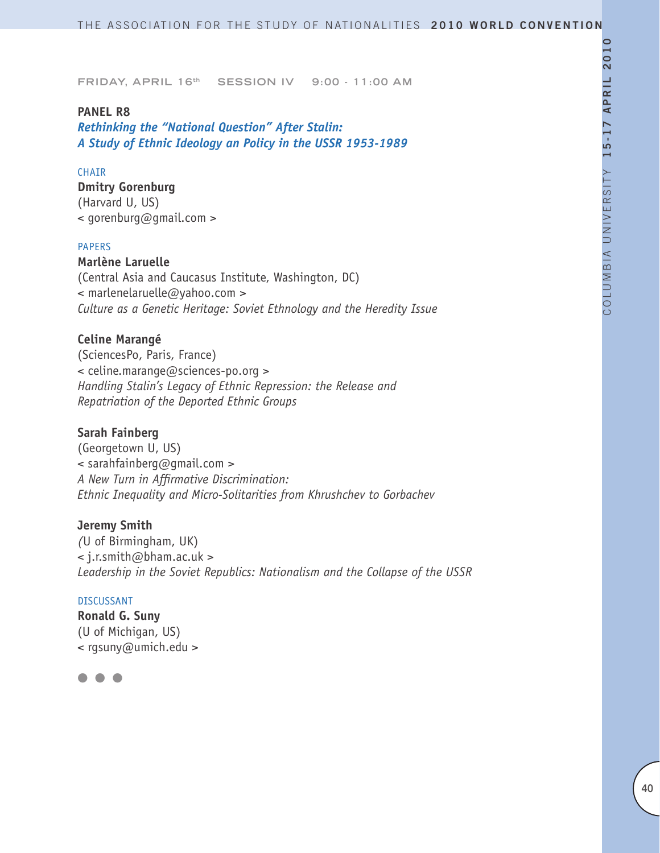#### **PANEL R8**

*Rethinking the "National Question" After Stalin: A Study of Ethnic Ideology an Policy in the USSR 1953-1989*

### CHAIR

**Dmitry Gorenburg** (Harvard U, US)

< gorenburg@gmail.com >

#### PAPERS

**Marlène Laruelle**

(Central Asia and Caucasus Institute, Washington, DC) < marlenelaruelle@yahoo.com > *Culture as a Genetic Heritage: Soviet Ethnology and the Heredity Issue*

### **Celine Marangé**

(SciencesPo, Paris, France) < celine.marange@sciences-po.org > *Handling Stalin's Legacy of Ethnic Repression: the Release and Repatriation of the Deported Ethnic Groups* 

#### **Sarah Fainberg**

(Georgetown U, US)  $\leq$  sarahfainberg@gmail.com > *A New Turn in Affirmative Discrimination: Ethnic Inequality and Micro-Solitarities from Khrushchev to Gorbachev* 

#### **Jeremy Smith**

*(*U of Birmingham, UK) < j.r.smith@bham.ac.uk > *Leadership in the Soviet Republics: Nationalism and the Collapse of the USSR*

#### DISCUSSANT

**Ronald G. Suny** (U of Michigan, US) < rgsuny@umich.edu >

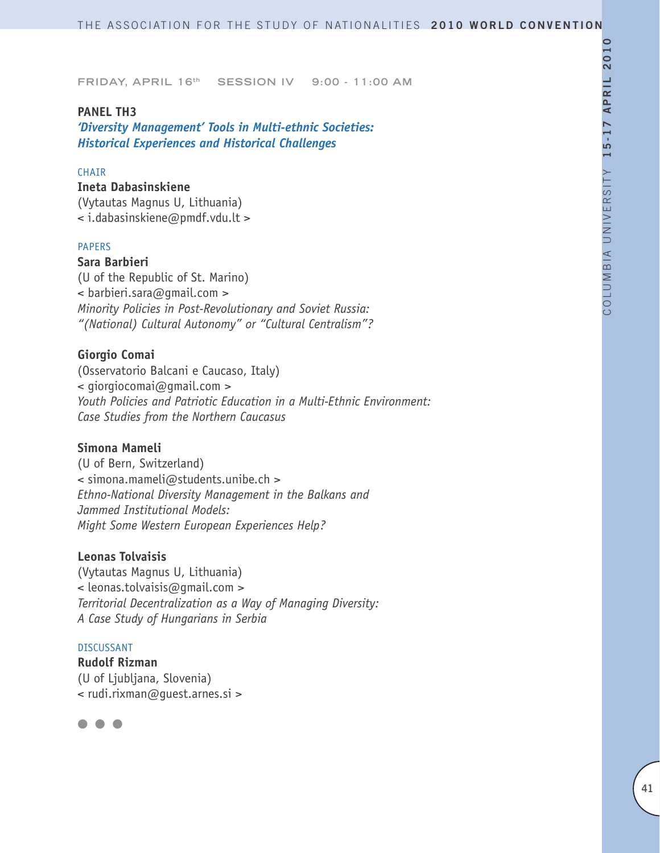# **PANEL TH3**

*'Diversity Management' Tools in Multi-ethnic Societies: Historical Experiences and Historical Challenges*

### CHAIR

**Ineta Dabasinskiene** (Vytautas Magnus U, Lithuania) < i.dabasinskiene@pmdf.vdu.lt >

#### PAPERS

# **Sara Barbieri**

(U of the Republic of St. Marino) < barbieri.sara@gmail.com > *Minority Policies in Post-Revolutionary and Soviet Russia: "(National) Cultural Autonomy" or "Cultural Centralism"?*

#### **Giorgio Comai**

(Osservatorio Balcani e Caucaso, Italy) < giorgiocomai@gmail.com > *Youth Policies and Patriotic Education in a Multi-Ethnic Environment: Case Studies from the Northern Caucasus* 

#### **Simona Mameli**

(U of Bern, Switzerland) < simona.mameli@students.unibe.ch > *Ethno-National Diversity Management in the Balkans and Jammed Institutional Models: Might Some Western European Experiences Help?*

#### **Leonas Tolvaisis**

(Vytautas Magnus U, Lithuania) < leonas.tolvaisis@gmail.com > *Territorial Decentralization as a Way of Managing Diversity: A Case Study of Hungarians in Serbia*

#### DISCUSSANT

**Rudolf Rizman** (U of Ljubljana, Slovenia) < rudi.rixman@guest.arnes.si >

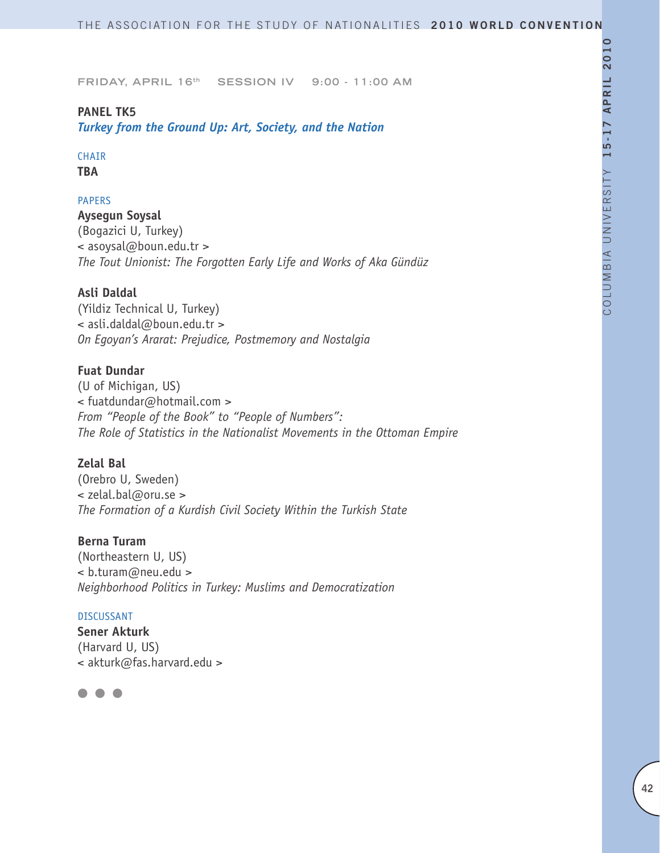# **PANEL TK5**

*Turkey from the Ground Up: Art, Society, and the Nation* 

# CHAIR

**TBA**

# PAPERS

**Aysegun Soysal** (Bogazici U, Turkey) < asoysal@boun.edu.tr > *The Tout Unionist: The Forgotten Early Life and Works of Aka Gündüz*

# **Asli Daldal**

(Yildiz Technical U, Turkey) < asli.daldal@boun.edu.tr > *On Egoyan's Ararat: Prejudice, Postmemory and Nostalgia* 

# **Fuat Dundar**

(U of Michigan, US) < fuatdundar@hotmail.com > *From "People of the Book" to "People of Numbers": The Role of Statistics in the Nationalist Movements in the Ottoman Empire*

# **Zelal Bal**

(Orebro U, Sweden) < zelal.bal@oru.se > *The Formation of a Kurdish Civil Society Within the Turkish State* 

# **Berna Turam**

(Northeastern U, US) < b.turam@neu.edu > *Neighborhood Politics in Turkey: Muslims and Democratization*

#### DISCUSSANT

**Sener Akturk**  (Harvard U, US) < akturk@fas.harvard.edu >

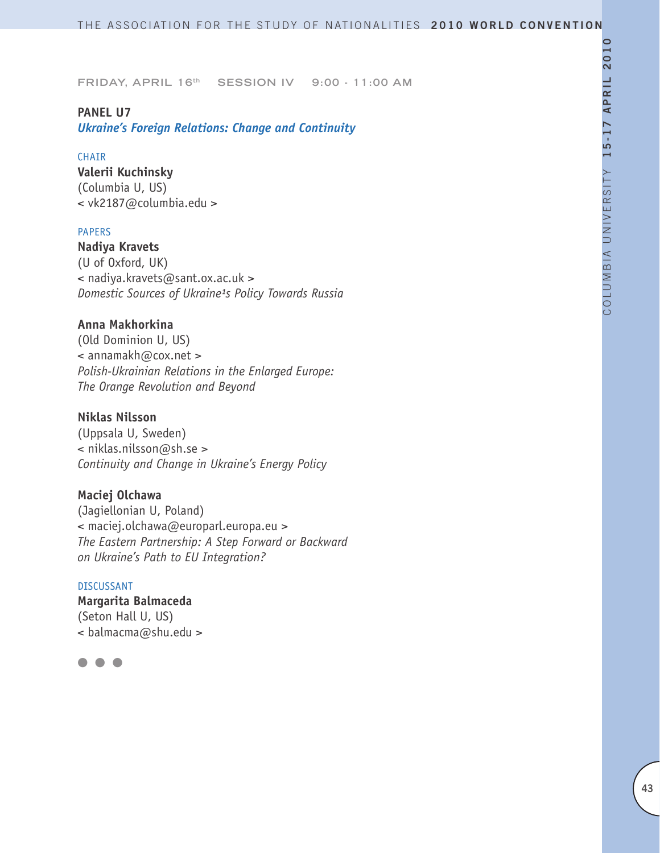# **PANEL U7**

*Ukraine's Foreign Relations: Change and Continuity*

#### CHAIR

**Valerii Kuchinsky** (Columbia U, US) < vk2187@columbia.edu >

#### PAPERS

**Nadiya Kravets** (U of Oxford, UK) < nadiya.kravets@sant.ox.ac.uk > **Domestic Sources of Ukraine<sup>1</sup>s Policy Towards Russia** 

# **Anna Makhorkina**

(Old Dominion U, US) < annamakh@cox.net > *Polish-Ukrainian Relations in the Enlarged Europe: The Orange Revolution and Beyond* 

# **Niklas Nilsson**

(Uppsala U, Sweden) < niklas.nilsson@sh.se > *Continuity and Change in Ukraine's Energy Policy*

# **Maciej Olchawa**

(Jagiellonian U, Poland) < maciej.olchawa@europarl.europa.eu > *The Eastern Partnership: A Step Forward or Backward on Ukraine's Path to EU Integration?* 

#### DISCUSSANT

**Margarita Balmaceda** (Seton Hall U, US) < balmacma@shu.edu >

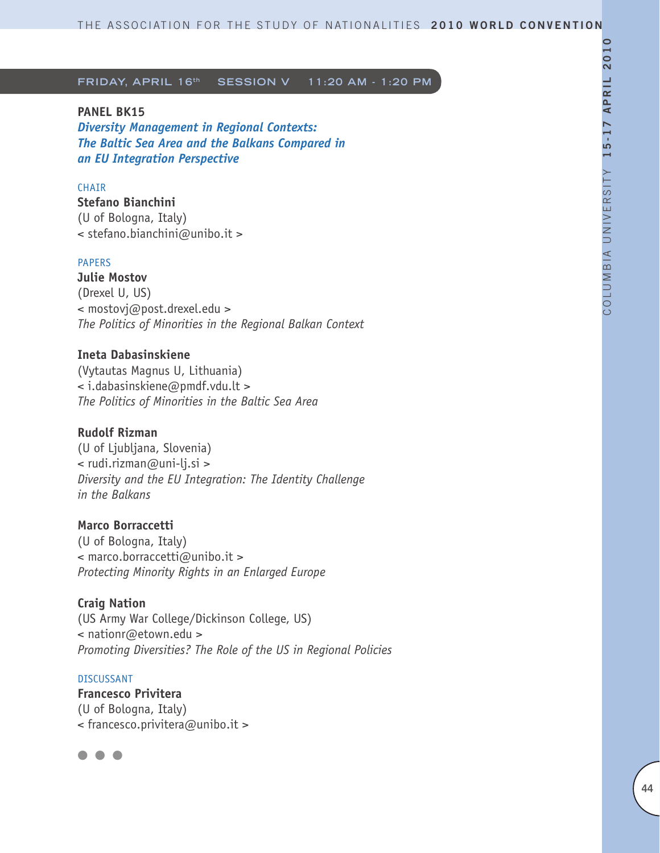#### **PANEL BK15**

*Diversity Management in Regional Contexts: The Baltic Sea Area and the Balkans Compared in an EU Integration Perspective*

#### **CHATR**

**Stefano Bianchini** (U of Bologna, Italy) < stefano.bianchini@unibo.it >

#### PAPERS

**Julie Mostov** (Drexel U, US) < mostovj@post.drexel.edu > *The Politics of Minorities in the Regional Balkan Context* 

# **Ineta Dabasinskiene**

(Vytautas Magnus U, Lithuania) < i.dabasinskiene@pmdf.vdu.lt > *The Politics of Minorities in the Baltic Sea Area*

#### **Rudolf Rizman**

(U of Ljubljana, Slovenia) < rudi.rizman@uni-lj.si > *Diversity and the EU Integration: The Identity Challenge in the Balkans*

#### **Marco Borraccetti**

(U of Bologna, Italy) < marco.borraccetti@unibo.it > *Protecting Minority Rights in an Enlarged Europe*

#### **Craig Nation**

(US Army War College/Dickinson College, US) < nationr@etown.edu > *Promoting Diversities? The Role of the US in Regional Policies* 

#### DISCUSSANT

**Francesco Privitera** (U of Bologna, Italy) < francesco.privitera@unibo.it >

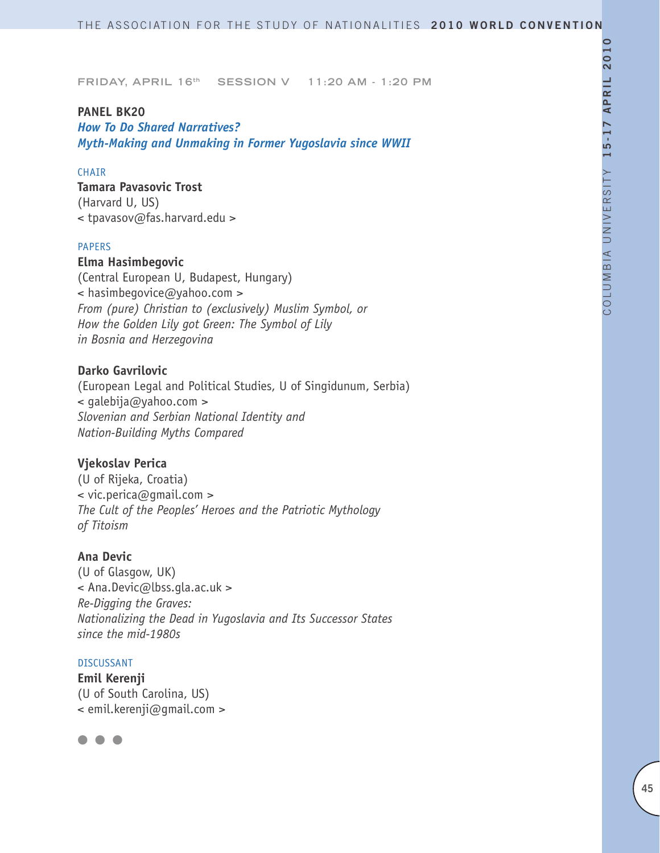### **PANEL BK20**

*How To Do Shared Narratives? Myth-Making and Unmaking in Former Yugoslavia since WWII*

# CHAIR

### **Tamara Pavasovic Trost** (Harvard U, US)

< tpavasov@fas.harvard.edu >

#### PAPERS

# **Elma Hasimbegovic**

(Central European U, Budapest, Hungary) < hasimbegovice@yahoo.com > *From (pure) Christian to (exclusively) Muslim Symbol, or How the Golden Lily got Green: The Symbol of Lily in Bosnia and Herzegovina*

# **Darko Gavrilovic**

(European Legal and Political Studies, U of Singidunum, Serbia) < galebija@yahoo.com > *Slovenian and Serbian National Identity and Nation-Building Myths Compared*

# **Vjekoslav Perica**

(U of Rijeka, Croatia) < vic.perica@gmail.com > *The Cult of the Peoples' Heroes and the Patriotic Mythology of Titoism*

#### **Ana Devic**

(U of Glasgow, UK) < Ana.Devic@lbss.gla.ac.uk > *Re-Digging the Graves: Nationalizing the Dead in Yugoslavia and Its Successor States since the mid-1980s*

#### DISCUSSANT

**Emil Kerenji** (U of South Carolina, US) < emil.kerenji@gmail.com >

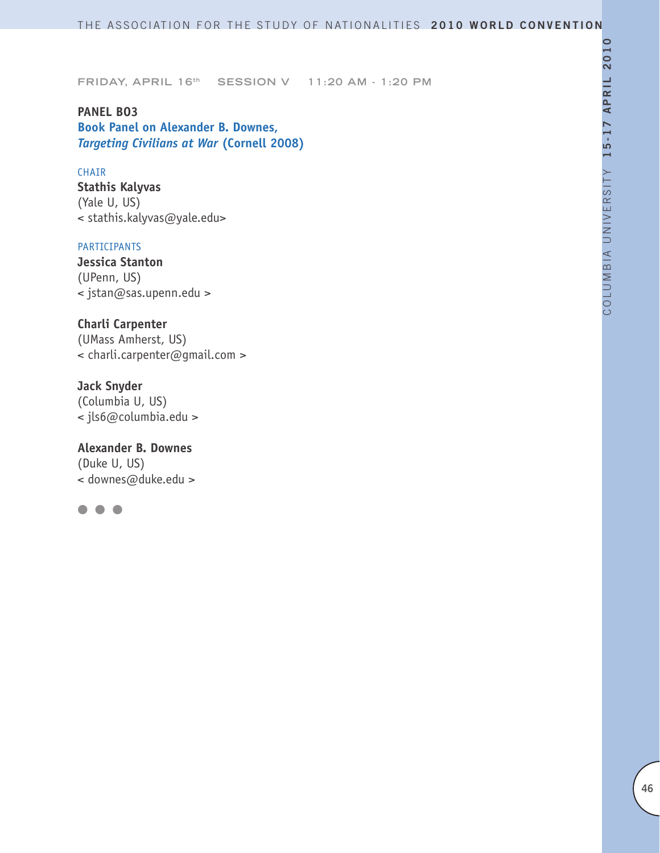**PANEL BO3 Book Panel on Alexander B. Downes,** *Targeting Civilians at War* **(Cornell 2008)**

#### CHAIR

**Stathis Kalyvas** (Yale U, US) < stathis.kalyvas@yale.edu>

#### PARTICIPANTS

**Jessica Stanton** (UPenn, US) < jstan@sas.upenn.edu >

**Charli Carpenter** (UMass Amherst, US) < charli.carpenter@gmail.com >

**Jack Snyder** (Columbia U, US) < jls6@columbia.edu >

**Alexander B. Downes** (Duke U, US) < downes@duke.edu >

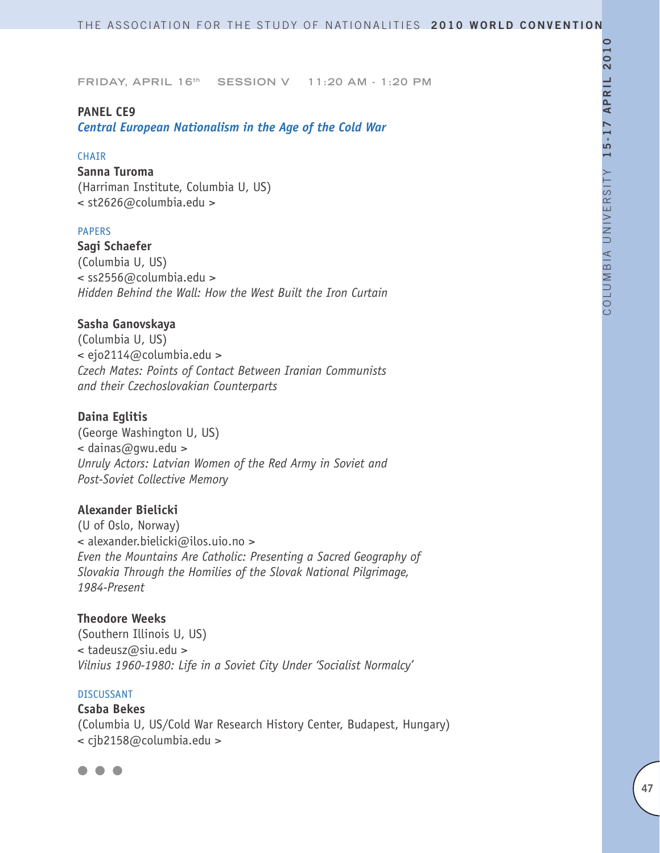#### **PANEL CE9**

*Central European Nationalism in the Age of the Cold War*

#### CHAIR

**Sanna Turoma** (Harriman Institute, Columbia U, US) < st2626@columbia.edu >

#### PAPERS

**Sagi Schaefer** (Columbia U, US) < ss2556@columbia.edu > *Hidden Behind the Wall: How the West Built the Iron Curtain*

#### **Sasha Ganovskaya**

(Columbia U, US) < ejo2114@columbia.edu > *Czech Mates: Points of Contact Between Iranian Communists and their Czechoslovakian Counterparts* 

#### **Daina Eglitis**

(George Washington U, US) < dainas@gwu.edu > *Unruly Actors: Latvian Women of the Red Army in Soviet and Post-Soviet Collective Memory*

### **Alexander Bielicki**

(U of Oslo, Norway) < alexander.bielicki@ilos.uio.no > *Even the Mountains Are Catholic: Presenting a Sacred Geography of Slovakia Through the Homilies of the Slovak National Pilgrimage, 1984-Present* 

**Theodore Weeks** (Southern Illinois U, US) < tadeusz@siu.edu > *Vilnius 1960-1980: Life in a Soviet City Under 'Socialist Normalcy'* 

#### DISCUSSANT

**Csaba Bekes** (Columbia U, US/Cold War Research History Center, Budapest, Hungary) < cjb2158@columbia.edu >

 $\bullet$   $\bullet$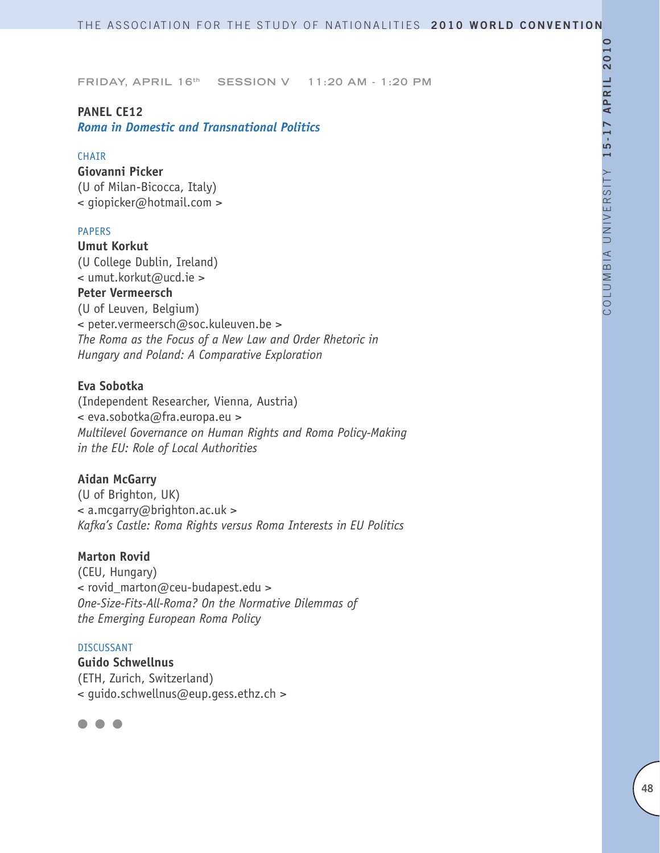# **PANEL CE12**

*Roma in Domestic and Transnational Politics* 

#### CHAIR

**Giovanni Picker** (U of Milan-Bicocca, Italy) < giopicker@hotmail.com >

### PAPERS

**Umut Korkut** (U College Dublin, Ireland) < umut.korkut@ucd.ie > **Peter Vermeersch** (U of Leuven, Belgium) < peter.vermeersch@soc.kuleuven.be > *The Roma as the Focus of a New Law and Order Rhetoric in Hungary and Poland: A Comparative Exploration*

### **Eva Sobotka**

(Independent Researcher, Vienna, Austria) < eva.sobotka@fra.europa.eu > *Multilevel Governance on Human Rights and Roma Policy-Making in the EU: Role of Local Authorities*

#### **Aidan McGarry**

(U of Brighton, UK) < a.mcgarry@brighton.ac.uk > *Kafka's Castle: Roma Rights versus Roma Interests in EU Politics*

#### **Marton Rovid**

(CEU, Hungary) < rovid\_marton@ceu-budapest.edu > *One-Size-Fits-All-Roma? On the Normative Dilemmas of the Emerging European Roma Policy*

#### DISCUSSANT

**Guido Schwellnus** (ETH, Zurich, Switzerland) < guido.schwellnus@eup.gess.ethz.ch >

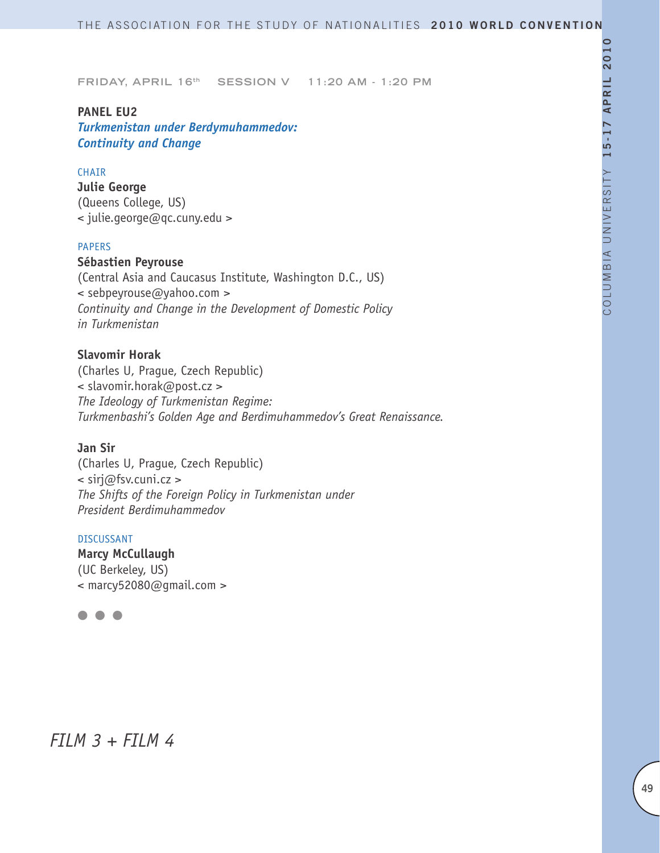### **PANEL EU2**

*Turkmenistan under Berdymuhammedov: Continuity and Change*

#### CHAIR

**Julie George** (Queens College, US) < julie.george@qc.cuny.edu >

#### PAPERS

# **Sébastien Peyrouse**

(Central Asia and Caucasus Institute, Washington D.C., US) < sebpeyrouse@yahoo.com > *Continuity and Change in the Development of Domestic Policy in Turkmenistan*

# **Slavomir Horak**

(Charles U, Prague, Czech Republic) < slavomir.horak@post.cz > *The Ideology of Turkmenistan Regime: Turkmenbashi's Golden Age and Berdimuhammedov's Great Renaissance.*

#### **Jan Sir**

(Charles U, Prague, Czech Republic) < sirj@fsv.cuni.cz > *The Shifts of the Foreign Policy in Turkmenistan under President Berdimuhammedov*

### DISCUSSANT

**Marcy McCullaugh** (UC Berkeley, US) < marcy52080@gmail.com >



# *FILM 3 + FILM 4*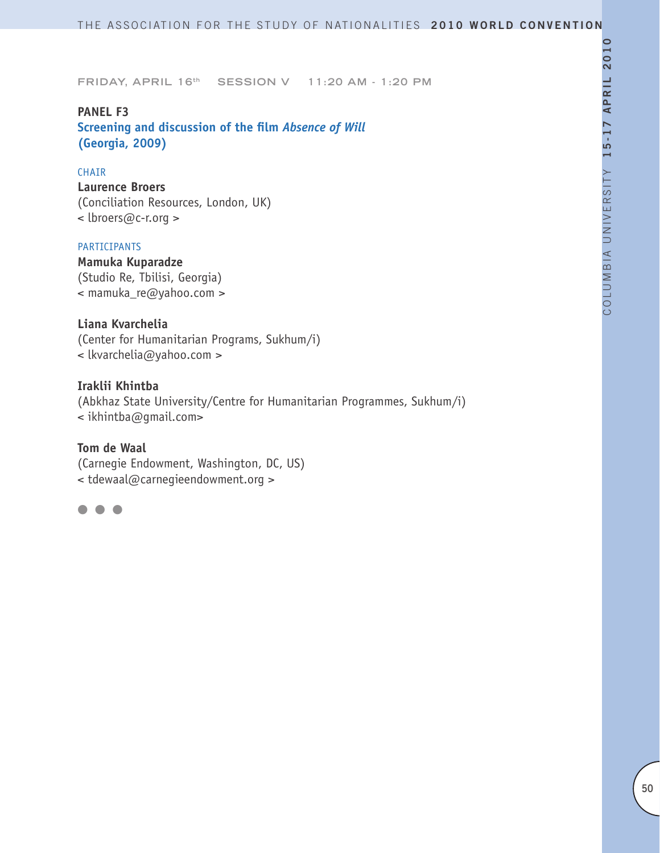**PANEL F3 Screening and discussion of the film** *Absence of Will*  **(Georgia, 2009)**

#### CHAIR

**Laurence Broers** (Conciliation Resources, London, UK) < lbroers@c-r.org >

#### PARTICIPANTS

**Mamuka Kuparadze** (Studio Re, Tbilisi, Georgia) < mamuka\_re@yahoo.com >

### **Liana Kvarchelia**

(Center for Humanitarian Programs, Sukhum/i) < lkvarchelia@yahoo.com >

#### **Iraklii Khintba**

(Abkhaz State University/Centre for Humanitarian Programmes, Sukhum/i) < ikhintba@gmail.com>

# **Tom de Waal**

(Carnegie Endowment, Washington, DC, US) < tdewaal@carnegieendowment.org >

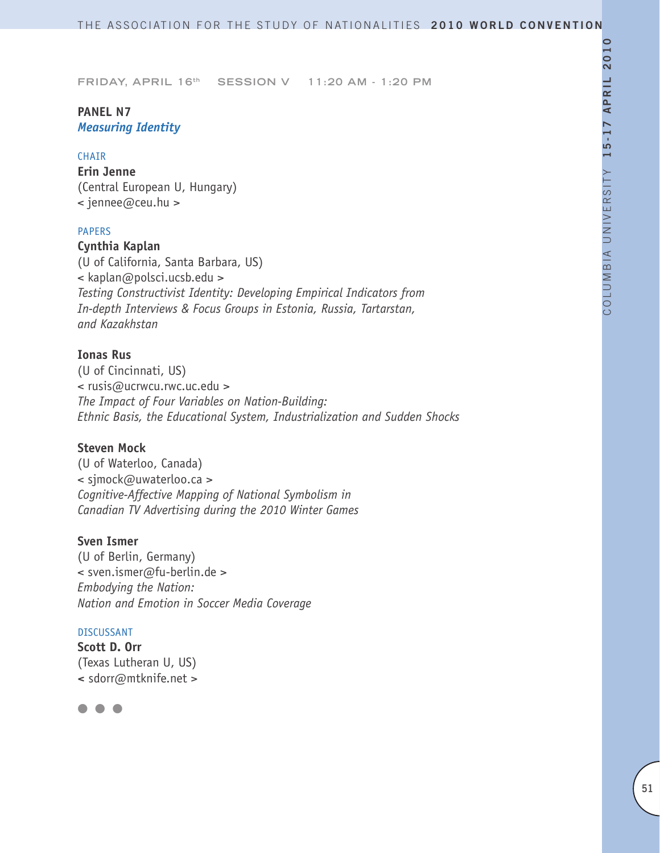# **PANEL N7** *Measuring Identity*

#### CHAIR

**Erin Jenne** (Central European U, Hungary) < jennee@ceu.hu >

### PAPERS

**Cynthia Kaplan** (U of California, Santa Barbara, US) < kaplan@polsci.ucsb.edu > *Testing Constructivist Identity: Developing Empirical Indicators from In-depth Interviews & Focus Groups in Estonia, Russia, Tartarstan, and Kazakhstan* 

# **Ionas Rus**

(U of Cincinnati, US) < rusis@ucrwcu.rwc.uc.edu > *The Impact of Four Variables on Nation-Building: Ethnic Basis, the Educational System, Industrialization and Sudden Shocks* 

# **Steven Mock**

(U of Waterloo, Canada) < sjmock@uwaterloo.ca > *Cognitive-Affective Mapping of National Symbolism in Canadian TV Advertising during the 2010 Winter Games*

# **Sven Ismer**

(U of Berlin, Germany) < sven.ismer@fu-berlin.de > *Embodying the Nation: Nation and Emotion in Soccer Media Coverage*

#### DISCUSSANT

**Scott D. Orr** (Texas Lutheran U, US) **<** sdorr@mtknife.net >

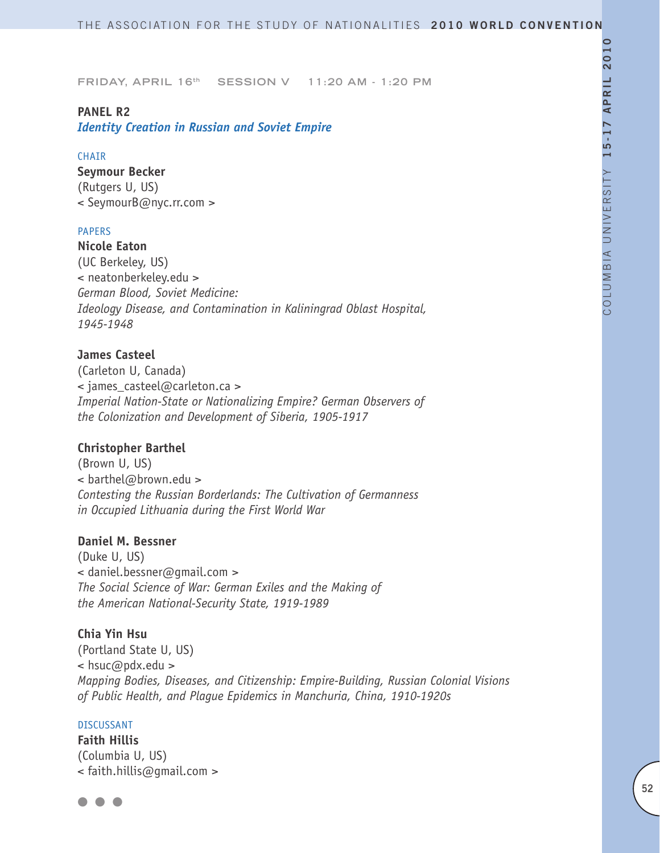### **PANEL R2**

*Identity Creation in Russian and Soviet Empire*

#### CHAIR

**Seymour Becker** (Rutgers U, US) < SeymourB@nyc.rr.com >

### PAPERS

**Nicole Eaton** (UC Berkeley, US) < neatonberkeley.edu > *German Blood, Soviet Medicine: Ideology Disease, and Contamination in Kaliningrad Oblast Hospital, 1945-1948*

# **James Casteel**

(Carleton U, Canada) < james\_casteel@carleton.ca > *Imperial Nation-State or Nationalizing Empire? German Observers of the Colonization and Development of Siberia, 1905-1917*

#### **Christopher Barthel**

(Brown U, US) < barthel@brown.edu > *Contesting the Russian Borderlands: The Cultivation of Germanness in Occupied Lithuania during the First World War*

# **Daniel M. Bessner**

(Duke U, US) < daniel.bessner@gmail.com > *The Social Science of War: German Exiles and the Making of the American National-Security State, 1919-1989*

#### **Chia Yin Hsu**

(Portland State U, US) < hsuc@pdx.edu > *Mapping Bodies, Diseases, and Citizenship: Empire-Building, Russian Colonial Visions of Public Health, and Plague Epidemics in Manchuria, China, 1910-1920s*

#### DISCUSSANT

**Faith Hillis**  (Columbia U, US) < faith.hillis@gmail.com >

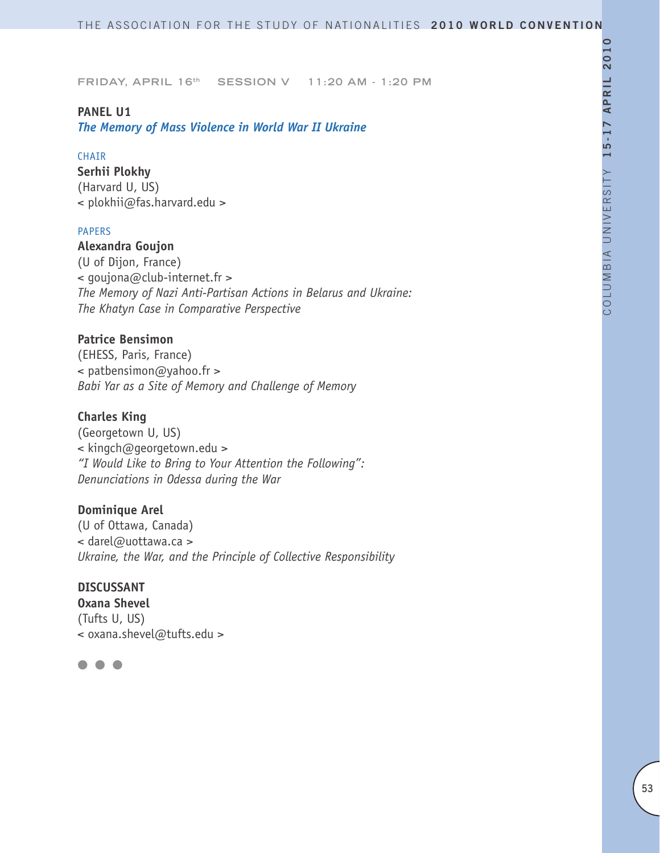#### **PANEL U1**

*The Memory of Mass Violence in World War II Ukraine*

#### CHAIR

**Serhii Plokhy** (Harvard U, US) < plokhii@fas.harvard.edu >

#### PAPERS

# **Alexandra Goujon**

(U of Dijon, France) < goujona@club-internet.fr > *The Memory of Nazi Anti-Partisan Actions in Belarus and Ukraine: The Khatyn Case in Comparative Perspective*

# **Patrice Bensimon**

(EHESS, Paris, France) < patbensimon@yahoo.fr > *Babi Yar as a Site of Memory and Challenge of Memory*

# **Charles King**

(Georgetown U, US) < kingch@georgetown.edu > *"I Would Like to Bring to Your Attention the Following": Denunciations in Odessa during the War*

# **Dominique Arel**

(U of Ottawa, Canada) < darel@uottawa.ca > *Ukraine, the War, and the Principle of Collective Responsibility*

# **DISCUSSANT**

**Oxana Shevel** (Tufts U, US) < oxana.shevel@tufts.edu >

# l l l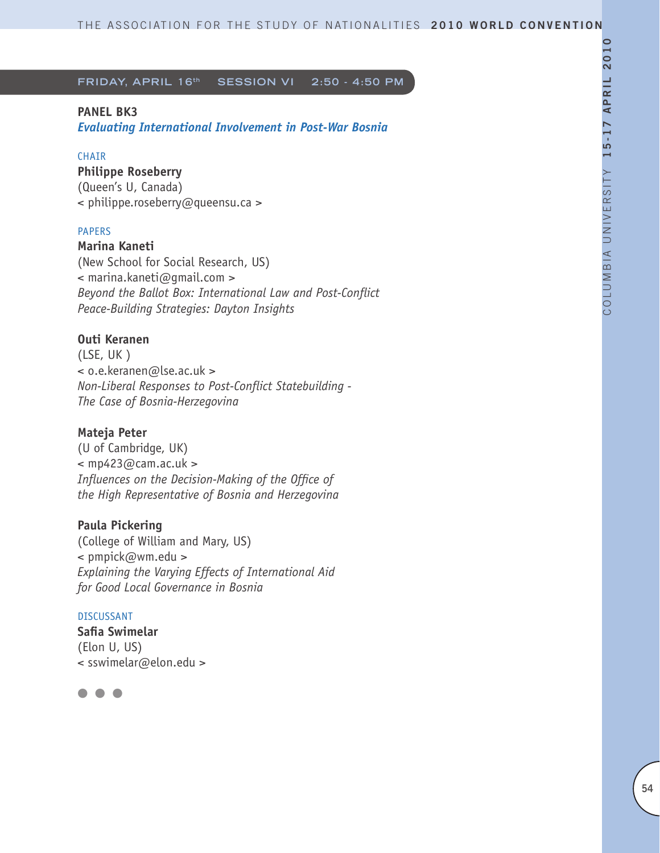**FRIDAY, APRIL 16<sup>th</sup> SESSION VI 2:50 - 4:50 PM** 

# **PANEL BK3**

*Evaluating International Involvement in Post-War Bosnia*

# **CHAIR**

**Philippe Roseberry** (Queen's U, Canada) < philippe.roseberry@queensu.ca >

# PAPERS

**Marina Kaneti** (New School for Social Research, US) < marina.kaneti@gmail.com > *Beyond the Ballot Box: International Law and Post-Conflict Peace-Building Strategies: Dayton Insights* 

# **Outi Keranen**

(LSE, UK ) < o.e.keranen@lse.ac.uk > *Non-Liberal Responses to Post-Conflict Statebuilding - The Case of Bosnia-Herzegovina*

# **Mateja Peter**

(U of Cambridge, UK)  $<$  mp423@cam.ac.uk > *Influences on the Decision-Making of the Office of the High Representative of Bosnia and Herzegovina* 

# **Paula Pickering**

(College of William and Mary, US) < pmpick@wm.edu > *Explaining the Varying Effects of International Aid for Good Local Governance in Bosnia* 

#### DISCUSSANT

**Safia Swimelar** (Elon U, US) < sswimelar@elon.edu >

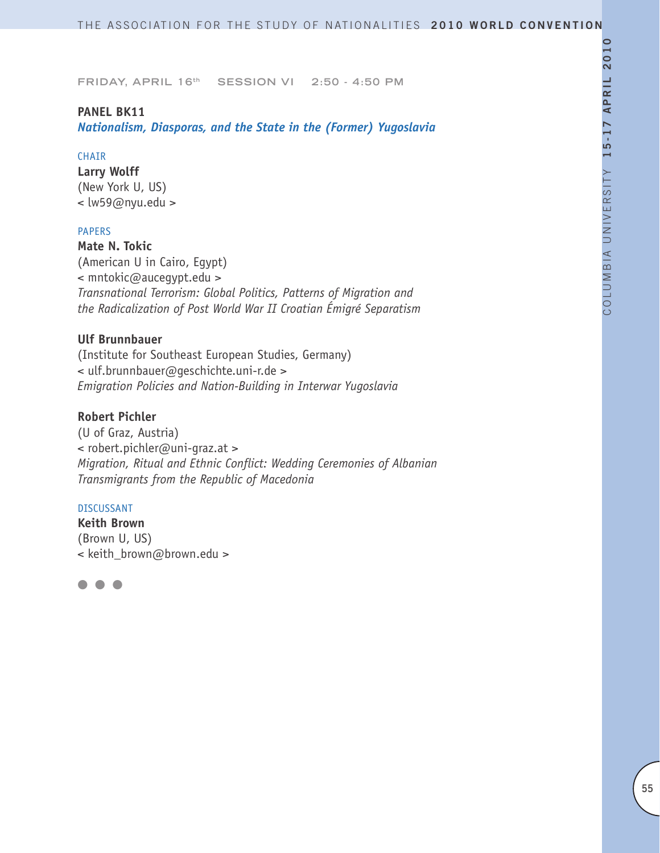#### **PANEL BK11**

*Nationalism, Diasporas, and the State in the (Former) Yugoslavia*

#### **CHAIR**

**Larry Wolff** (New York U, US) < lw59@nyu.edu >

#### PAPERS

**Mate N. Tokic** (American U in Cairo, Egypt) < mntokic@aucegypt.edu > *Transnational Terrorism: Global Politics, Patterns of Migration and the Radicalization of Post World War II Croatian Émigré Separatism*

# **Ulf Brunnbauer**

(Institute for Southeast European Studies, Germany) < ulf.brunnbauer@geschichte.uni-r.de > *Emigration Policies and Nation-Building in Interwar Yugoslavia* 

# **Robert Pichler**

(U of Graz, Austria) < robert.pichler@uni-graz.at > *Migration, Ritual and Ethnic Conflict: Wedding Ceremonies of Albanian Transmigrants from the Republic of Macedonia* 

#### DISCUSSANT

**Keith Brown** (Brown U, US) < keith\_brown@brown.edu >

l l l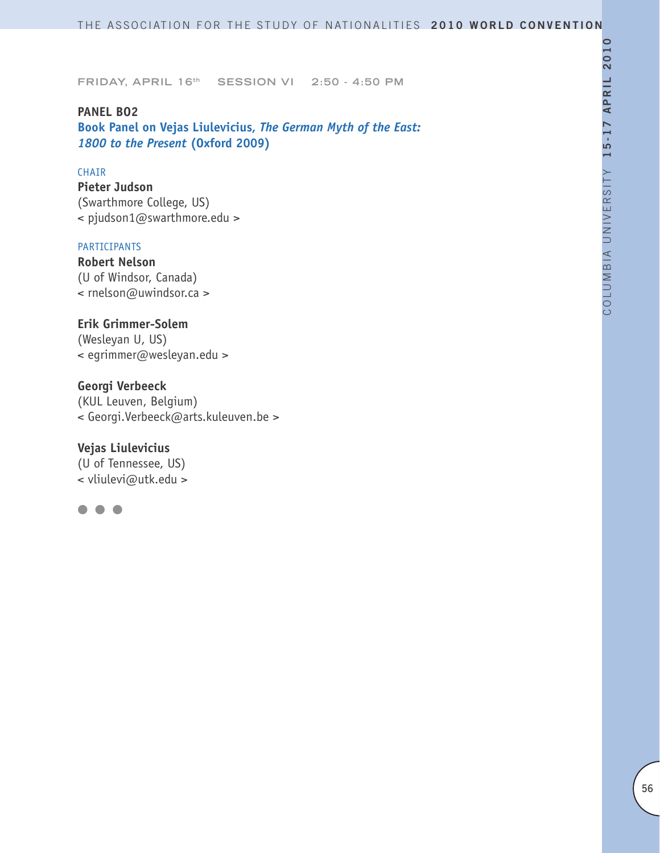**PANEL BO2 Book Panel on Vejas Liulevicius,** *The German Myth of the East: 1800 to the Present* **(Oxford 2009)**

#### CHAIR

**Pieter Judson** (Swarthmore College, US) < pjudson1@swarthmore.edu >

#### PARTICIPANTS

**Robert Nelson** (U of Windsor, Canada) < rnelson@uwindsor.ca >

**Erik Grimmer-Solem**  (Wesleyan U, US) < egrimmer@wesleyan.edu >

**Georgi Verbeeck**  (KUL Leuven, Belgium) < Georgi.Verbeeck@arts.kuleuven.be >

**Vejas Liulevicius** (U of Tennessee, US) < vliulevi@utk.edu >

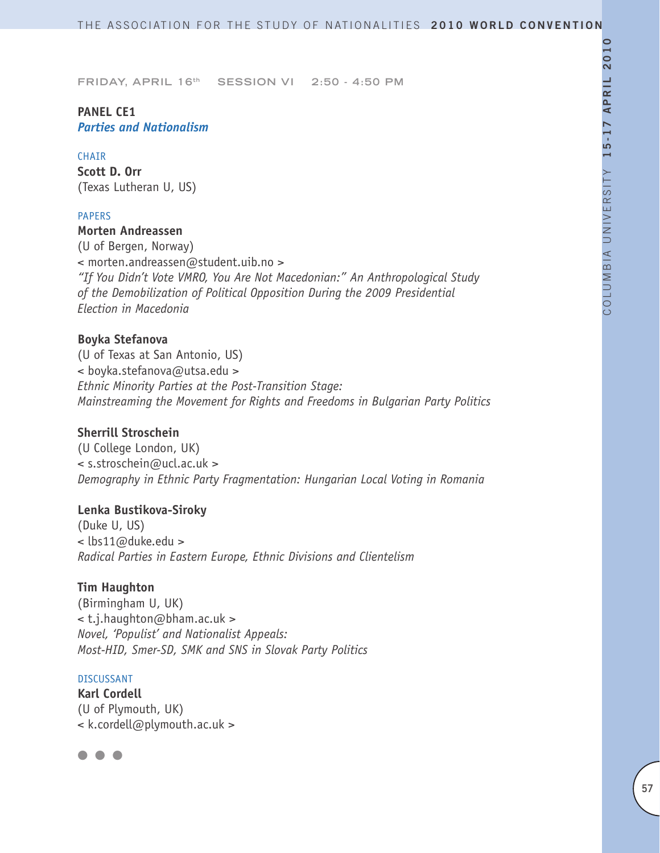# **PANEL CE1** *Parties and Nationalism*

#### CHAIR

**Scott D. Orr** (Texas Lutheran U, US)

#### PAPERS

# **Morten Andreassen**

(U of Bergen, Norway) < morten.andreassen@student.uib.no > *"If You Didn't Vote VMRO, You Are Not Macedonian:" An Anthropological Study of the Demobilization of Political Opposition During the 2009 Presidential Election in Macedonia* 

# **Boyka Stefanova**

(U of Texas at San Antonio, US) < boyka.stefanova@utsa.edu > *Ethnic Minority Parties at the Post-Transition Stage: Mainstreaming the Movement for Rights and Freedoms in Bulgarian Party Politics*

# **Sherrill Stroschein**

(U College London, UK) < s.stroschein@ucl.ac.uk > *Demography in Ethnic Party Fragmentation: Hungarian Local Voting in Romania*

#### **Lenka Bustikova-Siroky**

(Duke U, US) < lbs11@duke.edu > *Radical Parties in Eastern Europe, Ethnic Divisions and Clientelism* 

#### **Tim Haughton**

(Birmingham U, UK) < t.j.haughton@bham.ac.uk > *Novel, 'Populist' and Nationalist Appeals: Most-HID, Smer-SD, SMK and SNS in Slovak Party Politics*

#### DISCUSSANT

**Karl Cordell** (U of Plymouth, UK) < k.cordell@plymouth.ac.uk >

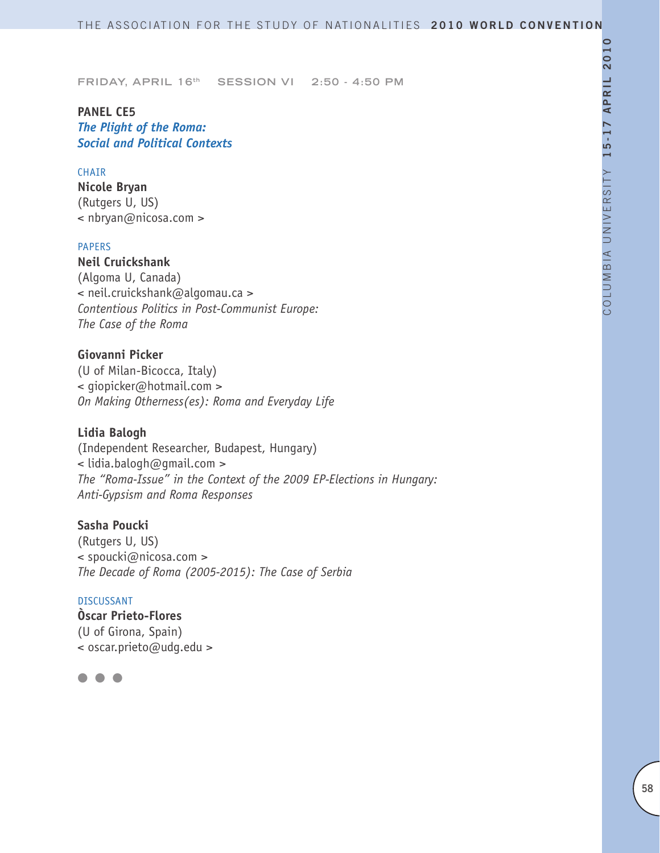**PANEL CE5** *The Plight of the Roma: Social and Political Contexts*

#### CHAIR

**Nicole Bryan** (Rutgers U, US) < nbryan@nicosa.com >

#### PAPERS

**Neil Cruickshank** (Algoma U, Canada) < neil.cruickshank@algomau.ca > *Contentious Politics in Post-Communist Europe: The Case of the Roma*

# **Giovanni Picker**

(U of Milan-Bicocca, Italy) < giopicker@hotmail.com > *On Making Otherness(es): Roma and Everyday Life*

### **Lidia Balogh**

(Independent Researcher, Budapest, Hungary) < lidia.balogh@gmail.com > *The "Roma-Issue" in the Context of the 2009 EP-Elections in Hungary: Anti-Gypsism and Roma Responses* 

# **Sasha Poucki**

(Rutgers U, US) < spoucki@nicosa.com > *The Decade of Roma (2005-2015): The Case of Serbia* 

#### DISCUSSANT

**Òscar Prieto-Flores** (U of Girona, Spain) < oscar.prieto@udg.edu >

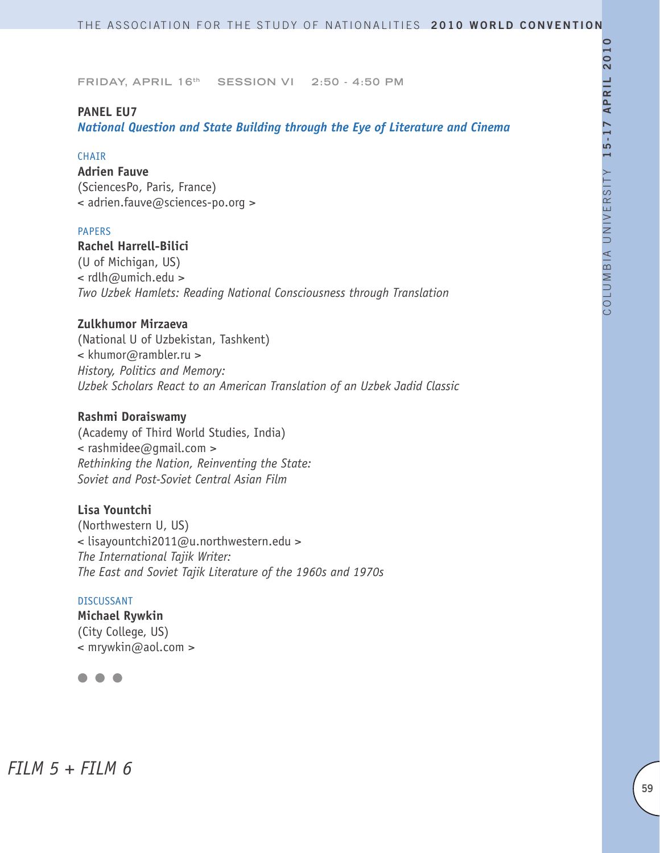#### **PANEL EU7**

*National Question and State Building through the Eye of Literature and Cinema*

#### **CHAIR**

**Adrien Fauve** (SciencesPo, Paris, France) < adrien.fauve@sciences-po.org >

#### PAPERS

**Rachel Harrell-Bilici** (U of Michigan, US) < rdlh@umich.edu > *Two Uzbek Hamlets: Reading National Consciousness through Translation*

#### **Zulkhumor Mirzaeva**

(National U of Uzbekistan, Tashkent) < khumor@rambler.ru > *History, Politics and Memory: Uzbek Scholars React to an American Translation of an Uzbek Jadid Classic*

#### **Rashmi Doraiswamy**

(Academy of Third World Studies, India) < rashmidee@gmail.com > *Rethinking the Nation, Reinventing the State: Soviet and Post-Soviet Central Asian Film*

# **Lisa Yountchi**

(Northwestern U, US) < lisayountchi2011@u.northwestern.edu > *The International Tajik Writer: The East and Soviet Tajik Literature of the 1960s and 1970s*

#### DISCUSSANT

**Michael Rywkin** (City College, US) < mrywkin@aol.com >

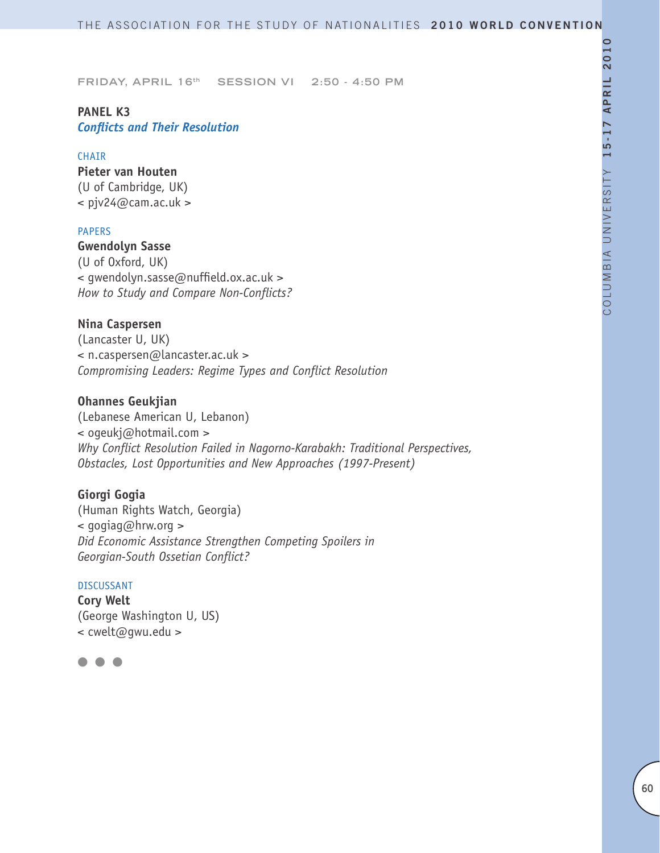# **PANEL K3** *Conflicts and Their Resolution*

#### CHAIR

**Pieter van Houten** (U of Cambridge, UK)  $\langle$  pjv24@cam.ac.uk >

#### PAPERS

**Gwendolyn Sasse** (U of Oxford, UK) < gwendolyn.sasse@nuffield.ox.ac.uk > *How to Study and Compare Non-Conflicts?*

### **Nina Caspersen**

(Lancaster U, UK) < n.caspersen@lancaster.ac.uk > *Compromising Leaders: Regime Types and Conflict Resolution*

#### **Ohannes Geukjian**

(Lebanese American U, Lebanon) < ogeukj@hotmail.com > *Why Conflict Resolution Failed in Nagorno-Karabakh: Traditional Perspectives, Obstacles, Lost Opportunities and New Approaches (1997-Present)*

# **Giorgi Gogia**

(Human Rights Watch, Georgia) < gogiag@hrw.org > *Did Economic Assistance Strengthen Competing Spoilers in Georgian-South Ossetian Conflict?*

#### DISCUSSANT

**Cory Welt** (George Washington U, US) < cwelt@gwu.edu >

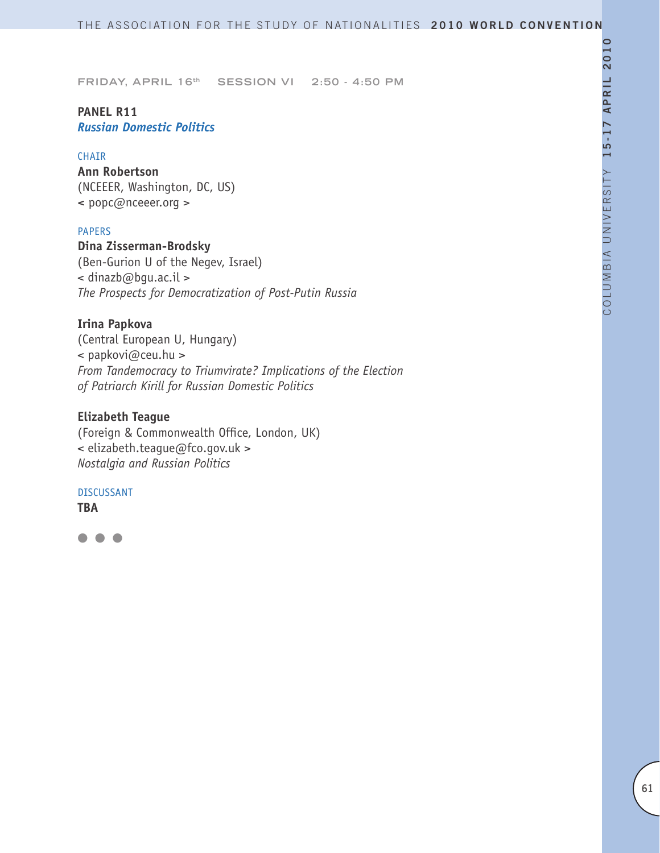# **PANEL R11** *Russian Domestic Politics*

#### CHAIR

**Ann Robertson** (NCEEER, Washington, DC, US) **<** popc@nceeer.org >

### PAPERS

# **Dina Zisserman-Brodsky**

(Ben-Gurion U of the Negev, Israel) < dinazb@bgu.ac.il > *The Prospects for Democratization of Post-Putin Russia*

#### **Irina Papkova**

(Central European U, Hungary) < papkovi@ceu.hu > *From Tandemocracy to Triumvirate? Implications of the Election of Patriarch Kirill for Russian Domestic Politics*

# **Elizabeth Teague**

(Foreign & Commonwealth Office, London, UK) < elizabeth.teague@fco.gov.uk > *Nostalgia and Russian Politics*

#### DISCUSSANT

**TBA**

 $\bullet$   $\bullet$   $\bullet$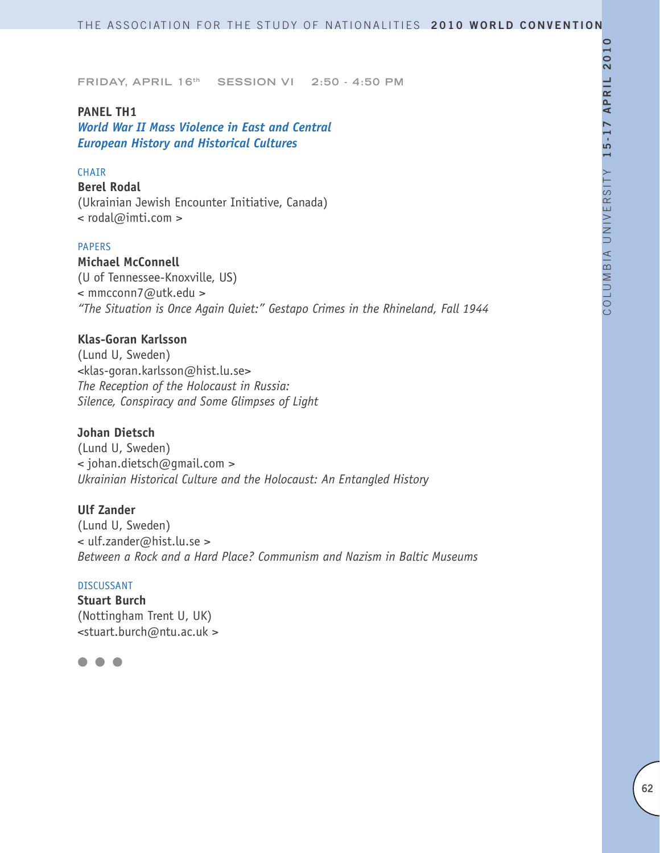#### **PANEL TH1**

*World War II Mass Violence in East and Central European History and Historical Cultures*

#### CHAIR

**Berel Rodal** (Ukrainian Jewish Encounter Initiative, Canada) < rodal@imti.com >

#### PAPERS

**Michael McConnell** (U of Tennessee-Knoxville, US) < mmcconn7@utk.edu > *"The Situation is Once Again Quiet:" Gestapo Crimes in the Rhineland, Fall 1944*

# **Klas-Goran Karlsson**

(Lund U, Sweden) <klas-goran.karlsson@hist.lu.se> *The Reception of the Holocaust in Russia: Silence, Conspiracy and Some Glimpses of Light*

### **Johan Dietsch**

(Lund U, Sweden) < johan.dietsch@gmail.com > *Ukrainian Historical Culture and the Holocaust: An Entangled History*

#### **Ulf Zander**

(Lund U, Sweden) < ulf.zander@hist.lu.se > *Between a Rock and a Hard Place? Communism and Nazism in Baltic Museums* 

#### DISCUSSANT

**Stuart Burch** (Nottingham Trent U, UK) <stuart.burch@ntu.ac.uk >

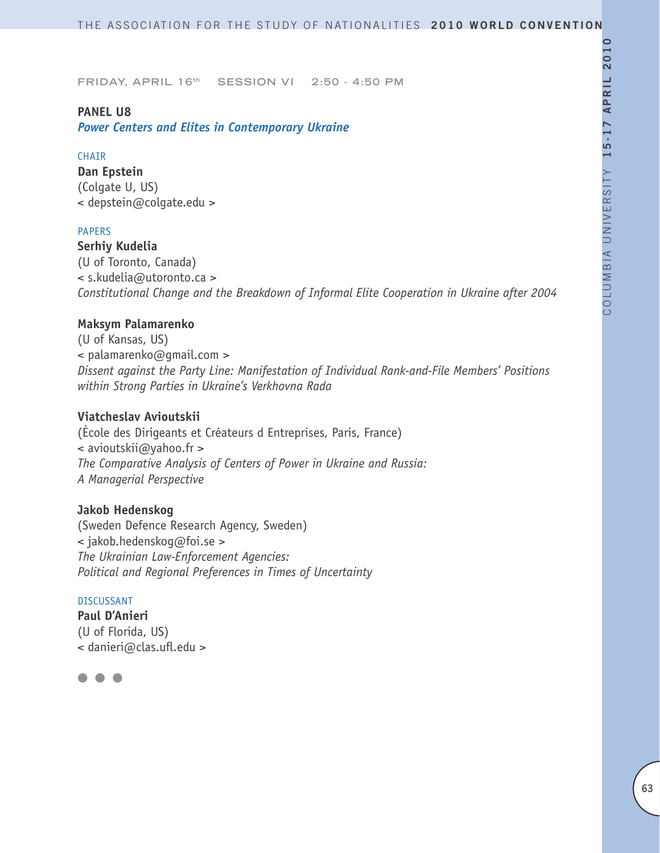#### **PANEL U8**

*Power Centers and Elites in Contemporary Ukraine*

### **CHAIR**

**Dan Epstein** (Colgate U, US) < depstein@colgate.edu >

# PAPERS

**Serhiy Kudelia**  (U of Toronto, Canada) < s.kudelia@utoronto.ca > *Constitutional Change and the Breakdown of Informal Elite Cooperation in Ukraine after 2004* 

# **Maksym Palamarenko**

(U of Kansas, US) < palamarenko@gmail.com > *Dissent against the Party Line: Manifestation of Individual Rank-and-File Members' Positions within Strong Parties in Ukraine's Verkhovna Rada*

# **Viatcheslav Avioutskii**

(École des Dirigeants et Créateurs d Entreprises, Paris, France) < avioutskii@yahoo.fr > *The Comparative Analysis of Centers of Power in Ukraine and Russia: A Managerial Perspective*

# **Jakob Hedenskog**

(Sweden Defence Research Agency, Sweden) < jakob.hedenskog@foi.se > *The Ukrainian Law-Enforcement Agencies: Political and Regional Preferences in Times of Uncertainty*

#### DISCUSSANT

**Paul D'Anieri** (U of Florida, US) < danieri@clas.ufl.edu >

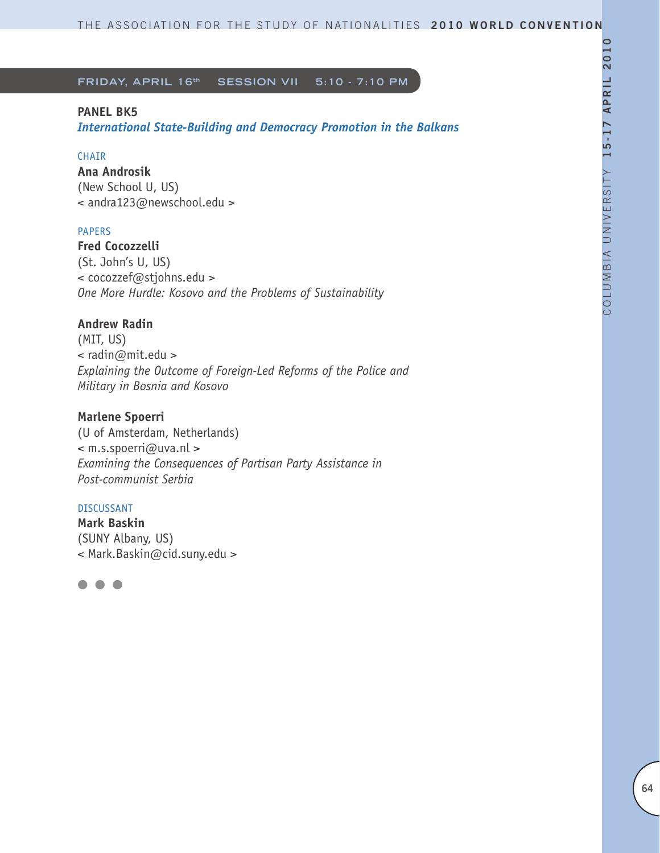### **PANEL BK5**

*International State-Building and Democracy Promotion in the Balkans* 

### CHAIR

**Ana Androsik** (New School U, US) < andra123@newschool.edu >

### PAPERS

**Fred Cocozzelli** (St. John's U, US) < cocozzef@stjohns.edu > *One More Hurdle: Kosovo and the Problems of Sustainability* 

# **Andrew Radin**

(MIT, US) < radin@mit.edu > *Explaining the Outcome of Foreign-Led Reforms of the Police and Military in Bosnia and Kosovo*

# **Marlene Spoerri**

(U of Amsterdam, Netherlands) < m.s.spoerri@uva.nl > *Examining the Consequences of Partisan Party Assistance in Post-communist Serbia*

#### DISCUSSANT

**Mark Baskin** (SUNY Albany, US) < Mark.Baskin@cid.suny.edu >

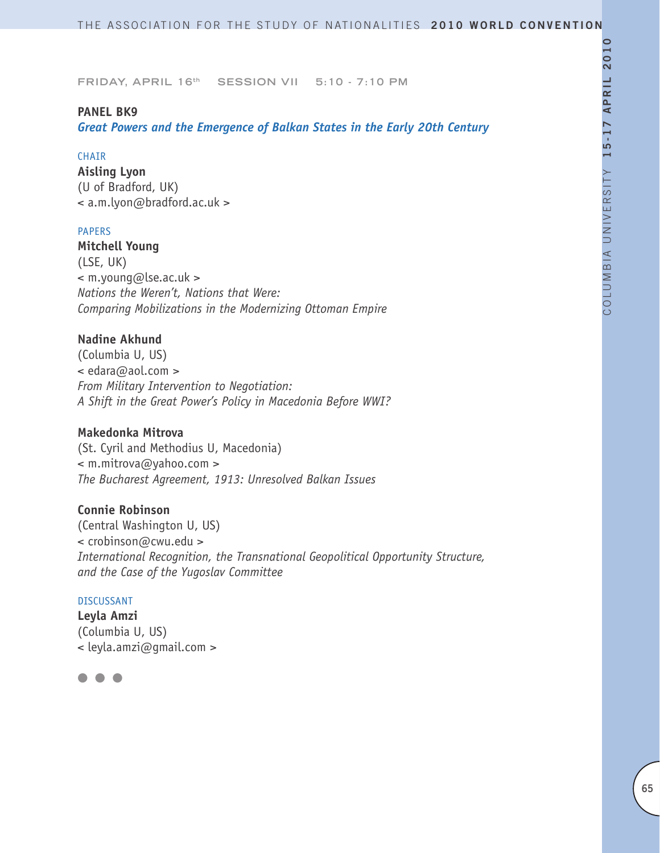#### **PANEL BK9**

*Great Powers and the Emergence of Balkan States in the Early 20th Century* 

#### **CHAIR**

**Aisling Lyon** (U of Bradford, UK) < a.m.lyon@bradford.ac.uk >

#### PAPERS

**Mitchell Young** (LSE, UK) < m.young@lse.ac.uk > *Nations the Weren't, Nations that Were: Comparing Mobilizations in the Modernizing Ottoman Empire*

# **Nadine Akhund**

(Columbia U, US) < edara@aol.com > *From Military Intervention to Negotiation: A Shift in the Great Power's Policy in Macedonia Before WWI?* 

# **Makedonka Mitrova**

(St. Cyril and Methodius U, Macedonia) < m.mitrova@yahoo.com > *The Bucharest Agreement, 1913: Unresolved Balkan Issues*

# **Connie Robinson**

(Central Washington U, US) < crobinson@cwu.edu > *International Recognition, the Transnational Geopolitical Opportunity Structure, and the Case of the Yugoslav Committee*

#### DISCUSSANT

**Leyla Amzi** (Columbia U, US) < leyla.amzi@gmail.com >

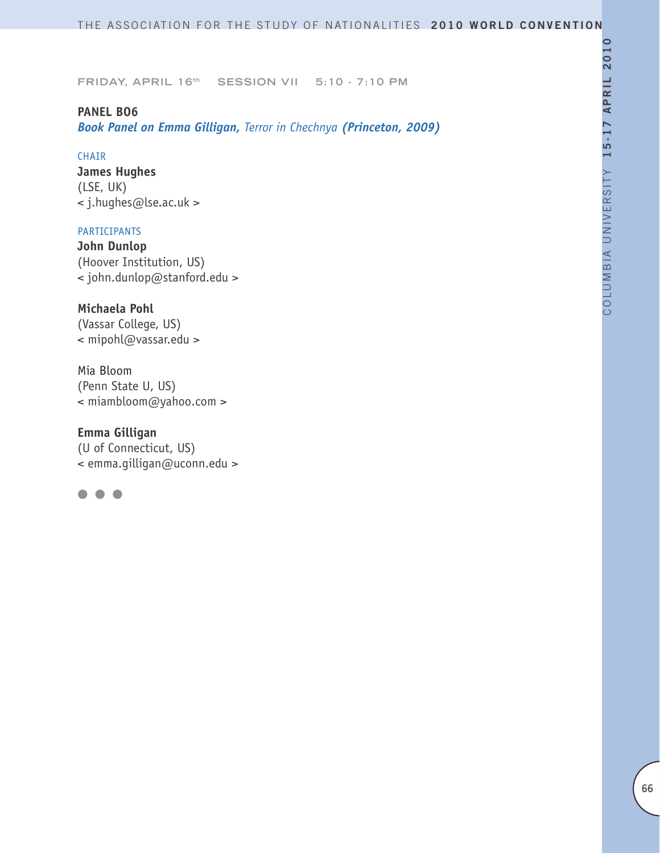#### **PANEL BO6**

*Book Panel on Emma Gilligan, Terror in Chechnya (Princeton, 2009)*

#### CHAIR

**James Hughes** (LSE, UK) < j.hughes@lse.ac.uk >

# PARTICIPANTS

**John Dunlop**  (Hoover Institution, US) < john.dunlop@stanford.edu >

# **Michaela Pohl**

(Vassar College, US) < mipohl@vassar.edu >

Mia Bloom (Penn State U, US) < miambloom@yahoo.com >

# **Emma Gilligan**

(U of Connecticut, US) < emma.gilligan@uconn.edu >

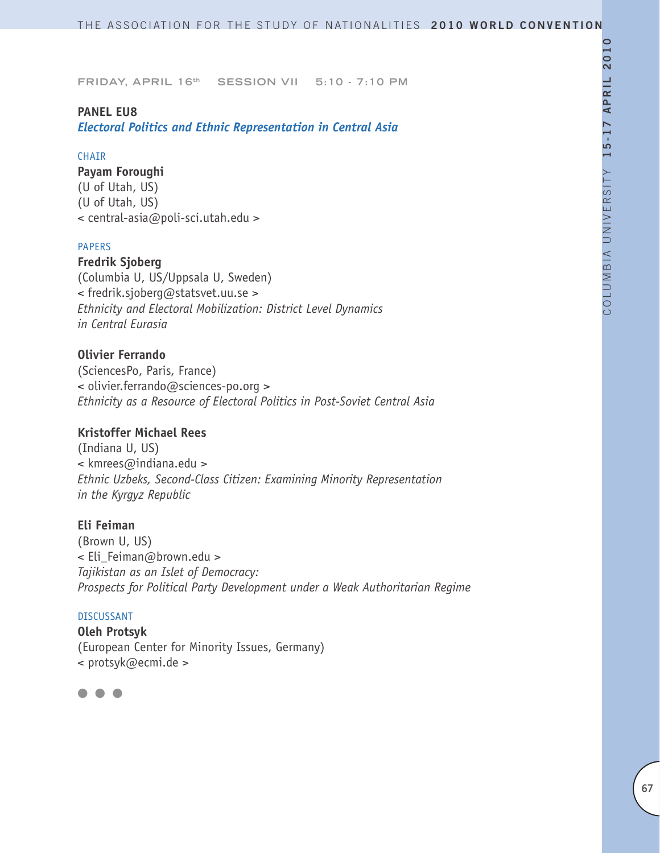#### **PANEL EU8**

*Electoral Politics and Ethnic Representation in Central Asia*

#### CHAIR

#### **Payam Foroughi**

(U of Utah, US) (U of Utah, US) < central-asia@poli-sci.utah.edu >

#### PAPERS

**Fredrik Sjoberg** (Columbia U, US/Uppsala U, Sweden) < fredrik.sjoberg@statsvet.uu.se > *Ethnicity and Electoral Mobilization: District Level Dynamics in Central Eurasia*

# **Olivier Ferrando**

(SciencesPo, Paris, France) < olivier.ferrando@sciences-po.org > *Ethnicity as a Resource of Electoral Politics in Post-Soviet Central Asia*

# **Kristoffer Michael Rees**

(Indiana U, US) < kmrees@indiana.edu > *Ethnic Uzbeks, Second-Class Citizen: Examining Minority Representation in the Kyrgyz Republic*

#### **Eli Feiman**

(Brown U, US) < Eli\_Feiman@brown.edu > *Tajikistan as an Islet of Democracy: Prospects for Political Party Development under a Weak Authoritarian Regime*

# DISCUSSANT

**Oleh Protsyk** (European Center for Minority Issues, Germany) < protsyk@ecmi.de >

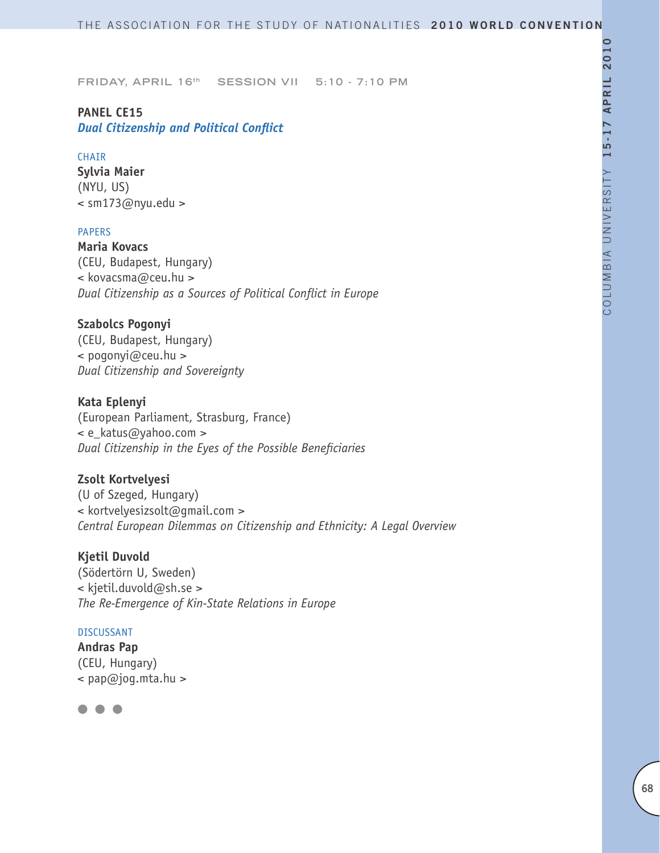# **PANEL CE15**

# *Dual Citizenship and Political Conflict*

### CHAIR

**Sylvia Maier** (NYU, US)  $\leq$  sm173@nyu.edu >

### PAPERS

**Maria Kovacs** (CEU, Budapest, Hungary) < kovacsma@ceu.hu > *Dual Citizenship as a Sources of Political Conflict in Europe*

# **Szabolcs Pogonyi**

(CEU, Budapest, Hungary) < pogonyi@ceu.hu > *Dual Citizenship and Sovereignty*

# **Kata Eplenyi**

(European Parliament, Strasburg, France) < e katus@yahoo.com > *Dual Citizenship in the Eyes of the Possible Beneficiaries*

# **Zsolt Kortvelyesi**

(U of Szeged, Hungary) < kortvelyesizsolt@gmail.com > *Central European Dilemmas on Citizenship and Ethnicity: A Legal Overview*

# **Kjetil Duvold**

(Södertörn U, Sweden) < kjetil.duvold@sh.se > *The Re-Emergence of Kin-State Relations in Europe*

#### DISCUSSANT

**Andras Pap**  (CEU, Hungary)  $\leq$  pap@jog.mta.hu >

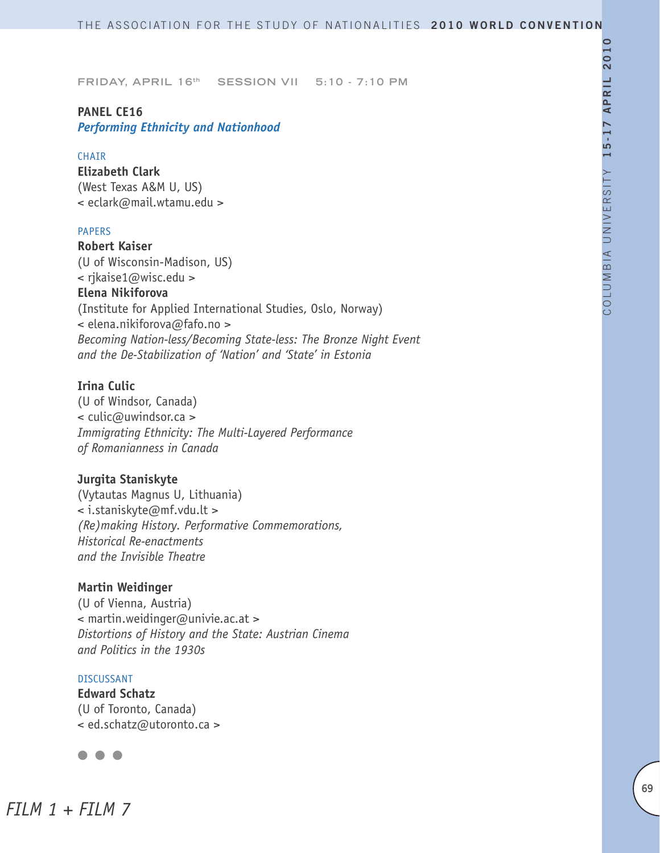# **PANEL CE16** *Performing Ethnicity and Nationhood*

#### **CHAIR**

**Elizabeth Clark** (West Texas A&M U, US) < eclark@mail.wtamu.edu >

#### PAPERS

**Robert Kaiser** (U of Wisconsin-Madison, US) < rjkaise1@wisc.edu > **Elena Nikiforova** (Institute for Applied International Studies, Oslo, Norway) < elena.nikiforova@fafo.no > *Becoming Nation-less/Becoming State-less: The Bronze Night Event and the De-Stabilization of 'Nation' and 'State' in Estonia*

#### **Irina Culic**

(U of Windsor, Canada) < culic@uwindsor.ca > *Immigrating Ethnicity: The Multi-Layered Performance of Romanianness in Canada*

# **Jurgita Staniskyte**

(Vytautas Magnus U, Lithuania) < i.staniskyte@mf.vdu.lt > *(Re)making History. Performative Commemorations, Historical Re-enactments and the Invisible Theatre* 

#### **Martin Weidinger**

(U of Vienna, Austria) < martin.weidinger@univie.ac.at > *Distortions of History and the State: Austrian Cinema and Politics in the 1930s* 

#### DISCUSSANT

**Edward Schatz** (U of Toronto, Canada) < ed.schatz@utoronto.ca >



*FILM 1 + FILM 7*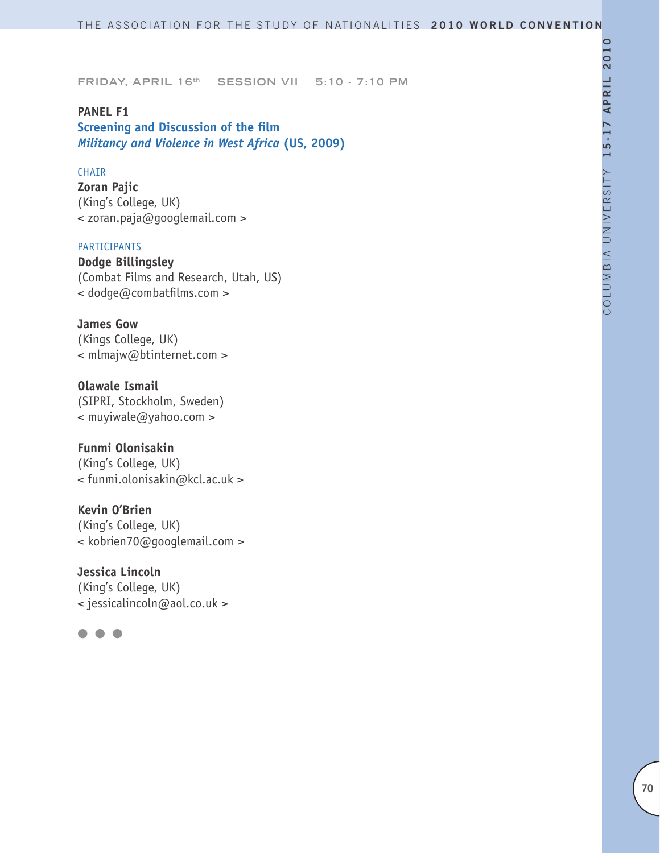# **PANEL F1**

**Screening and Discussion of the film** *Militancy and Violence in West Africa* **(US, 2009)**

# CHAIR

**Zoran Pajic** (King's College, UK) < zoran.paja@googlemail.com >

#### PARTICIPANTS

**Dodge Billingsley** (Combat Films and Research, Utah, US) < dodge@combatfilms.com >

**James Gow** (Kings College, UK) < mlmajw@btinternet.com >

**Olawale Ismail** (SIPRI, Stockholm, Sweden) < muyiwale@yahoo.com >

# **Funmi Olonisakin**

(King's College, UK) < funmi.olonisakin@kcl.ac.uk >

**Kevin O'Brien**

(King's College, UK) < kobrien70@googlemail.com >

**Jessica Lincoln** (King's College, UK)

< jessicalincoln@aol.co.uk >

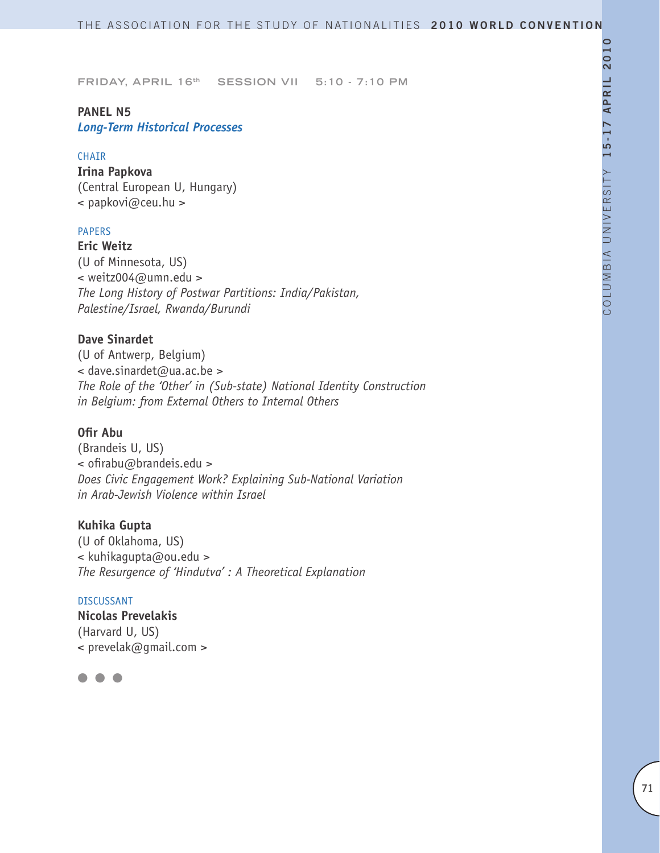# **PANEL N5** *Long-Term Historical Processes*

#### CHAIR

**Irina Papkova** (Central European U, Hungary) < papkovi@ceu.hu >

# PAPERS

**Eric Weitz** (U of Minnesota, US) < weitz004@umn.edu > *The Long History of Postwar Partitions: India/Pakistan, Palestine/Israel, Rwanda/Burundi* 

# **Dave Sinardet**

(U of Antwerp, Belgium) < dave.sinardet@ua.ac.be > *The Role of the 'Other' in (Sub-state) National Identity Construction in Belgium: from External Others to Internal Others*

# **Ofir Abu**

(Brandeis U, US) < ofirabu@brandeis.edu > *Does Civic Engagement Work? Explaining Sub-National Variation in Arab-Jewish Violence within Israel*

#### **Kuhika Gupta**

(U of Oklahoma, US) < kuhikagupta@ou.edu > *The Resurgence of 'Hindutva' : A Theoretical Explanation*

#### DISCUSSANT

**Nicolas Prevelakis** (Harvard U, US)  $\leq$  prevelak@qmail.com >

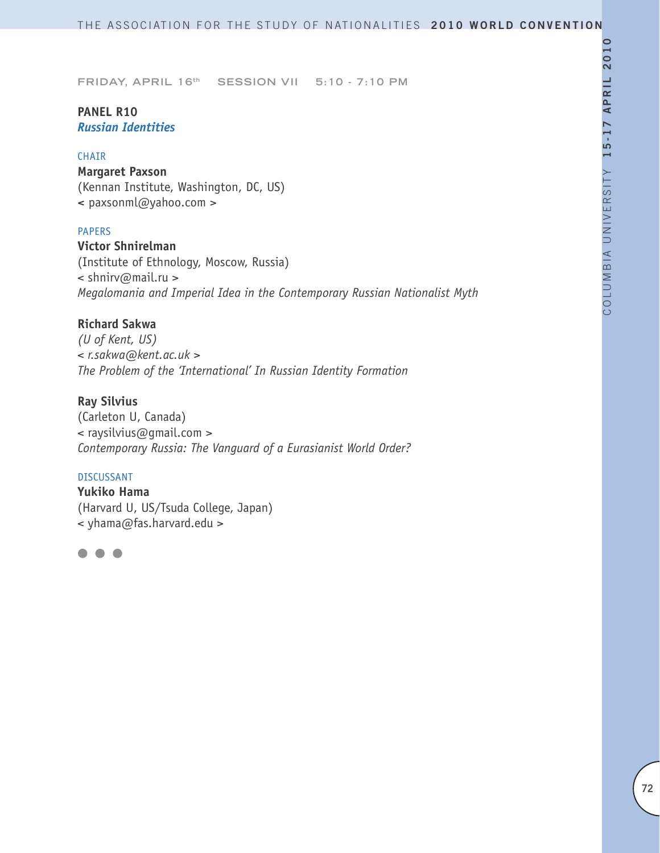# **PANEL R10** *Russian Identities*

#### CHAIR

**Margaret Paxson** (Kennan Institute, Washington, DC, US) **<** paxsonml@yahoo.com >

### PAPERS

**Victor Shnirelman** (Institute of Ethnology, Moscow, Russia) < shnirv@mail.ru > *Megalomania and Imperial Idea in the Contemporary Russian Nationalist Myth*

# **Richard Sakwa**

*(U of Kent, US) < r.sakwa@kent.ac.uk > The Problem of the 'International' In Russian Identity Formation* 

# **Ray Silvius**

(Carleton U, Canada) < raysilvius@gmail.com > *Contemporary Russia: The Vanguard of a Eurasianist World Order?* 

#### DISCUSSANT

**Yukiko Hama** (Harvard U, US/Tsuda College, Japan) < yhama@fas.harvard.edu >

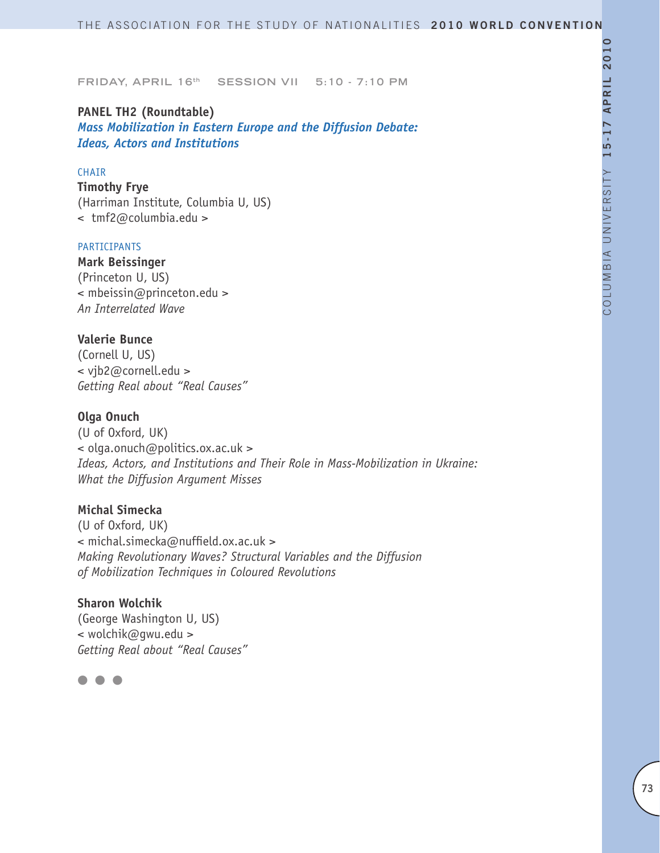# **PANEL TH2 (Roundtable)** *Mass Mobilization in Eastern Europe and the Diffusion Debate: Ideas, Actors and Institutions*

#### CHAIR

**Timothy Frye**  (Harriman Institute, Columbia U, US) < tmf2@columbia.edu >

#### PARTICIPANTS

**Mark Beissinger** (Princeton U, US) < mbeissin@princeton.edu > *An Interrelated Wave*

# **Valerie Bunce**

(Cornell U, US) < vjb2@cornell.edu > *Getting Real about "Real Causes"*

# **Olga Onuch**

(U of Oxford, UK) < olga.onuch@politics.ox.ac.uk > *Ideas, Actors, and Institutions and Their Role in Mass-Mobilization in Ukraine: What the Diffusion Argument Misses* 

# **Michal Simecka**

(U of Oxford, UK) < michal.simecka@nuffield.ox.ac.uk > *Making Revolutionary Waves? Structural Variables and the Diffusion of Mobilization Techniques in Coloured Revolutions* 

# **Sharon Wolchik**

(George Washington U, US) < wolchik@gwu.edu > *Getting Real about "Real Causes"* 

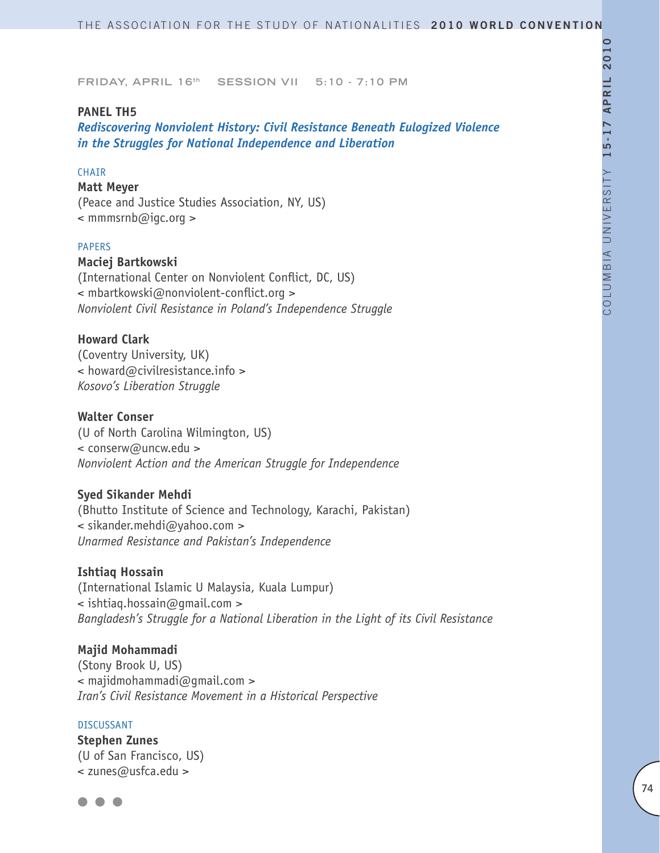# **PANEL TH5**

*Rediscovering Nonviolent History: Civil Resistance Beneath Eulogized Violence in the Struggles for National Independence and Liberation*

# CHAIR

#### **Matt Meyer**

(Peace and Justice Studies Association, NY, US) < mmmsrnb@igc.org >

#### PAPERS

#### **Maciej Bartkowski**

(International Center on Nonviolent Conflict, DC, US) < mbartkowski@nonviolent-conflict.org > *Nonviolent Civil Resistance in Poland's Independence Struggle*

#### **Howard Clark**

(Coventry University, UK) < howard@civilresistance.info > *Kosovo's Liberation Struggle*

# **Walter Conser**

(U of North Carolina Wilmington, US) < conserw@uncw.edu > *Nonviolent Action and the American Struggle for Independence*

#### **Syed Sikander Mehdi**

(Bhutto Institute of Science and Technology, Karachi, Pakistan) < sikander.mehdi@yahoo.com > *Unarmed Resistance and Pakistan's Independence* 

#### **Ishtiaq Hossain**

(International Islamic U Malaysia, Kuala Lumpur) < ishtiaq.hossain@gmail.com > *Bangladesh's Struggle for a National Liberation in the Light of its Civil Resistance*

#### **Majid Mohammadi**

(Stony Brook U, US) < majidmohammadi@gmail.com > *Iran's Civil Resistance Movement in a Historical Perspective*

#### DISCUSSANT

**Stephen Zunes** (U of San Francisco, US) < zunes@usfca.edu >

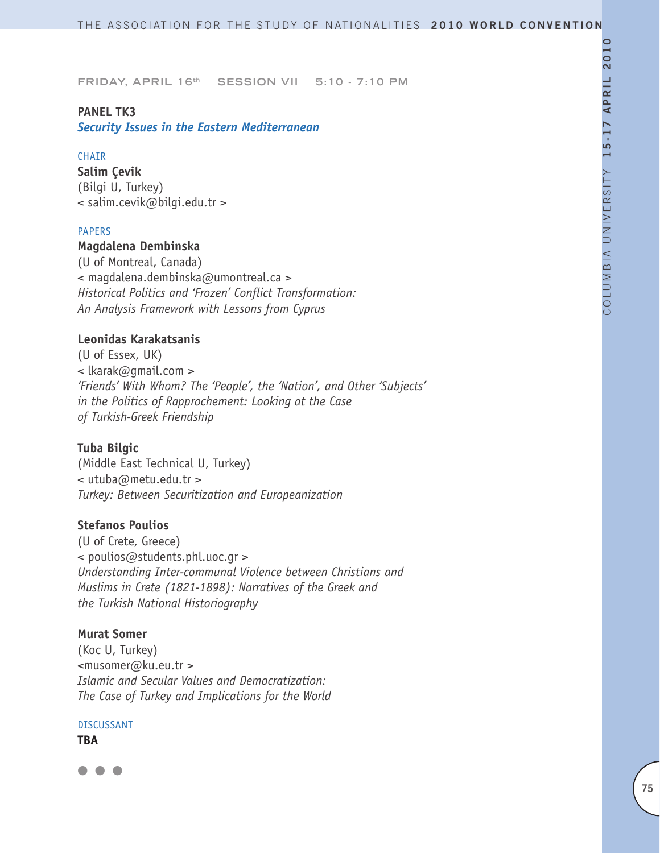# **PANEL TK3**

*Security Issues in the Eastern Mediterranean* 

#### **CHAIR**

**Salim Çevik** (Bilgi U, Turkey) < salim.cevik@bilgi.edu.tr >

#### PAPERS

#### **Magdalena Dembinska**

(U of Montreal, Canada) < magdalena.dembinska@umontreal.ca > *Historical Politics and 'Frozen' Conflict Transformation: An Analysis Framework with Lessons from Cyprus* 

# **Leonidas Karakatsanis**

(U of Essex, UK) < lkarak@gmail.com > *'Friends' With Whom? The 'People', the 'Nation', and Other 'Subjects' in the Politics of Rapprochement: Looking at the Case of Turkish-Greek Friendship* 

# **Tuba Bilgic**

(Middle East Technical U, Turkey) < utuba@metu.edu.tr > *Turkey: Between Securitization and Europeanization* 

#### **Stefanos Poulios**

(U of Crete, Greece) < poulios@students.phl.uoc.gr > *Understanding Inter-communal Violence between Christians and Muslims in Crete (1821-1898): Narratives of the Greek and the Turkish National Historiography*

#### **Murat Somer**

(Koc U, Turkey) <musomer@ku.eu.tr > *Islamic and Secular Values and Democratization: The Case of Turkey and Implications for the World* 

#### DISCUSSANT

**TBA**

 $\blacksquare$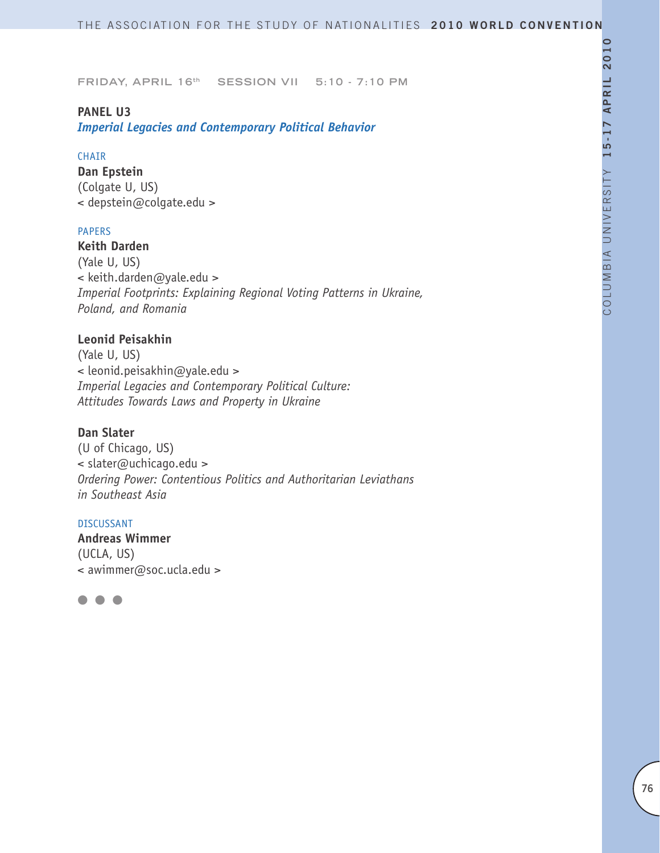# **PANEL U3**

*Imperial Legacies and Contemporary Political Behavior*

#### CHAIR

**Dan Epstein** (Colgate U, US) < depstein@colgate.edu >

# PAPERS

**Keith Darden** (Yale U, US) < keith.darden@yale.edu > *Imperial Footprints: Explaining Regional Voting Patterns in Ukraine, Poland, and Romania*

# **Leonid Peisakhin**

(Yale U, US) < leonid.peisakhin@yale.edu > *Imperial Legacies and Contemporary Political Culture: Attitudes Towards Laws and Property in Ukraine*

# **Dan Slater**

(U of Chicago, US) < slater@uchicago.edu > *Ordering Power: Contentious Politics and Authoritarian Leviathans in Southeast Asia*

#### DISCUSSANT

**Andreas Wimmer** (UCLA, US) < awimmer@soc.ucla.edu >

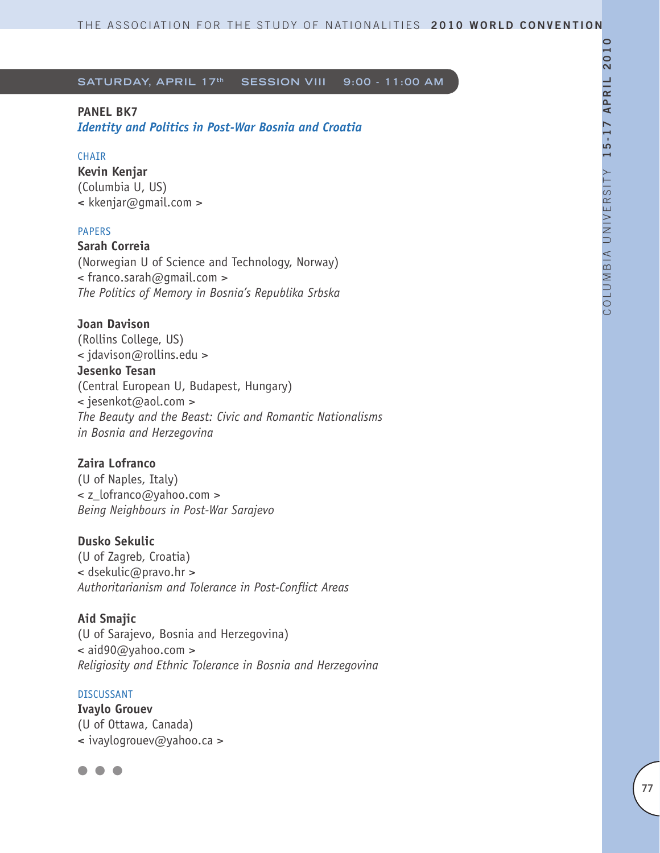# **PANEL BK7**

*Identity and Politics in Post-War Bosnia and Croatia*

# **CHAIR**

**Kevin Kenjar** (Columbia U, US) **<** kkenjar@gmail.com >

# PAPERS

**Sarah Correia** (Norwegian U of Science and Technology, Norway) < franco.sarah@gmail.com > *The Politics of Memory in Bosnia's Republika Srbska*

**Joan Davison** (Rollins College, US) < jdavison@rollins.edu > **Jesenko Tesan** (Central European U, Budapest, Hungary) < jesenkot@aol.com > *The Beauty and the Beast: Civic and Romantic Nationalisms in Bosnia and Herzegovina*

# **Zaira Lofranco**

(U of Naples, Italy) < z\_lofranco@yahoo.com > *Being Neighbours in Post-War Sarajevo*

# **Dusko Sekulic**

(U of Zagreb, Croatia) < dsekulic@pravo.hr > *Authoritarianism and Tolerance in Post-Conflict Areas*

# **Aid Smajic**

(U of Sarajevo, Bosnia and Herzegovina)  $\leq$  aid90@yahoo.com  $>$ *Religiosity and Ethnic Tolerance in Bosnia and Herzegovina* 

# DISCUSSANT

**Ivaylo Grouev** (U of Ottawa, Canada) **<** ivaylogrouev@yahoo.ca >

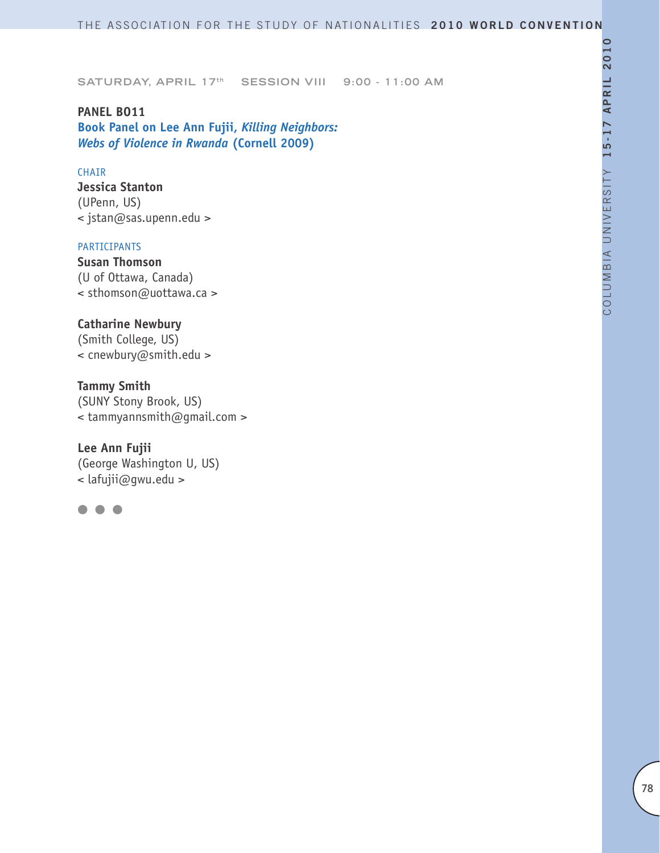**PANEL BO11 Book Panel on Lee Ann Fujii,** *Killing Neighbors: Webs of Violence in Rwanda* **(Cornell 2009)**

# CHAIR

**Jessica Stanton** (UPenn, US) < jstan@sas.upenn.edu >

#### PARTICIPANTS

**Susan Thomson** (U of Ottawa, Canada) < sthomson@uottawa.ca >

# **Catharine Newbury**

(Smith College, US) < cnewbury@smith.edu >

#### **Tammy Smith**

(SUNY Stony Brook, US) < tammyannsmith@gmail.com >

#### **Lee Ann Fujii**

(George Washington U, US) < lafujii@gwu.edu >

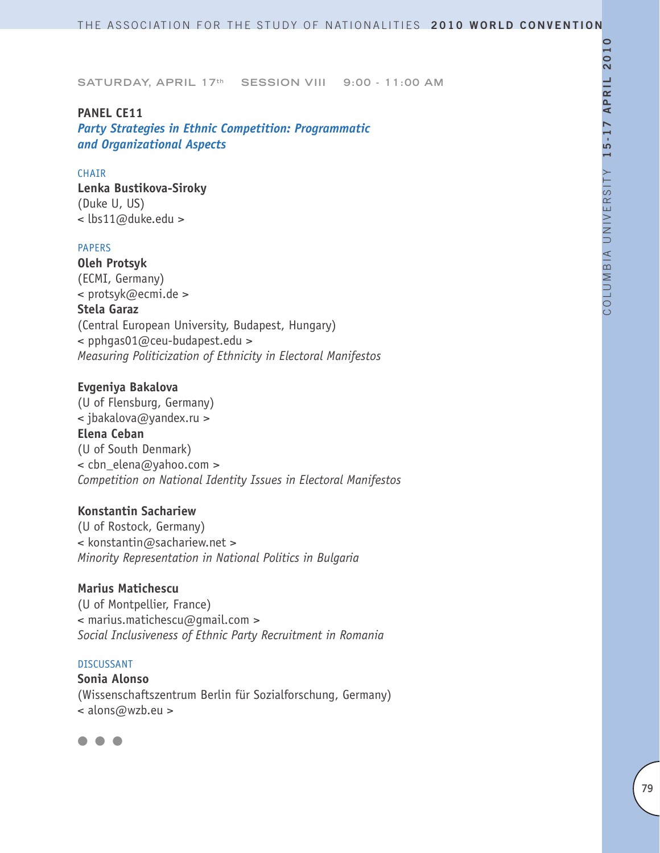#### **PANEL CE11**

*Party Strategies in Ethnic Competition: Programmatic and Organizational Aspects*

#### CHAIR

**Lenka Bustikova-Siroky** (Duke U, US) < lbs11@duke.edu >

# PAPERS

**Oleh Protsyk** (ECMI, Germany) < protsyk@ecmi.de > **Stela Garaz** (Central European University, Budapest, Hungary) < pphgas01@ceu-budapest.edu > *Measuring Politicization of Ethnicity in Electoral Manifestos*

# **Evgeniya Bakalova**

(U of Flensburg, Germany) < jbakalova@yandex.ru > **Elena Ceban** (U of South Denmark) < cbn\_elena@yahoo.com > *Competition on National Identity Issues in Electoral Manifestos*

# **Konstantin Sachariew**

(U of Rostock, Germany) < konstantin@sachariew.net > *Minority Representation in National Politics in Bulgaria* 

#### **Marius Matichescu**

(U of Montpellier, France) < marius.matichescu@gmail.com > *Social Inclusiveness of Ethnic Party Recruitment in Romania* 

#### DISCUSSANT

**Sonia Alonso** (Wissenschaftszentrum Berlin für Sozialforschung, Germany) < alons@wzb.eu >

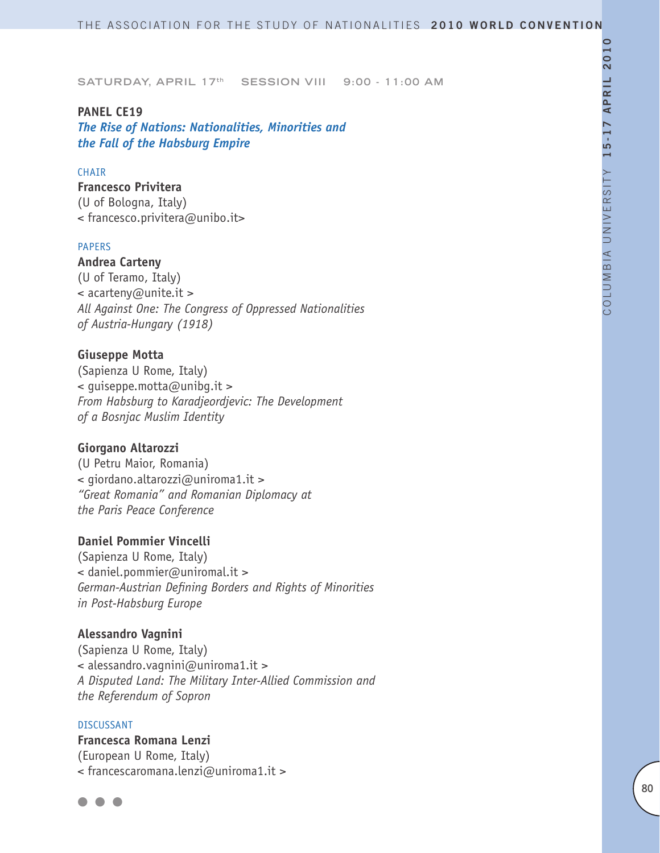**SATURDAY, APRIL 17th SESSION VIII 9:00 - 11:00 AM** 

#### **PANEL CE19**

*The Rise of Nations: Nationalities, Minorities and the Fall of the Habsburg Empire*

# CHAIR

**Francesco Privitera** (U of Bologna, Italy) < francesco.privitera@unibo.it>

#### PAPERS

**Andrea Carteny** (U of Teramo, Italy) < acarteny@unite.it > *All Against One: The Congress of Oppressed Nationalities of Austria-Hungary (1918)*

# **Giuseppe Motta**

(Sapienza U Rome, Italy)  $\leq$  quiseppe. motta@unibq.it > *From Habsburg to Karadjeordjevic: The Development of a Bosnjac Muslim Identity* 

#### **Giorgano Altarozzi**

(U Petru Maior, Romania) < giordano.altarozzi@uniroma1.it > *"Great Romania" and Romanian Diplomacy at the Paris Peace Conference*

# **Daniel Pommier Vincelli**

(Sapienza U Rome, Italy) < daniel.pommier@uniromal.it > *German-Austrian Defining Borders and Rights of Minorities in Post-Habsburg Europe* 

#### **Alessandro Vagnini**

(Sapienza U Rome, Italy) < alessandro.vagnini@uniroma1.it > *A Disputed Land: The Military Inter-Allied Commission and the Referendum of Sopron*

#### DISCUSSANT

**Francesca Romana Lenzi** (European U Rome, Italy) < francescaromana.lenzi@uniroma1.it >

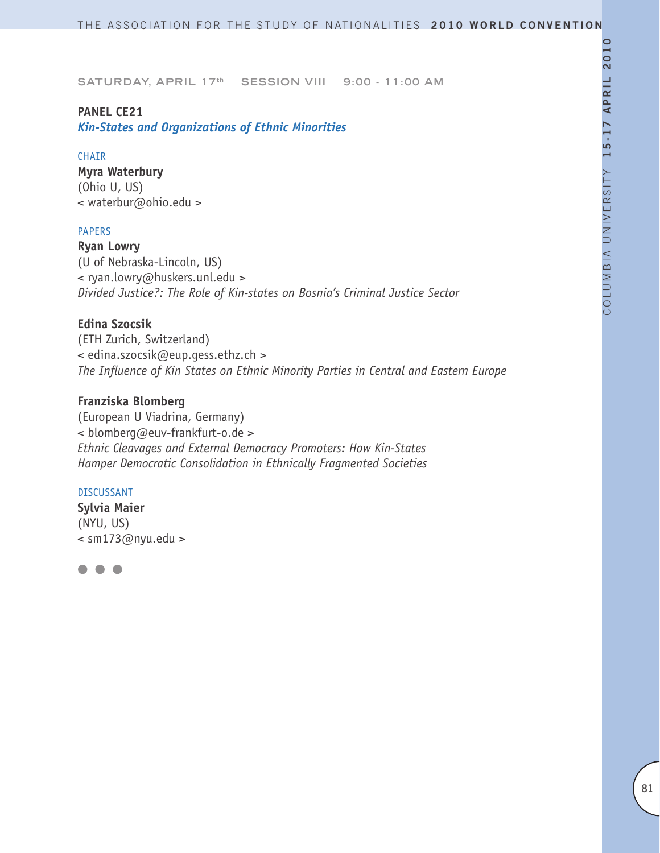# **PANEL CE21**

*Kin-States and Organizations of Ethnic Minorities*

#### CHAIR

**Myra Waterbury** (Ohio U, US) < waterbur@ohio.edu >

# PAPERS

**Ryan Lowry** (U of Nebraska-Lincoln, US) < ryan.lowry@huskers.unl.edu > *Divided Justice?: The Role of Kin-states on Bosnia's Criminal Justice Sector*

# **Edina Szocsik**

(ETH Zurich, Switzerland) < edina.szocsik@eup.gess.ethz.ch > *The Influence of Kin States on Ethnic Minority Parties in Central and Eastern Europe*

# **Franziska Blomberg**

(European U Viadrina, Germany) < blomberg@euv-frankfurt-o.de > *Ethnic Cleavages and External Democracy Promoters: How Kin-States Hamper Democratic Consolidation in Ethnically Fragmented Societies* 

#### DISCUSSANT

**Sylvia Maier** (NYU, US)  $\leq$  sm173@nyu.edu >

 $\bullet$   $\bullet$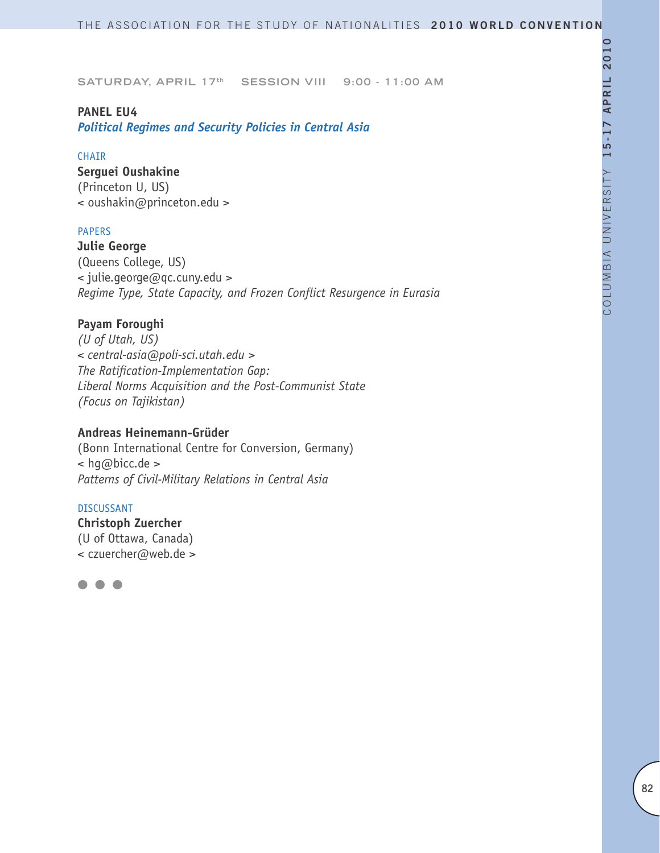# **PANEL EU4**

*Political Regimes and Security Policies in Central Asia*

#### CHAIR

**Serguei Oushakine** (Princeton U, US) < oushakin@princeton.edu >

# PAPERS

**Julie George** (Queens College, US) < julie.george@qc.cuny.edu > *Regime Type, State Capacity, and Frozen Conflict Resurgence in Eurasia*

# **Payam Foroughi**

*(U of Utah, US) < central-asia@poli-sci.utah.edu > The Ratification-Implementation Gap: Liberal Norms Acquisition and the Post-Communist State (Focus on Tajikistan)*

# **Andreas Heinemann-Grüder**

(Bonn International Centre for Conversion, Germany) < hg@bicc.de > *Patterns of Civil-Military Relations in Central Asia*

#### DISCUSSANT

**Christoph Zuercher** (U of Ottawa, Canada) < czuercher@web.de >

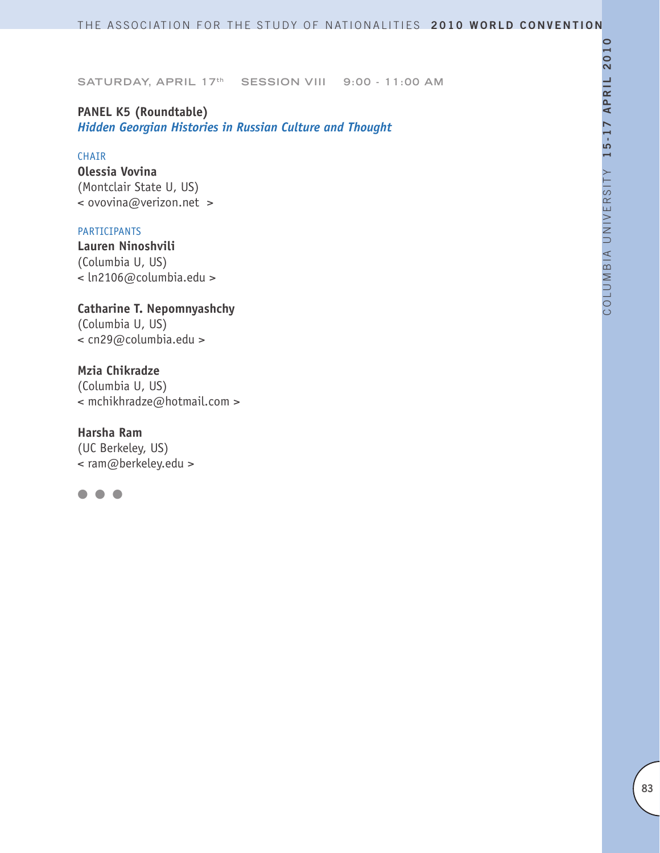**PANEL K5 (Roundtable)**  *Hidden Georgian Histories in Russian Culture and Thought* 

#### CHAIR

**Olessia Vovina** (Montclair State U, US) < ovovina@verizon.net >

#### PARTICIPANTS

**Lauren Ninoshvili** (Columbia U, US) < ln2106@columbia.edu >

**Catharine T. Nepomnyashchy** (Columbia U, US) < cn29@columbia.edu >

**Mzia Chikradze** (Columbia U, US) < mchikhradze@hotmail.com >

**Harsha Ram** (UC Berkeley, US) < ram@berkeley.edu >

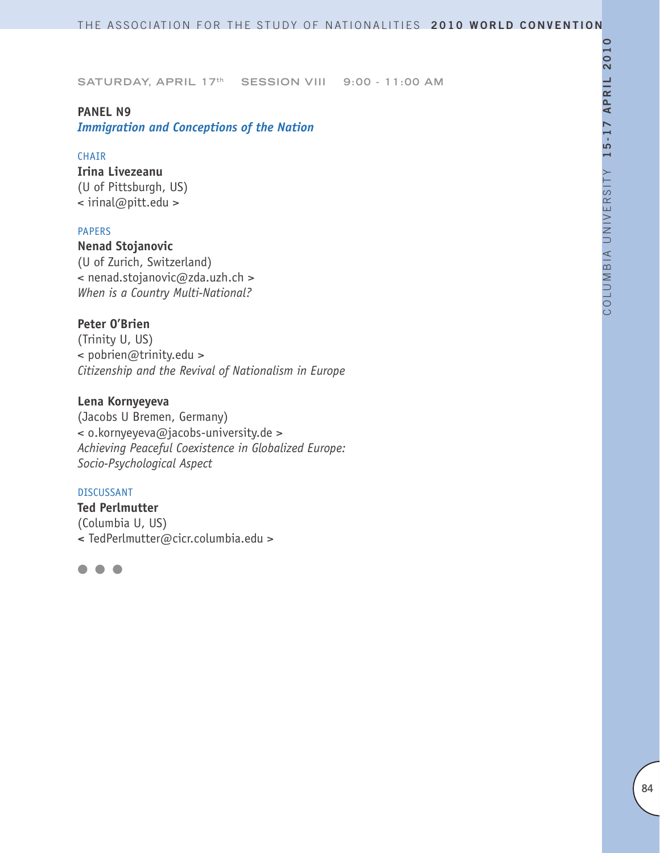#### **PANEL N9**

*Immigration and Conceptions of the Nation*

#### CHAIR

**Irina Livezeanu** (U of Pittsburgh, US) < irinal@pitt.edu >

#### PAPERS

**Nenad Stojanovic** (U of Zurich, Switzerland) < nenad.stojanovic@zda.uzh.ch > *When is a Country Multi-National?*

# **Peter O'Brien**

(Trinity U, US) < pobrien@trinity.edu > *Citizenship and the Revival of Nationalism in Europe*

# **Lena Kornyeyeva**

(Jacobs U Bremen, Germany) < o.kornyeyeva@jacobs-university.de > *Achieving Peaceful Coexistence in Globalized Europe: Socio-Psychological Aspect*

#### DISCUSSANT

**Ted Perlmutter** (Columbia U, US) **<** TedPerlmutter@cicr.columbia.edu >

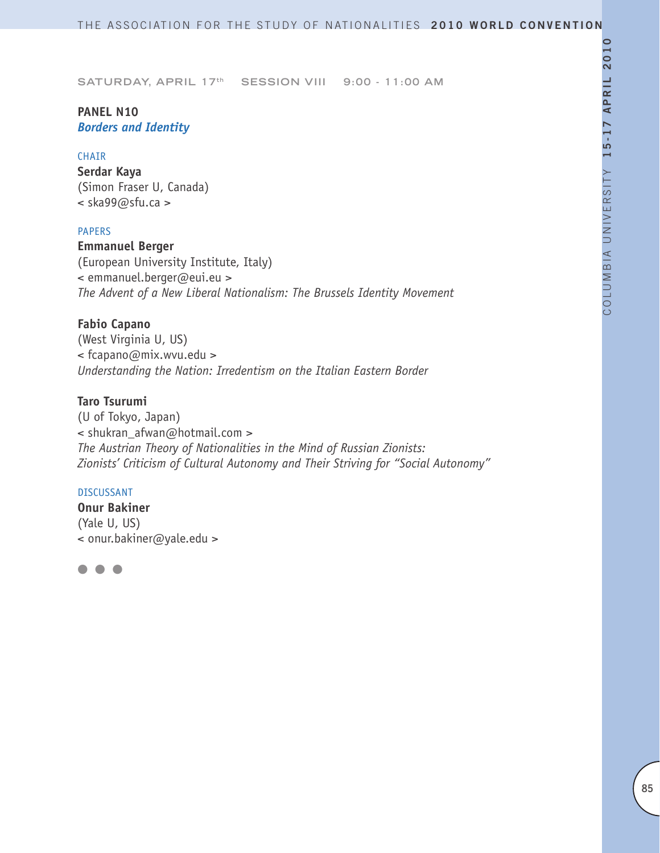# **PANEL N10** *Borders and Identity*

#### CHAIR

**Serdar Kaya**  (Simon Fraser U, Canada) < ska99@sfu.ca >

#### PAPERS

**Emmanuel Berger** (European University Institute, Italy) < emmanuel.berger@eui.eu > *The Advent of a New Liberal Nationalism: The Brussels Identity Movement* 

# **Fabio Capano**

(West Virginia U, US) < fcapano@mix.wvu.edu > *Understanding the Nation: Irredentism on the Italian Eastern Border* 

# **Taro Tsurumi**

(U of Tokyo, Japan) < shukran\_afwan@hotmail.com > *The Austrian Theory of Nationalities in the Mind of Russian Zionists: Zionists' Criticism of Cultural Autonomy and Their Striving for "Social Autonomy"*

#### DISCUSSANT

**Onur Bakiner** (Yale U, US) < onur.bakiner@yale.edu >

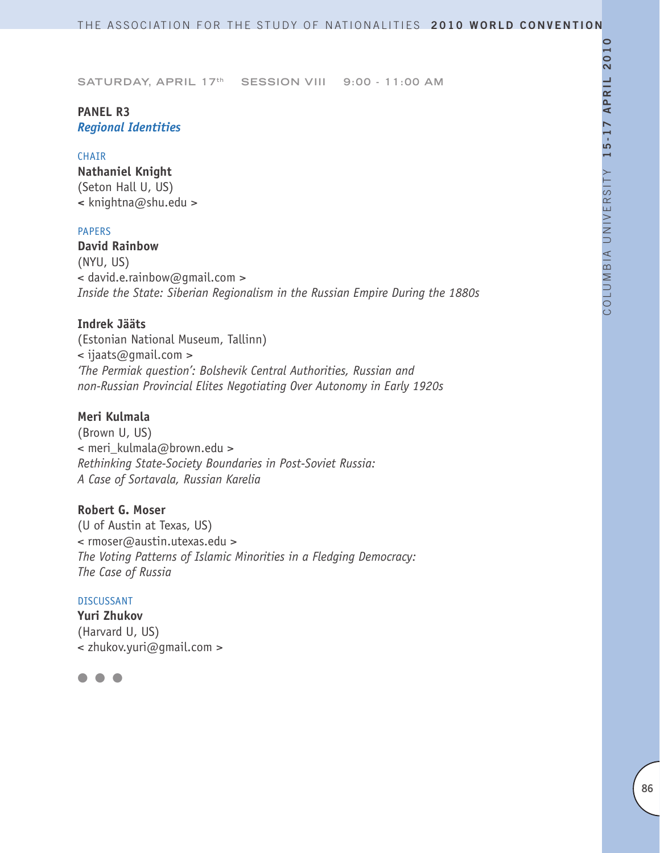# **PANEL R3** *Regional Identities*

#### CHAIR

**Nathaniel Knight** (Seton Hall U, US) **<** knightna@shu.edu >

# PAPERS

**David Rainbow** (NYU, US) < david.e.rainbow@gmail.com > *Inside the State: Siberian Regionalism in the Russian Empire During the 1880s*

# **Indrek Jääts**

(Estonian National Museum, Tallinn) < ijaats@gmail.com > *'The Permiak question': Bolshevik Central Authorities, Russian and non-Russian Provincial Elites Negotiating Over Autonomy in Early 1920s*

# **Meri Kulmala**

(Brown U, US) < meri\_kulmala@brown.edu > *Rethinking State-Society Boundaries in Post-Soviet Russia: A Case of Sortavala, Russian Karelia*

# **Robert G. Moser**

(U of Austin at Texas, US) < rmoser@austin.utexas.edu > *The Voting Patterns of Islamic Minorities in a Fledging Democracy: The Case of Russia*

#### DISCUSSANT

**Yuri Zhukov** (Harvard U, US) < zhukov.yuri@gmail.com >

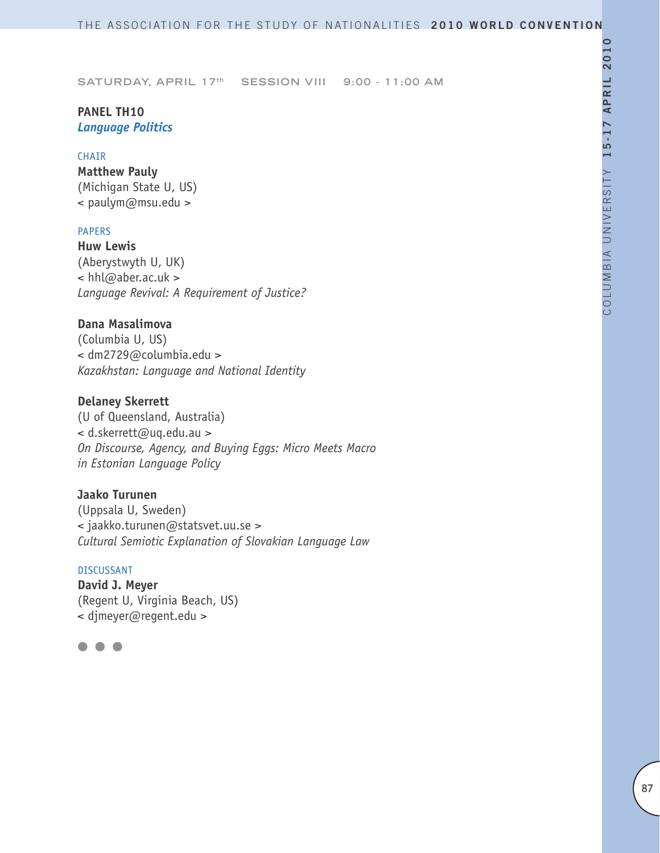# **PANEL TH10** *Language Politics*

#### CHAIR

**Matthew Pauly** (Michigan State U, US) < paulym@msu.edu >

# PAPERS

**Huw Lewis**  (Aberystwyth U, UK) < hhl@aber.ac.uk > *Language Revival: A Requirement of Justice?*

# **Dana Masalimova**

(Columbia U, US) < dm2729@columbia.edu > *Kazakhstan: Language and National Identity*

#### **Delaney Skerrett**

(U of Queensland, Australia) < d.skerrett@uq.edu.au > *On Discourse, Agency, and Buying Eggs: Micro Meets Macro in Estonian Language Policy*

# **Jaako Turunen**

(Uppsala U, Sweden) < jaakko.turunen@statsvet.uu.se > *Cultural Semiotic Explanation of Slovakian Language Law*

#### DISCUSSANT

**David J. Meyer** (Regent U, Virginia Beach, US) < djmeyer@regent.edu >

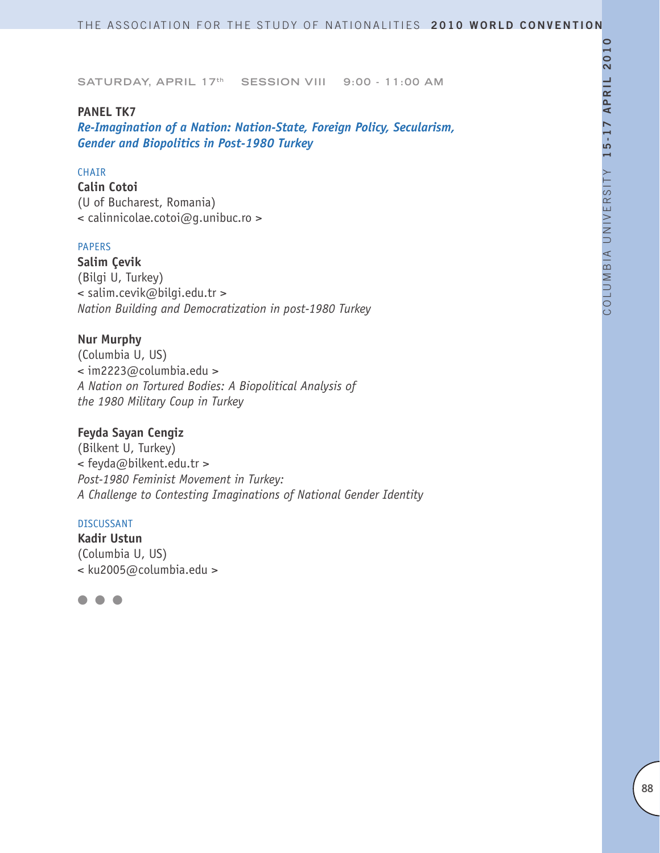#### **PANEL TK7**

*Re-Imagination of a Nation: Nation-State, Foreign Policy, Secularism, Gender and Biopolitics in Post-1980 Turkey*

# CHAIR

**Calin Cotoi** (U of Bucharest, Romania) < calinnicolae.cotoi@g.unibuc.ro >

#### PAPERS

**Salim Çevik** (Bilgi U, Turkey) < salim.cevik@bilgi.edu.tr > *Nation Building and Democratization in post-1980 Turkey* 

#### **Nur Murphy**

(Columbia U, US) < im2223@columbia.edu > *A Nation on Tortured Bodies: A Biopolitical Analysis of the 1980 Military Coup in Turkey*

# **Feyda Sayan Cengiz**

(Bilkent U, Turkey) < feyda@bilkent.edu.tr > *Post-1980 Feminist Movement in Turkey: A Challenge to Contesting Imaginations of National Gender Identity* 

#### DISCUSSANT

**Kadir Ustun** (Columbia U, US) < ku2005@columbia.edu >

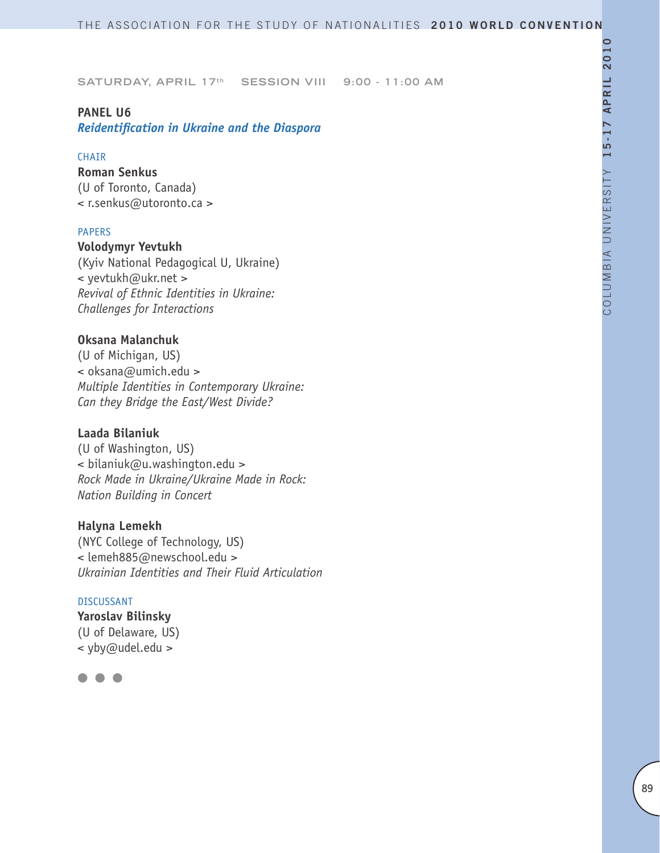#### **PANEL U6**

*Reidentification in Ukraine and the Diaspora*

#### **CHATR**

**Roman Senkus** (U of Toronto, Canada) < r.senkus@utoronto.ca >

#### PAPERS

**Volodymyr Yevtukh** (Kyiv National Pedagogical U, Ukraine) < yevtukh@ukr.net > *Revival of Ethnic Identities in Ukraine: Challenges for Interactions*

# **Oksana Malanchuk**

(U of Michigan, US) < oksana@umich.edu > *Multiple Identities in Contemporary Ukraine: Can they Bridge the East/West Divide?*

# **Laada Bilaniuk**

(U of Washington, US) < bilaniuk@u.washington.edu > *Rock Made in Ukraine/Ukraine Made in Rock: Nation Building in Concert*

#### **Halyna Lemekh**

(NYC College of Technology, US) < lemeh885@newschool.edu > *Ukrainian Identities and Their Fluid Articulation*

#### DISCUSSANT

**Yaroslav Bilinsky**  (U of Delaware, US) < yby@udel.edu >

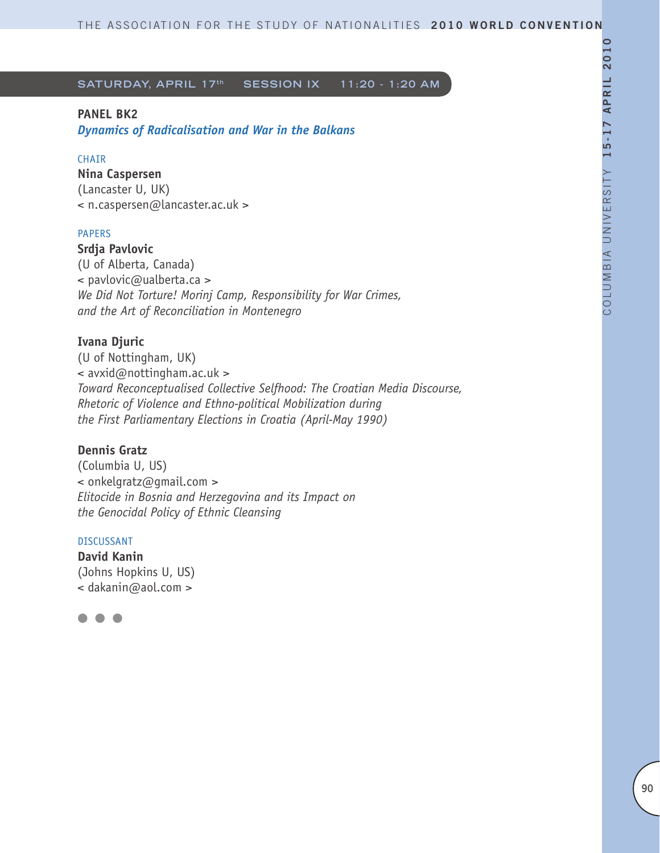# **PANEL BK2**

*Dynamics of Radicalisation and War in the Balkans* 

# CHAIR

**Nina Caspersen** (Lancaster U, UK) < n.caspersen@lancaster.ac.uk >

# PAPERS

**Srdja Pavlovic** (U of Alberta, Canada) < pavlovic@ualberta.ca > *We Did Not Torture! Morinj Camp, Responsibility for War Crimes, and the Art of Reconciliation in Montenegro* 

# **Ivana Djuric**

(U of Nottingham, UK) < avxid@nottingham.ac.uk > *Toward Reconceptualised Collective Selfhood: The Croatian Media Discourse, Rhetoric of Violence and Ethno-political Mobilization during the First Parliamentary Elections in Croatia (April-May 1990)*

# **Dennis Gratz**

(Columbia U, US) < onkelgratz@gmail.com > *Elitocide in Bosnia and Herzegovina and its Impact on the Genocidal Policy of Ethnic Cleansing*

# DISCUSSANT

**David Kanin** (Johns Hopkins U, US) < dakanin@aol.com >

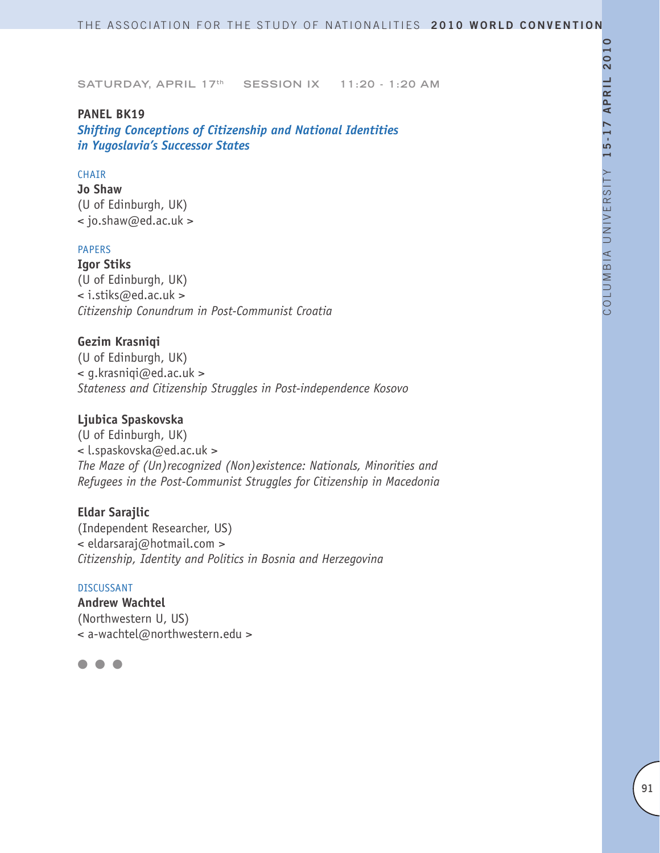# **PANEL BK19**

*Shifting Conceptions of Citizenship and National Identities in Yugoslavia's Successor States*

# CHAIR

**Jo Shaw** (U of Edinburgh, UK) < jo.shaw@ed.ac.uk >

# PAPERS

**Igor Stiks** (U of Edinburgh, UK) < i.stiks@ed.ac.uk > *Citizenship Conundrum in Post-Communist Croatia* 

#### **Gezim Krasniqi**

(U of Edinburgh, UK) < g.krasniqi@ed.ac.uk > *Stateness and Citizenship Struggles in Post-independence Kosovo*

# **Ljubica Spaskovska**

(U of Edinburgh, UK) < l.spaskovska@ed.ac.uk > *The Maze of (Un)recognized (Non)existence: Nationals, Minorities and Refugees in the Post-Communist Struggles for Citizenship in Macedonia*

# **Eldar Sarajlic**

(Independent Researcher, US) < eldarsaraj@hotmail.com > *Citizenship, Identity and Politics in Bosnia and Herzegovina* 

#### DISCUSSANT

**Andrew Wachtel** (Northwestern U, US) < a-wachtel@northwestern.edu >

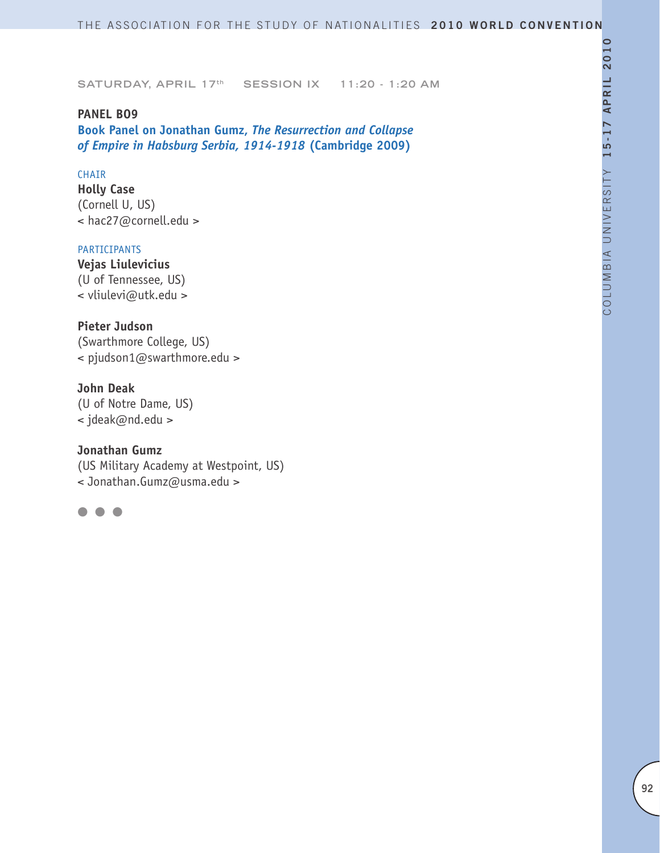**PANEL BO9 Book Panel on Jonathan Gumz,** *The Resurrection and Collapse of Empire in Habsburg Serbia, 1914-1918* **(Cambridge 2009)**

# CHAIR

**Holly Case** (Cornell U, US) < hac27@cornell.edu >

# PARTICIPANTS

**Vejas Liulevicius** (U of Tennessee, US) < vliulevi@utk.edu >

# **Pieter Judson**

(Swarthmore College, US) < pjudson1@swarthmore.edu >

#### **John Deak**

(U of Notre Dame, US) < jdeak@nd.edu >

#### **Jonathan Gumz**

(US Military Academy at Westpoint, US) < Jonathan.Gumz@usma.edu >

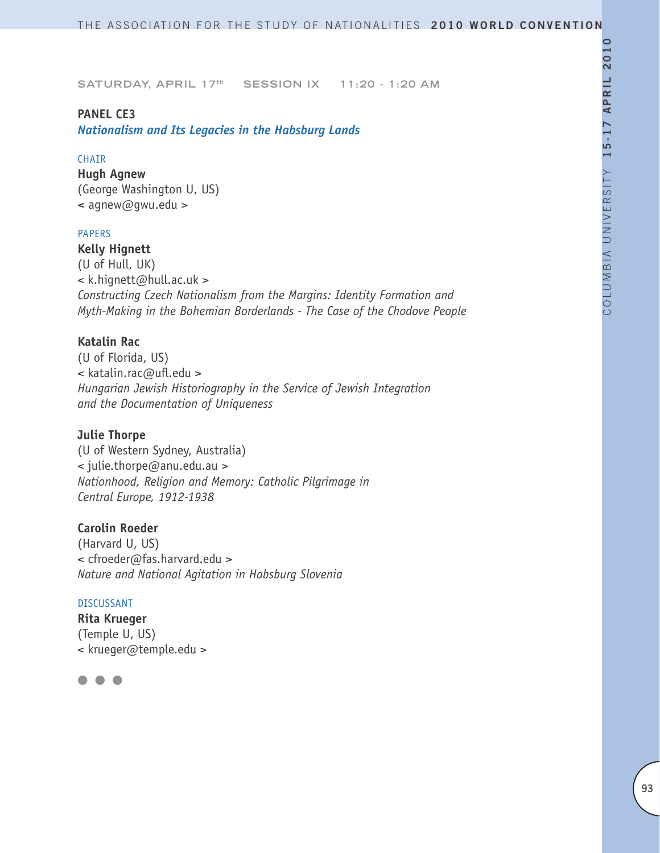# **PANEL CE3**

*Nationalism and Its Legacies in the Habsburg Lands* 

#### **CHAIR**

**Hugh Agnew** (George Washington U, US) **<** agnew@gwu.edu >

#### PAPERS

**Kelly Hignett** (U of Hull, UK) < k.hignett@hull.ac.uk > *Constructing Czech Nationalism from the Margins: Identity Formation and Myth-Making in the Bohemian Borderlands - The Case of the Chodove People*

#### **Katalin Rac**

(U of Florida, US) < katalin.rac@ufl.edu > *Hungarian Jewish Historiography in the Service of Jewish Integration and the Documentation of Uniqueness* 

#### **Julie Thorpe**

(U of Western Sydney, Australia) < julie.thorpe@anu.edu.au > *Nationhood, Religion and Memory: Catholic Pilgrimage in Central Europe, 1912-1938*

#### **Carolin Roeder**

(Harvard U, US) < cfroeder@fas.harvard.edu > *Nature and National Agitation in Habsburg Slovenia* 

# DISCUSSANT

**Rita Krueger** (Temple U, US) < krueger@temple.edu >

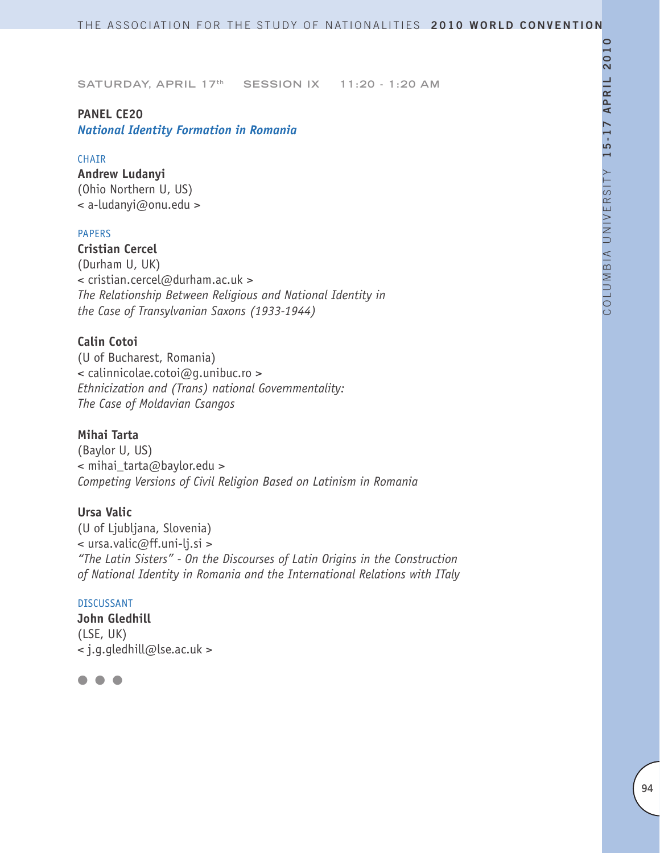# **PANEL CE20**

*National Identity Formation in Romania*

# CHAIR

**Andrew Ludanyi**  (Ohio Northern U, US) < a-ludanyi@onu.edu >

# PAPERS

**Cristian Cercel** (Durham U, UK) < cristian.cercel@durham.ac.uk > *The Relationship Between Religious and National Identity in the Case of Transylvanian Saxons (1933-1944)*

# **Calin Cotoi**

(U of Bucharest, Romania) < calinnicolae.cotoi@g.unibuc.ro > *Ethnicization and (Trans) national Governmentality: The Case of Moldavian Csangos* 

# **Mihai Tarta**

(Baylor U, US) < mihai\_tarta@baylor.edu > *Competing Versions of Civil Religion Based on Latinism in Romania*

# **Ursa Valic**

(U of Ljubljana, Slovenia) < ursa.valic@ff.uni-lj.si > *"The Latin Sisters" - On the Discourses of Latin Origins in the Construction of National Identity in Romania and the International Relations with ITaly* 

# DISCUSSANT

**John Gledhill** (LSE, UK) < j.g.gledhill@lse.ac.uk >

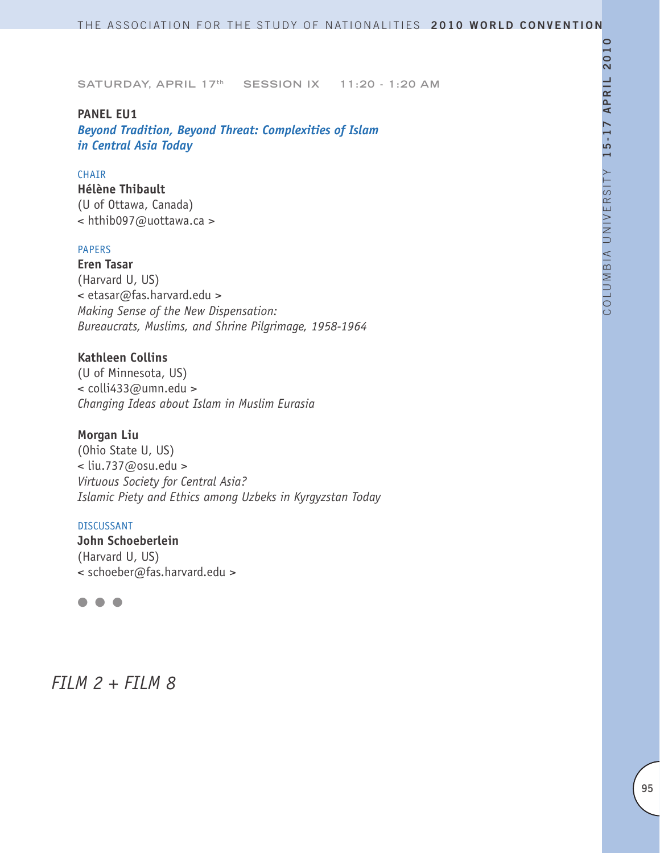#### **PANEL EU1**

*Beyond Tradition, Beyond Threat: Complexities of Islam in Central Asia Today*

#### CHAIR

**Hélène Thibault** (U of Ottawa, Canada) < hthib097@uottawa.ca >

# PAPERS

**Eren Tasar** (Harvard U, US) < etasar@fas.harvard.edu > *Making Sense of the New Dispensation: Bureaucrats, Muslims, and Shrine Pilgrimage, 1958-1964*

# **Kathleen Collins**

(U of Minnesota, US) < colli433@umn.edu > *Changing Ideas about Islam in Muslim Eurasia*

#### **Morgan Liu**

(Ohio State U, US) < liu.737@osu.edu > *Virtuous Society for Central Asia? Islamic Piety and Ethics among Uzbeks in Kyrgyzstan Today* 

#### DISCUSSANT

**John Schoeberlein** (Harvard U, US) < schoeber@fas.harvard.edu >

# l l l

# *FILM 2 + FILM 8*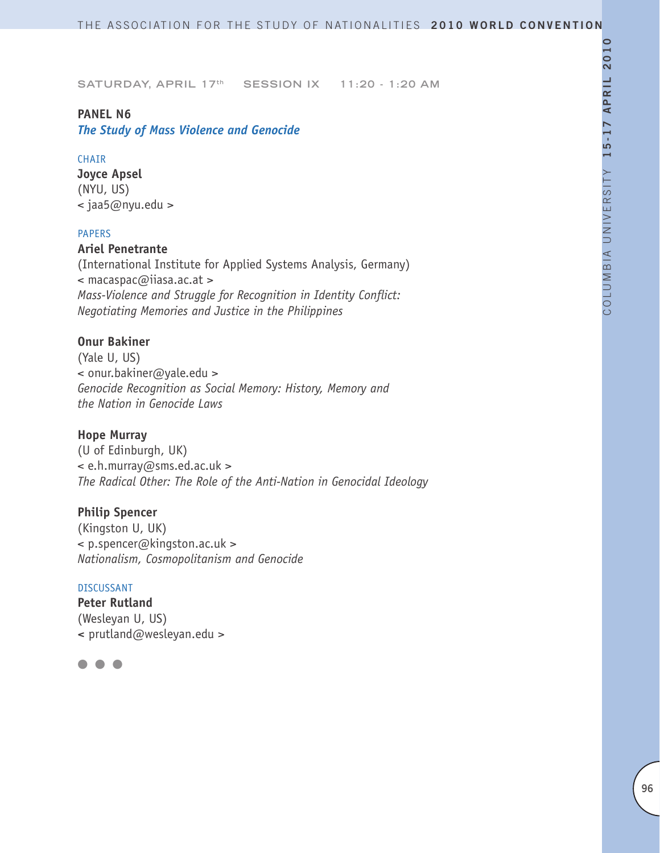# **PANEL N6**

*The Study of Mass Violence and Genocide*

# **CHAIR**

**Joyce Apsel** (NYU, US) < jaa5@nyu.edu >

# PAPERS

# **Ariel Penetrante**

(International Institute for Applied Systems Analysis, Germany) < macaspac@iiasa.ac.at > *Mass-Violence and Struggle for Recognition in Identity Conflict: Negotiating Memories and Justice in the Philippines*

# **Onur Bakiner**

(Yale U, US) < onur.bakiner@yale.edu > *Genocide Recognition as Social Memory: History, Memory and the Nation in Genocide Laws*

# **Hope Murray**

(U of Edinburgh, UK) < e.h.murray@sms.ed.ac.uk > *The Radical Other: The Role of the Anti-Nation in Genocidal Ideology*

# **Philip Spencer**

(Kingston U, UK) < p.spencer@kingston.ac.uk > *Nationalism, Cosmopolitanism and Genocide*

#### DISCUSSANT

**Peter Rutland** (Wesleyan U, US) **<** prutland@wesleyan.edu >

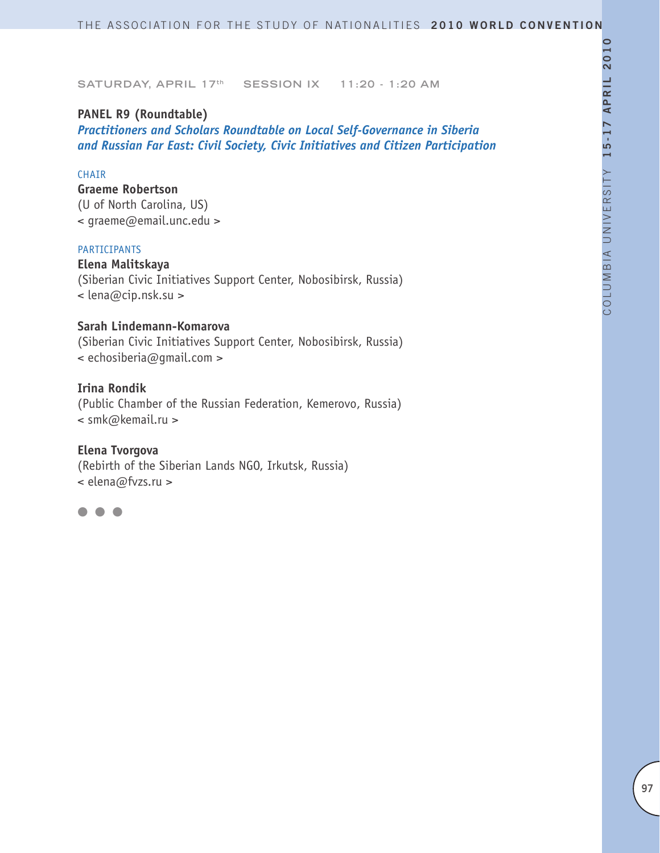# **PANEL R9 (Roundtable)**

*Practitioners and Scholars Roundtable on Local Self-Governance in Siberia and Russian Far East: Civil Society, Civic Initiatives and Citizen Participation*

# CHAIR

**Graeme Robertson** (U of North Carolina, US) < graeme@email.unc.edu >

#### PARTICIPANTS

**Elena Malitskaya** (Siberian Civic Initiatives Support Center, Nobosibirsk, Russia) < lena@cip.nsk.su >

# **Sarah Lindemann-Komarova**

(Siberian Civic Initiatives Support Center, Nobosibirsk, Russia) < echosiberia@gmail.com >

# **Irina Rondik**

(Public Chamber of the Russian Federation, Kemerovo, Russia) < smk@kemail.ru >

# **Elena Tvorgova**

(Rebirth of the Siberian Lands NGO, Irkutsk, Russia) < elena@fvzs.ru >

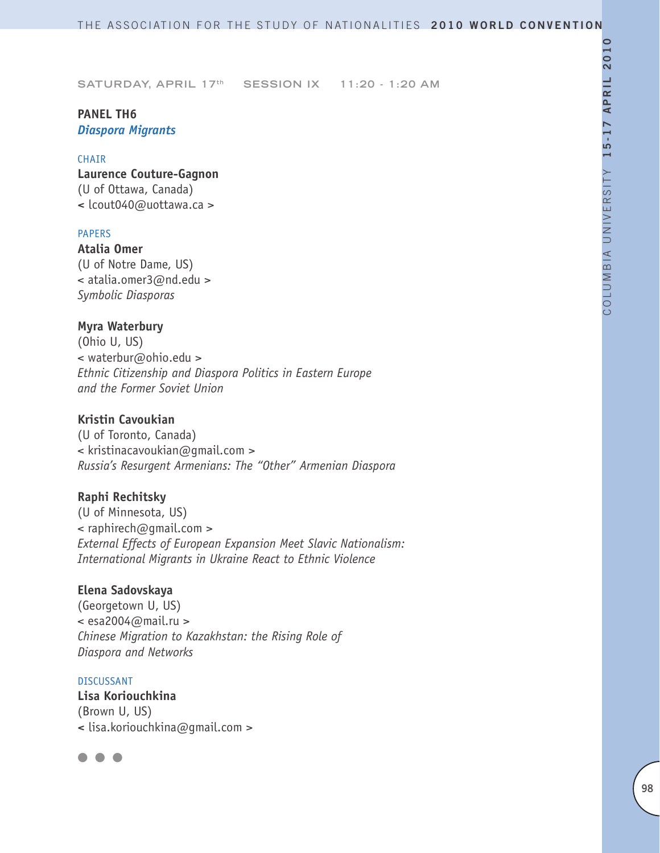# **PANEL TH6** *Diaspora Migrants*

#### CHAIR

**Laurence Couture-Gagnon** (U of Ottawa, Canada) **<** lcout040@uottawa.ca >

#### PAPERS

**Atalia Omer** (U of Notre Dame, US) < atalia.omer3@nd.edu > *Symbolic Diasporas* 

#### **Myra Waterbury**

(Ohio U, US) < waterbur@ohio.edu > *Ethnic Citizenship and Diaspora Politics in Eastern Europe and the Former Soviet Union*

#### **Kristin Cavoukian**

(U of Toronto, Canada) < kristinacavoukian@gmail.com > *Russia's Resurgent Armenians: The "Other" Armenian Diaspora*

#### **Raphi Rechitsky**

(U of Minnesota, US)  $\leq$  raphirech@gmail.com > *External Effects of European Expansion Meet Slavic Nationalism: International Migrants in Ukraine React to Ethnic Violence*

#### **Elena Sadovskaya**

(Georgetown U, US)  $\le$  esa2004@mail.ru > *Chinese Migration to Kazakhstan: the Rising Role of Diaspora and Networks* 

#### DISCUSSANT

**Lisa Koriouchkina** (Brown U, US) **<** lisa.koriouchkina@gmail.com >

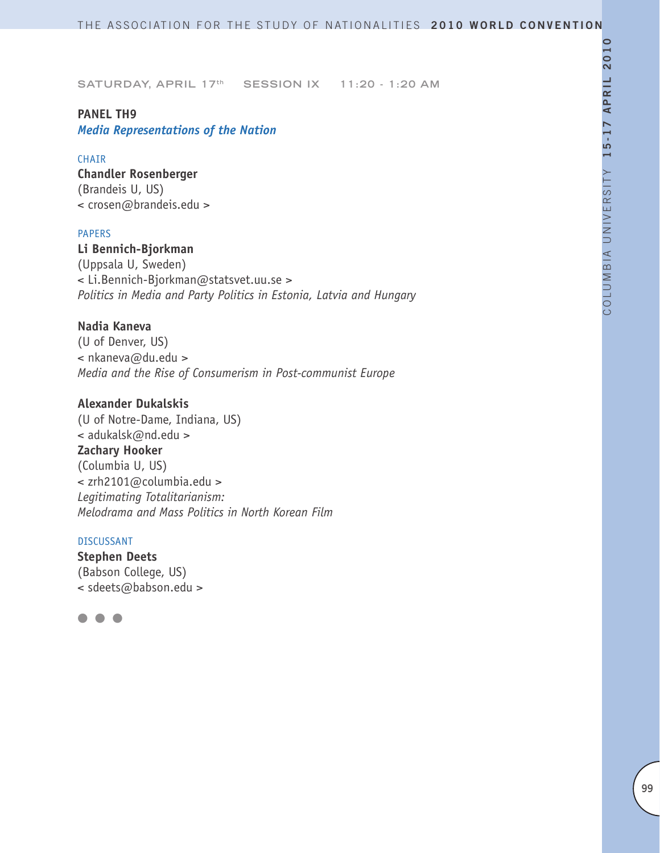# **PANEL TH9**

*Media Representations of the Nation*

# CHAIR

**Chandler Rosenberger** (Brandeis U, US) < crosen@brandeis.edu >

#### PAPERS

**Li Bennich-Bjorkman** (Uppsala U, Sweden) < Li.Bennich-Bjorkman@statsvet.uu.se > *Politics in Media and Party Politics in Estonia, Latvia and Hungary*

# **Nadia Kaneva**

(U of Denver, US) < nkaneva@du.edu > *Media and the Rise of Consumerism in Post-communist Europe* 

# **Alexander Dukalskis**

(U of Notre-Dame, Indiana, US) < adukalsk@nd.edu > **Zachary Hooker** (Columbia U, US) < zrh2101@columbia.edu > *Legitimating Totalitarianism: Melodrama and Mass Politics in North Korean Film*

#### DISCUSSANT

**Stephen Deets** (Babson College, US) < sdeets@babson.edu >

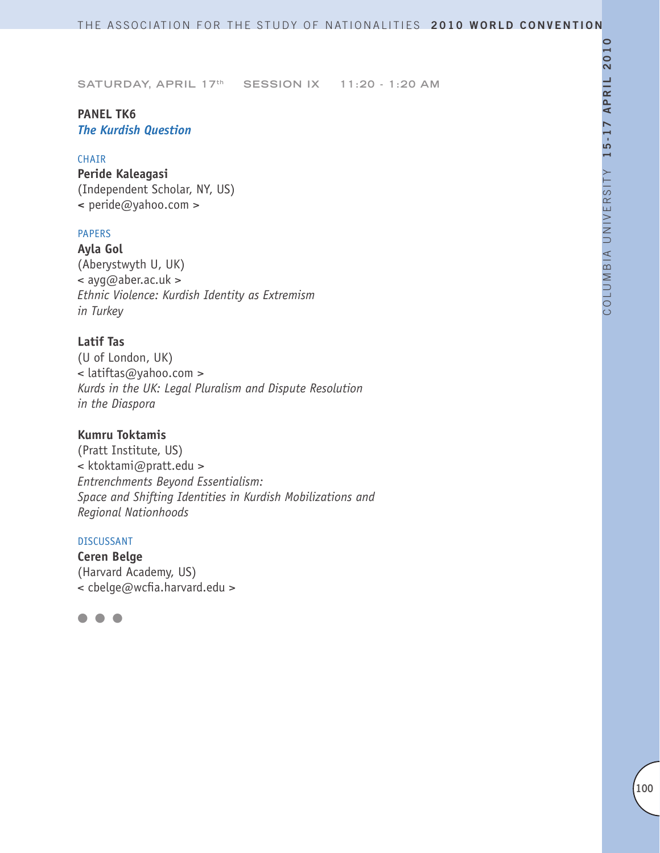# **PANEL TK6** *The Kurdish Question*

# CHAIR

**Peride Kaleagasi** (Independent Scholar, NY, US) **<** peride@yahoo.com >

# PAPERS

**Ayla Gol** (Aberystwyth U, UK) < ayg@aber.ac.uk > *Ethnic Violence: Kurdish Identity as Extremism in Turkey*

# **Latif Tas**

(U of London, UK) < latiftas@yahoo.com > *Kurds in the UK: Legal Pluralism and Dispute Resolution in the Diaspora*

# **Kumru Toktamis**

(Pratt Institute, US) < ktoktami@pratt.edu > *Entrenchments Beyond Essentialism: Space and Shifting Identities in Kurdish Mobilizations and Regional Nationhoods*

# DISCUSSANT

**Ceren Belge** (Harvard Academy, US) < cbelge@wcfia.harvard.edu >

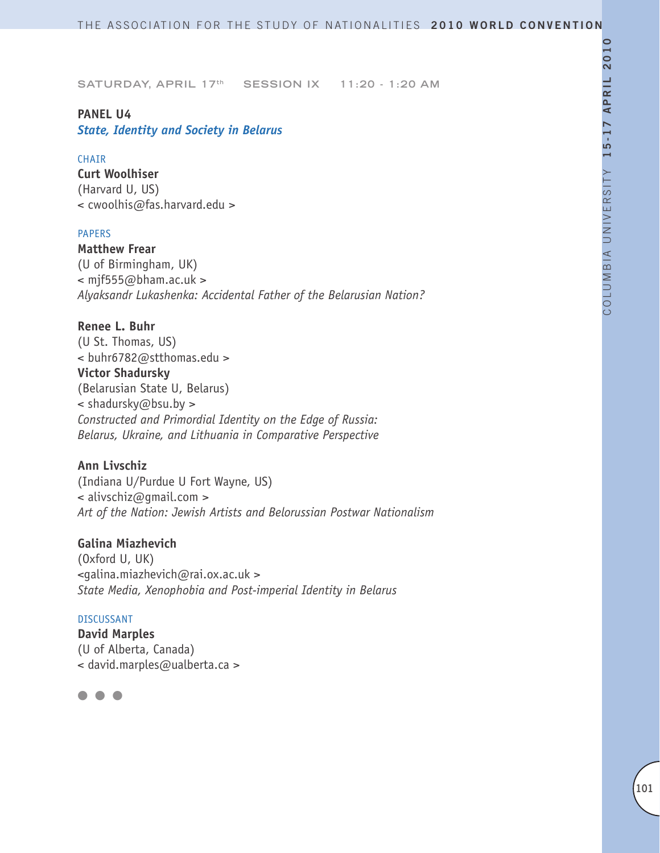# **PANEL U4**

*State, Identity and Society in Belarus*

# CHAIR

**Curt Woolhiser** (Harvard U, US) < cwoolhis@fas.harvard.edu >

# PAPERS

**Matthew Frear** (U of Birmingham, UK)  $\leq$  mjf555@bham.ac.uk > *Alyaksandr Lukashenka: Accidental Father of the Belarusian Nation?* 

# **Renee L. Buhr**

(U St. Thomas, US) < buhr6782@stthomas.edu > **Victor Shadursky** (Belarusian State U, Belarus) < shadursky@bsu.by > *Constructed and Primordial Identity on the Edge of Russia: Belarus, Ukraine, and Lithuania in Comparative Perspective*

# **Ann Livschiz**

(Indiana U/Purdue U Fort Wayne, US) < alivschiz@gmail.com > *Art of the Nation: Jewish Artists and Belorussian Postwar Nationalism*

# **Galina Miazhevich**

(Oxford U, UK) <galina.miazhevich@rai.ox.ac.uk > *State Media, Xenophobia and Post-imperial Identity in Belarus* 

#### DISCUSSANT

**David Marples** (U of Alberta, Canada) < david.marples@ualberta.ca >

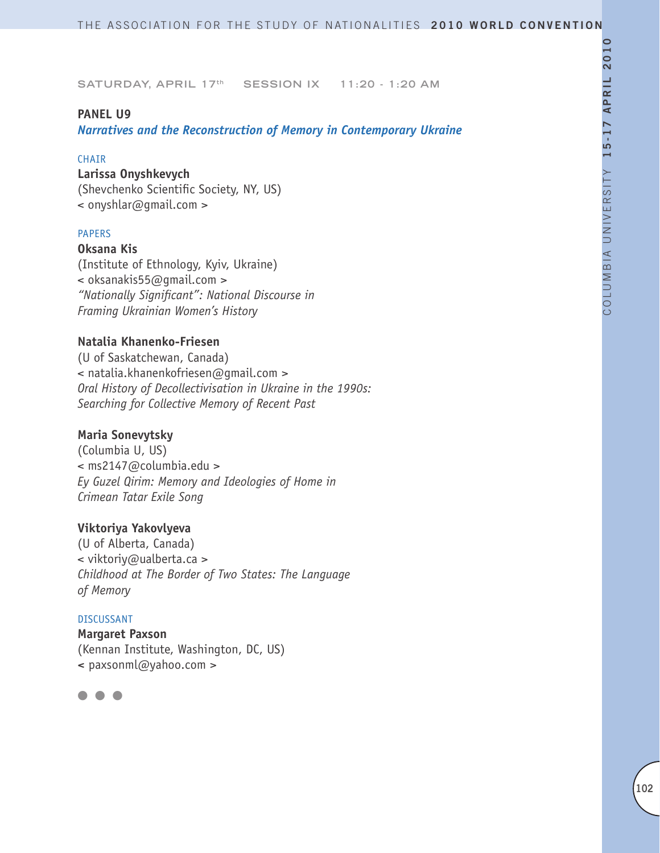#### **PANEL U9**

*Narratives and the Reconstruction of Memory in Contemporary Ukraine* 

#### **CHAIR**

# **Larissa Onyshkevych**

(Shevchenko Scientific Society, NY, US) < onyshlar@gmail.com >

#### PAPERS

#### **Oksana Kis**

(Institute of Ethnology, Kyiv, Ukraine) < oksanakis55@gmail.com > *"Nationally Significant": National Discourse in Framing Ukrainian Women's History*

#### **Natalia Khanenko-Friesen**

(U of Saskatchewan, Canada) < natalia.khanenkofriesen@gmail.com > *Oral History of Decollectivisation in Ukraine in the 1990s: Searching for Collective Memory of Recent Past*

# **Maria Sonevytsky**

(Columbia U, US) < ms2147@columbia.edu > *Ey Guzel Qirim: Memory and Ideologies of Home in Crimean Tatar Exile Song*

# **Viktoriya Yakovlyeva**

(U of Alberta, Canada) < viktoriy@ualberta.ca > *Childhood at The Border of Two States: The Language of Memory*

#### DISCUSSANT

**Margaret Paxson** (Kennan Institute, Washington, DC, US) **<** paxsonml@yahoo.com >

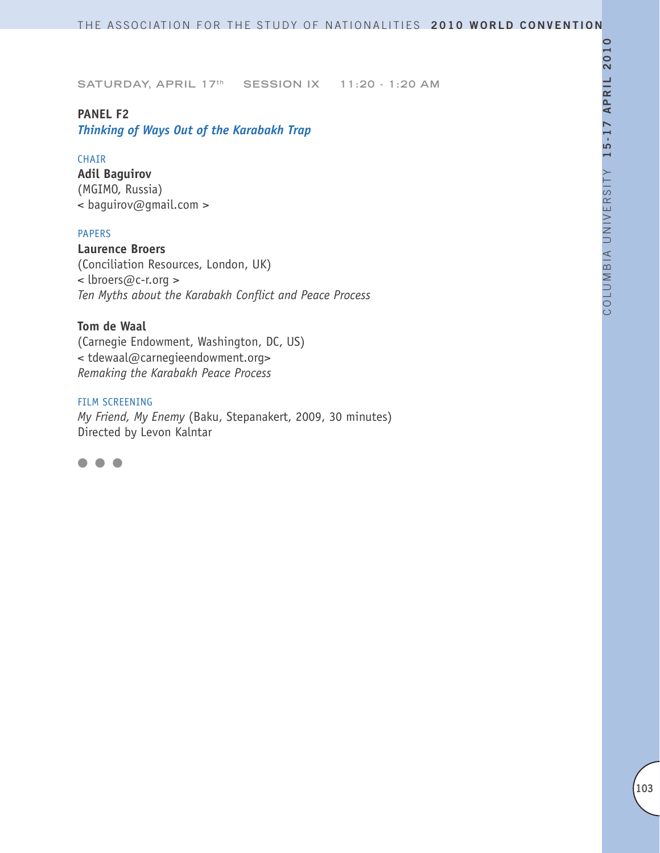# **PANEL F2**

*Thinking of Ways Out of the Karabakh Trap*

# CHAIR

**Adil Baguirov** (MGIMO, Russia) < baguirov@gmail.com >

# PAPERS

**Laurence Broers** (Conciliation Resources, London, UK) < lbroers@c-r.org > *Ten Myths about the Karabakh Conflict and Peace Process*

# **Tom de Waal**

(Carnegie Endowment, Washington, DC, US) < tdewaal@carnegieendowment.org> *Remaking the Karabakh Peace Process*

#### FILM SCREENING

*My Friend, My Enemy* (Baku, Stepanakert, 2009, 30 minutes) Directed by Levon Kalntar

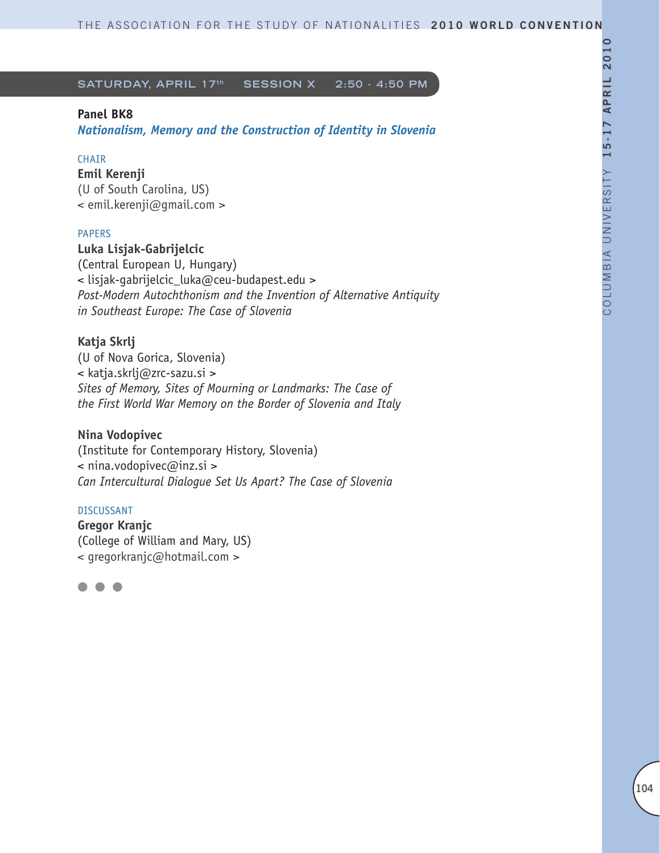# **Panel BK8**

*Nationalism, Memory and the Construction of Identity in Slovenia*

# CHAIR

**Emil Kerenji** (U of South Carolina, US) < emil.kerenji@gmail.com >

# PAPERS

**Luka Lisjak-Gabrijelcic** (Central European U, Hungary) < lisjak-gabrijelcic\_luka@ceu-budapest.edu > *Post-Modern Autochthonism and the Invention of Alternative Antiquity in Southeast Europe: The Case of Slovenia* 

# **Katja Skrlj**

(U of Nova Gorica, Slovenia) < katja.skrlj@zrc-sazu.si > *Sites of Memory, Sites of Mourning or Landmarks: The Case of the First World War Memory on the Border of Slovenia and Italy* 

# **Nina Vodopivec**

(Institute for Contemporary History, Slovenia) < nina.vodopivec@inz.si > *Can Intercultural Dialogue Set Us Apart? The Case of Slovenia* 

#### DISCUSSANT

**Gregor Kranjc** (College of William and Mary, US) < gregorkranjc@hotmail.com >

l l l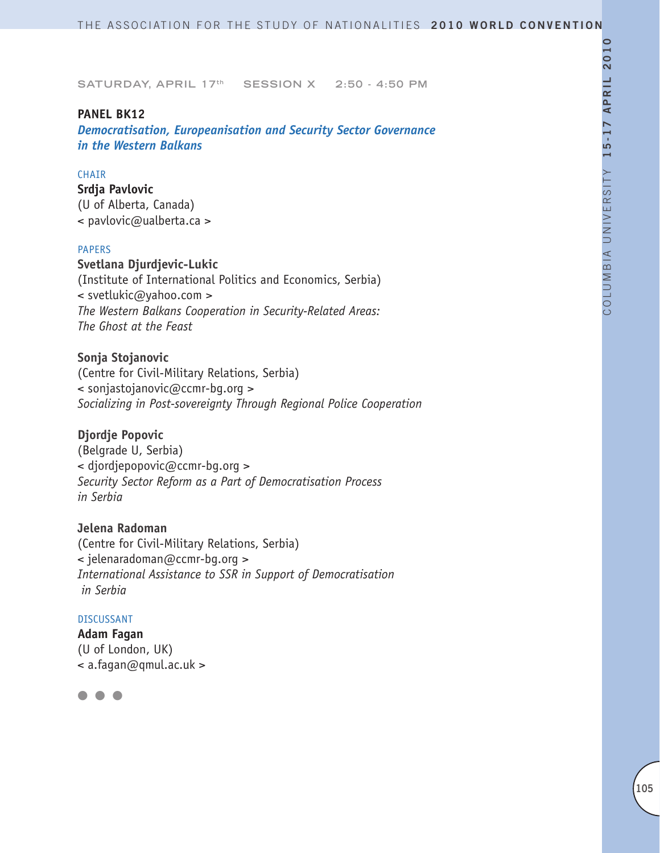#### **PANEL BK12**

*Democratisation, Europeanisation and Security Sector Governance in the Western Balkans*

#### **CHAIR**

**Srdja Pavlovic** (U of Alberta, Canada) < pavlovic@ualberta.ca >

#### PAPERS

**Svetlana Djurdjevic-Lukic** (Institute of International Politics and Economics, Serbia) < svetlukic@yahoo.com > *The Western Balkans Cooperation in Security-Related Areas: The Ghost at the Feast*

**Sonja Stojanovic** (Centre for Civil-Military Relations, Serbia) < sonjastojanovic@ccmr-bg.org > *Socializing in Post-sovereignty Through Regional Police Cooperation*

#### **Djordje Popovic**

(Belgrade U, Serbia) < djordjepopovic@ccmr-bg.org > *Security Sector Reform as a Part of Democratisation Process in Serbia*

# **Jelena Radoman**

(Centre for Civil-Military Relations, Serbia) < jelenaradoman@ccmr-bg.org > *International Assistance to SSR in Support of Democratisation in Serbia* 

#### DISCUSSANT

**Adam Fagan** (U of London, UK)  $\leq$  a.fagan@qmul.ac.uk >

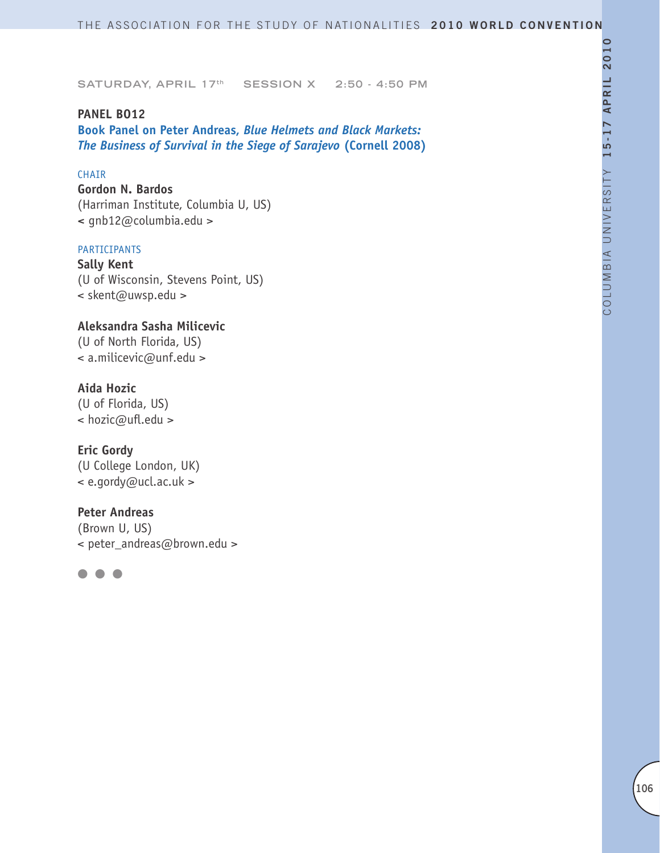# **PANEL BO12**

**Book Panel on Peter Andreas,** *Blue Helmets and Black Markets: The Business of Survival in the Siege of Sarajevo* **(Cornell 2008)**

# CHAIR

**Gordon N. Bardos** (Harriman Institute, Columbia U, US) **<** gnb12@columbia.edu >

# PARTICIPANTS

**Sally Kent** (U of Wisconsin, Stevens Point, US) < skent@uwsp.edu >

**Aleksandra Sasha Milicevic** (U of North Florida, US) < a.milicevic@unf.edu >

# **Aida Hozic**

(U of Florida, US) < hozic@ufl.edu >

**Eric Gordy** (U College London, UK)

< e.gordy@ucl.ac.uk >

#### **Peter Andreas**

(Brown U, US) < peter\_andreas@brown.edu >

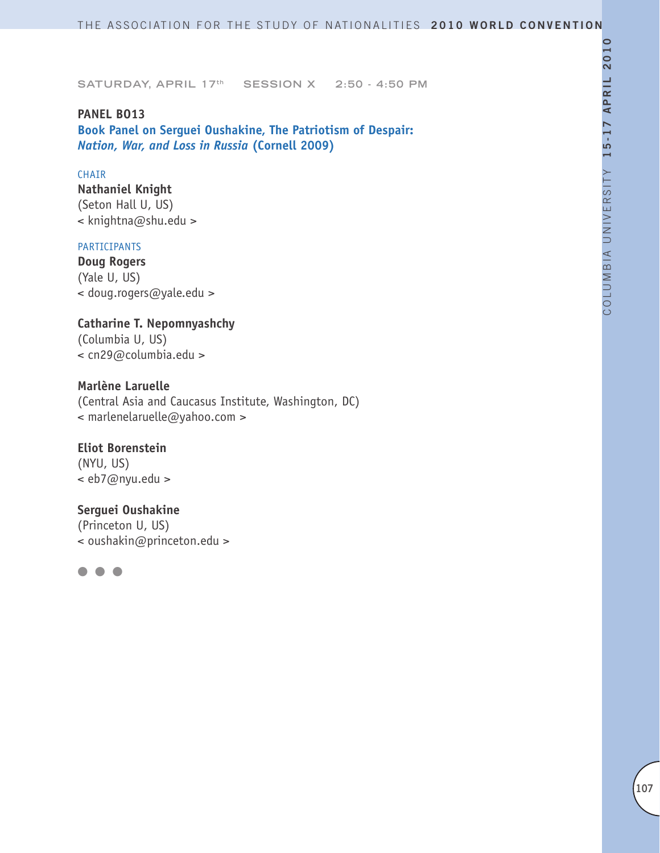**PANEL BO13 Book Panel on Serguei Oushakine, The Patriotism of Despair:**  *Nation, War, and Loss in Russia* **(Cornell 2009)**

#### CHAIR

**Nathaniel Knight** (Seton Hall U, US) < knightna@shu.edu >

#### PARTICIPANTS

**Doug Rogers** (Yale U, US) < doug.rogers@yale.edu >

# **Catharine T. Nepomnyashchy** (Columbia U, US)

< cn29@columbia.edu >

# **Marlène Laruelle**

(Central Asia and Caucasus Institute, Washington, DC) < marlenelaruelle@yahoo.com >

**Eliot Borenstein** (NYU, US) < eb7@nyu.edu >

# **Serguei Oushakine**

(Princeton U, US) < oushakin@princeton.edu >

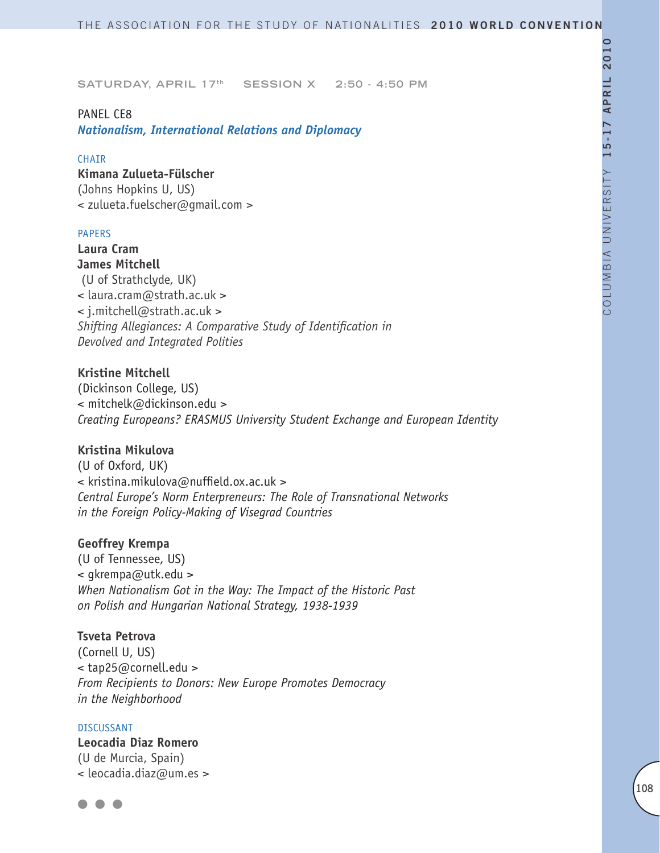#### PANEL CE8

*Nationalism, International Relations and Diplomacy*

#### **CHAIR**

**Kimana Zulueta-Fülscher** (Johns Hopkins U, US) < zulueta.fuelscher@gmail.com >

#### PAPERS

**Laura Cram James Mitchell** (U of Strathclyde, UK) < laura.cram@strath.ac.uk > < j.mitchell@strath.ac.uk > *Shifting Allegiances: A Comparative Study of Identification in Devolved and Integrated Polities* 

# **Kristine Mitchell**

(Dickinson College, US) < mitchelk@dickinson.edu > *Creating Europeans? ERASMUS University Student Exchange and European Identity* 

# **Kristina Mikulova**

(U of Oxford, UK) < kristina.mikulova@nuffield.ox.ac.uk > *Central Europe's Norm Enterpreneurs: The Role of Transnational Networks in the Foreign Policy-Making of Visegrad Countries*

#### **Geoffrey Krempa**

(U of Tennessee, US) < gkrempa@utk.edu > *When Nationalism Got in the Way: The Impact of the Historic Past on Polish and Hungarian National Strategy, 1938-1939* 

#### **Tsveta Petrova**

(Cornell U, US) < tap25@cornell.edu > *From Recipients to Donors: New Europe Promotes Democracy in the Neighborhood* 

#### DISCUSSANT

**Leocadia Diaz Romero** (U de Murcia, Spain) < leocadia.diaz@um.es >

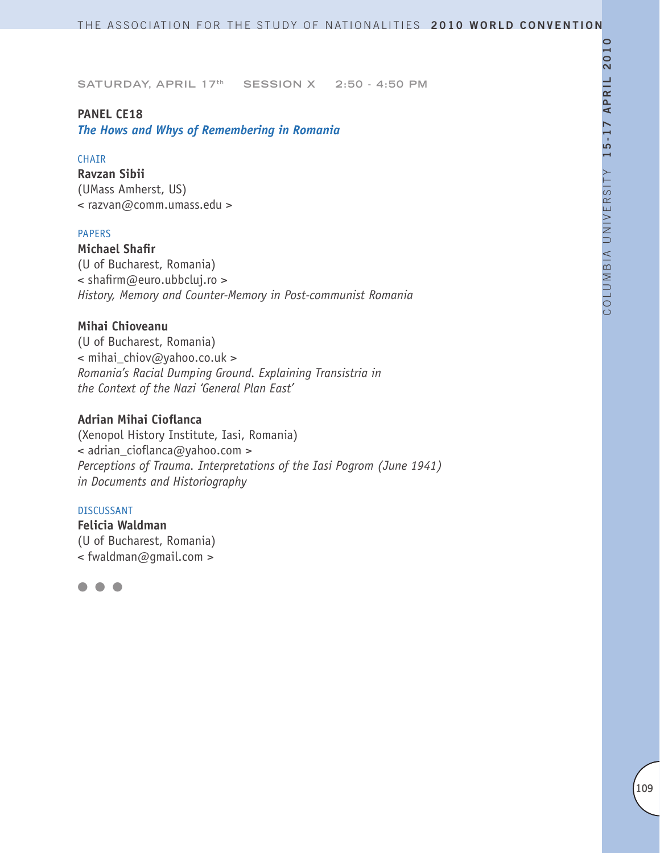#### **PANEL CE18**

*The Hows and Whys of Remembering in Romania* 

#### CHAIR

**Ravzan Sibii** (UMass Amherst, US) < razvan@comm.umass.edu >

#### PAPERS

**Michael Shafir** (U of Bucharest, Romania) < shafirm@euro.ubbcluj.ro > *History, Memory and Counter-Memory in Post-communist Romania*

## **Mihai Chioveanu**

(U of Bucharest, Romania) < mihai\_chiov@yahoo.co.uk > *Romania's Racial Dumping Ground. Explaining Transistria in the Context of the Nazi 'General Plan East'* 

## **Adrian Mihai Cioflanca**

(Xenopol History Institute, Iasi, Romania) < adrian\_cioflanca@yahoo.com > *Perceptions of Trauma. Interpretations of the Iasi Pogrom (June 1941) in Documents and Historiography*

#### DISCUSSANT

**Felicia Waldman** (U of Bucharest, Romania) < fwaldman@gmail.com >

l l l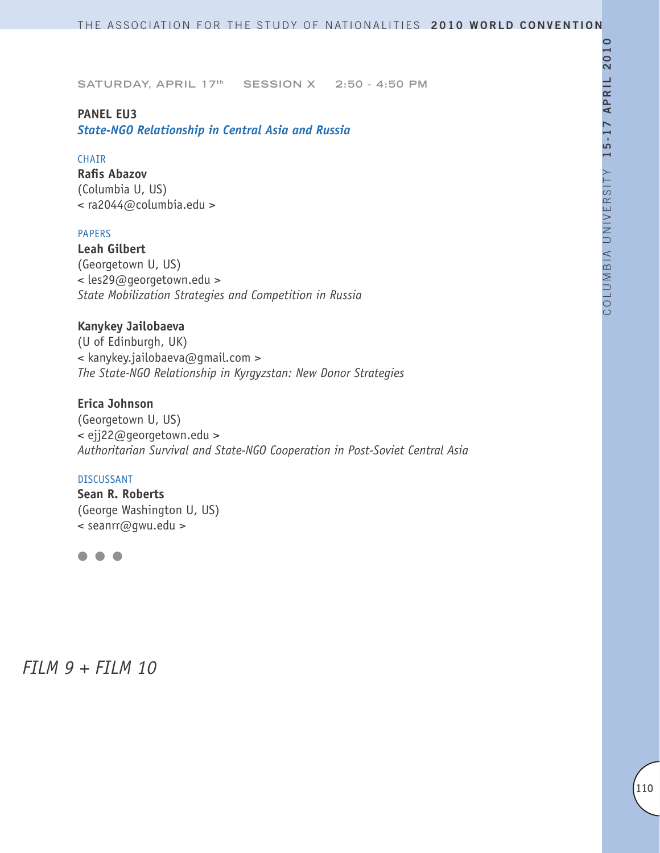## **PANEL EU3**

*State-NGO Relationship in Central Asia and Russia*

### CHAIR

**Rafis Abazov** (Columbia U, US) < ra2044@columbia.edu >

### PAPERS

**Leah Gilbert** (Georgetown U, US) < les29@georgetown.edu > *State Mobilization Strategies and Competition in Russia*

## **Kanykey Jailobaeva**

(U of Edinburgh, UK) < kanykey.jailobaeva@gmail.com > *The State-NGO Relationship in Kyrgyzstan: New Donor Strategies*

## **Erica Johnson**

(Georgetown U, US) < ejj22@georgetown.edu > *Authoritarian Survival and State-NGO Cooperation in Post-Soviet Central Asia*

#### DISCUSSANT

**Sean R. Roberts** (George Washington U, US) < seanrr@gwu.edu >



*FILM 9 + FILM 10*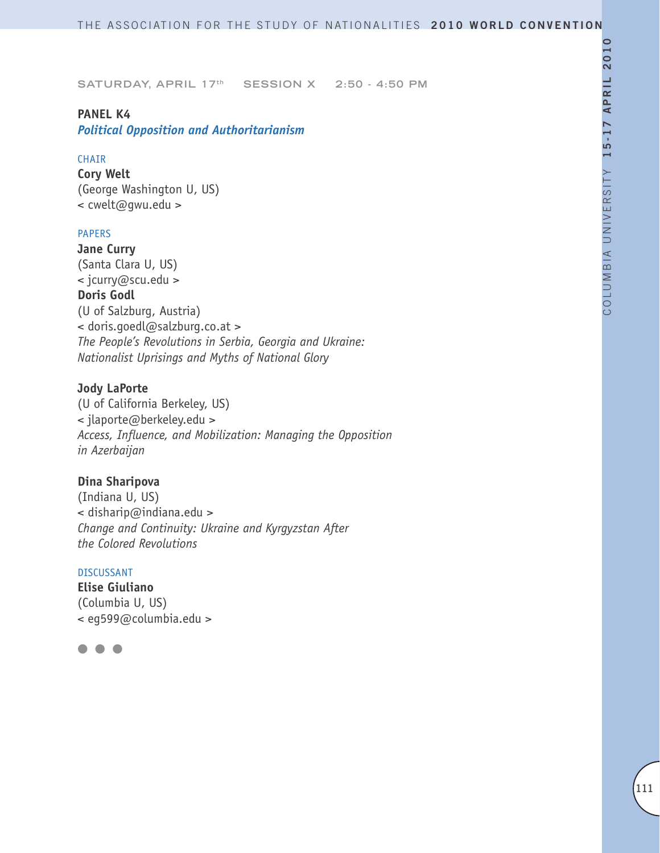### **PANEL K4**

*Political Opposition and Authoritarianism*

## **CHAIR**

**Cory Welt** (George Washington U, US) < cwelt@gwu.edu >

### PAPERS

**Jane Curry** (Santa Clara U, US) < jcurry@scu.edu > **Doris Godl** (U of Salzburg, Austria) < doris.goedl@salzburg.co.at > *The People's Revolutions in Serbia, Georgia and Ukraine: Nationalist Uprisings and Myths of National Glory* 

### **Jody LaPorte**

(U of California Berkeley, US) < jlaporte@berkeley.edu > *Access, Influence, and Mobilization: Managing the Opposition in Azerbaijan*

## **Dina Sharipova**

(Indiana U, US) < disharip@indiana.edu > *Change and Continuity: Ukraine and Kyrgyzstan After the Colored Revolutions*

#### DISCUSSANT

**Elise Giuliano** (Columbia U, US) < eg599@columbia.edu >

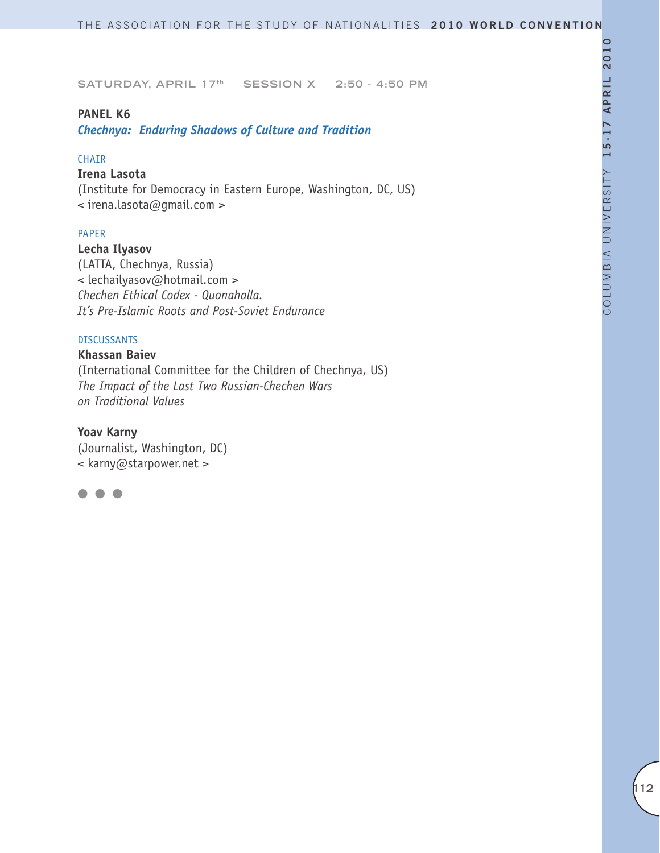### **PANEL K6**

*Chechnya: Enduring Shadows of Culture and Tradition*

### CHAIR

## **Irena Lasota**

(Institute for Democracy in Eastern Europe, Washington, DC, US) < irena.lasota@gmail.com >

### PAPER

**Lecha Ilyasov**

(LATTA, Chechnya, Russia) < lechailyasov@hotmail.com > *Chechen Ethical Codex - Quonahalla. It's Pre-Islamic Roots and Post-Soviet Endurance*

#### DISCUSSANTS

### **Khassan Baiev**

(International Committee for the Children of Chechnya, US) *The Impact of the Last Two Russian-Chechen Wars on Traditional Values* 

## **Yoav Karny**

(Journalist, Washington, DC) < karny@starpower.net >

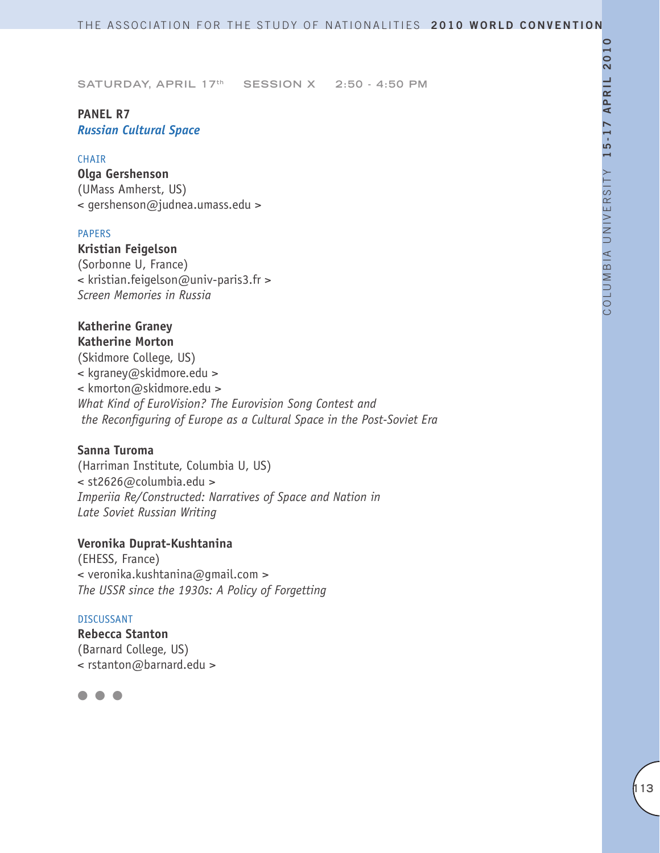## **PANEL R7** *Russian Cultural Space*

#### CHAIR

**Olga Gershenson** (UMass Amherst, US) < gershenson@judnea.umass.edu >

#### PAPERS

**Kristian Feigelson** (Sorbonne U, France) < kristian.feigelson@univ-paris3.fr > *Screen Memories in Russia*

### **Katherine Graney Katherine Morton**

(Skidmore College, US) < kgraney@skidmore.edu > < kmorton@skidmore.edu > *What Kind of EuroVision? The Eurovision Song Contest and the Reconfiguring of Europe as a Cultural Space in the Post-Soviet Era*

## **Sanna Turoma**

(Harriman Institute, Columbia U, US) < st2626@columbia.edu > *Imperiia Re/Constructed: Narratives of Space and Nation in Late Soviet Russian Writing*

#### **Veronika Duprat-Kushtanina**

(EHESS, France) < veronika.kushtanina@gmail.com > *The USSR since the 1930s: A Policy of Forgetting*

#### DISCUSSANT

**Rebecca Stanton** (Barnard College, US) < rstanton@barnard.edu >

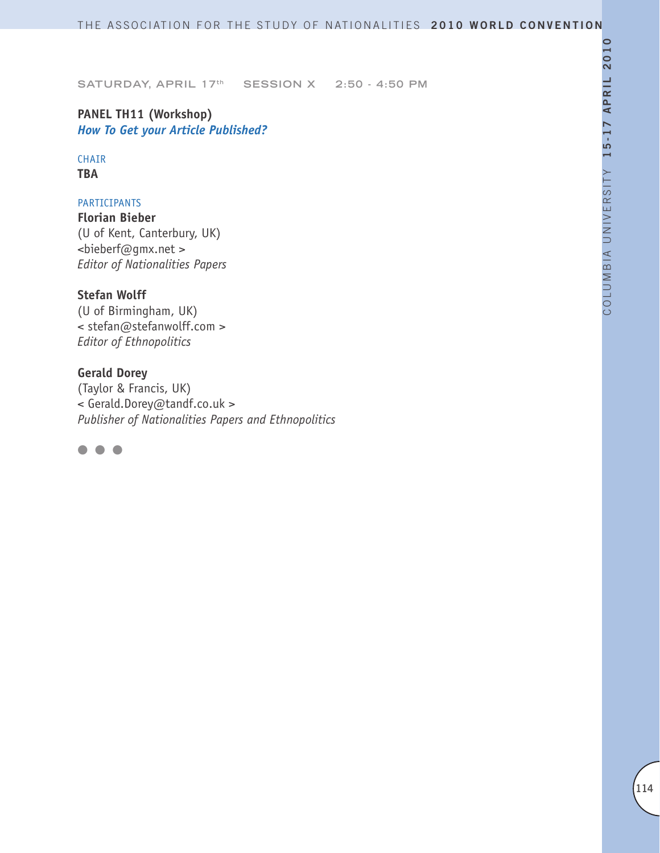## **PANEL TH11 (Workshop)** *How To Get your Article Published?*

# CHAIR

**TBA**

## PARTICIPANTS

**Florian Bieber** (U of Kent, Canterbury, UK) <bieberf@gmx.net > *Editor of Nationalities Papers*

## **Stefan Wolff**

(U of Birmingham, UK) < stefan@stefanwolff.com > *Editor of Ethnopolitics*

## **Gerald Dorey**

(Taylor & Francis, UK) < Gerald.Dorey@tandf.co.uk > *Publisher of Nationalities Papers and Ethnopolitics*

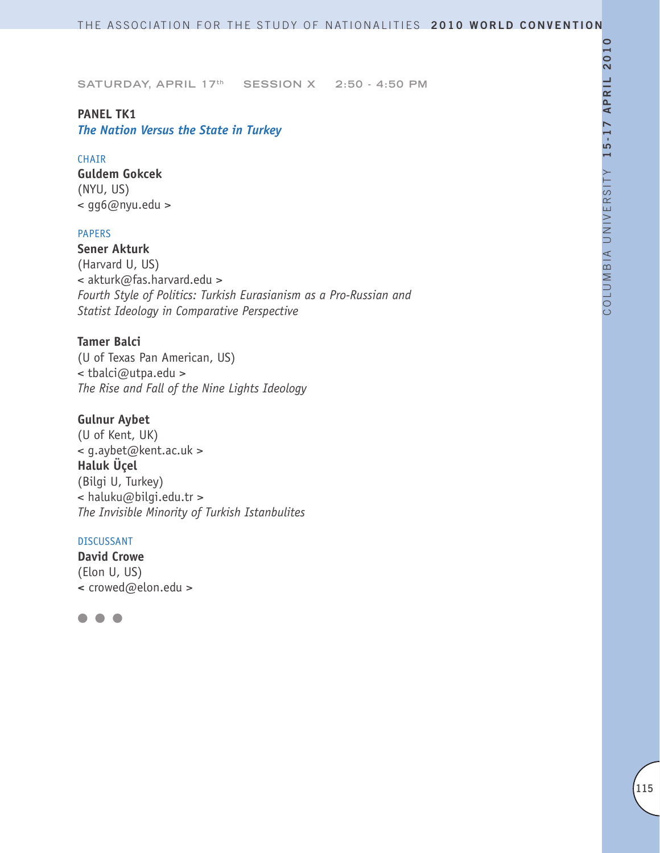### **PANEL TK1**

*The Nation Versus the State in Turkey*

#### CHAIR

**Guldem Gokcek** (NYU, US) < gg6@nyu.edu >

#### PAPERS

**Sener Akturk**  (Harvard U, US) < akturk@fas.harvard.edu > *Fourth Style of Politics: Turkish Eurasianism as a Pro-Russian and Statist Ideology in Comparative Perspective*

### **Tamer Balci**

(U of Texas Pan American, US) < tbalci@utpa.edu > *The Rise and Fall of the Nine Lights Ideology*

## **Gulnur Aybet**

(U of Kent, UK) < g.aybet@kent.ac.uk > **Haluk Üçel** (Bilgi U, Turkey) < haluku@bilgi.edu.tr > *The Invisible Minority of Turkish Istanbulites* 

### DISCUSSANT

**David Crowe** (Elon U, US) **<** crowed@elon.edu >

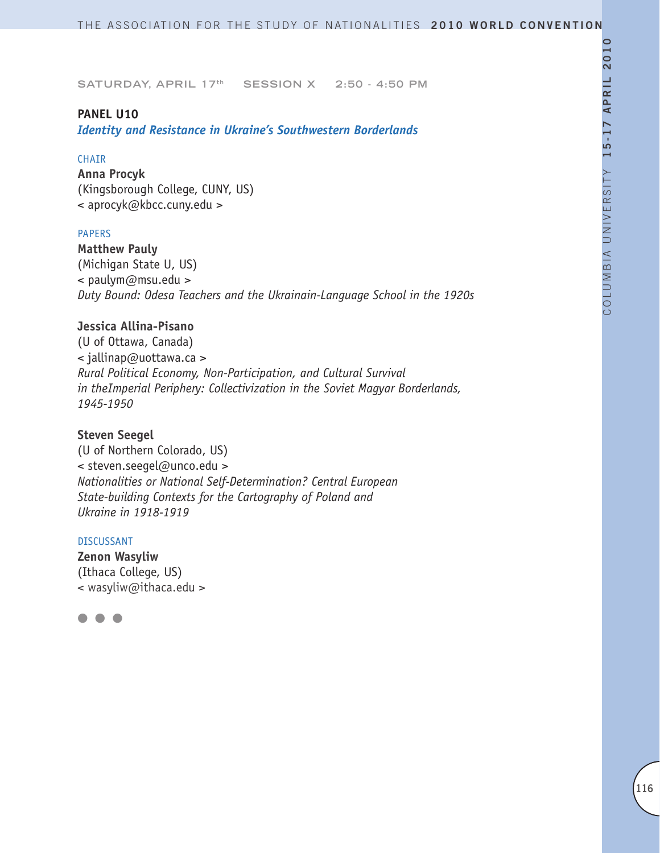### **PANEL U10**

*Identity and Resistance in Ukraine's Southwestern Borderlands*

#### CHAIR

**Anna Procyk** (Kingsborough College, CUNY, US) < aprocyk@kbcc.cuny.edu >

#### PAPERS

**Matthew Pauly** (Michigan State U, US) < paulym@msu.edu > *Duty Bound: Odesa Teachers and the Ukrainain-Language School in the 1920s* 

## **Jessica Allina-Pisano**

(U of Ottawa, Canada) < jallinap@uottawa.ca > *Rural Political Economy, Non-Participation, and Cultural Survival in theImperial Periphery: Collectivization in the Soviet Magyar Borderlands, 1945-1950*

### **Steven Seegel**

(U of Northern Colorado, US) < steven.seegel@unco.edu > *Nationalities or National Self-Determination? Central European State-building Contexts for the Cartography of Poland and Ukraine in 1918-1919*

#### DISCUSSANT

**Zenon Wasyliw** (Ithaca College, US) < wasyliw@ithaca.edu >

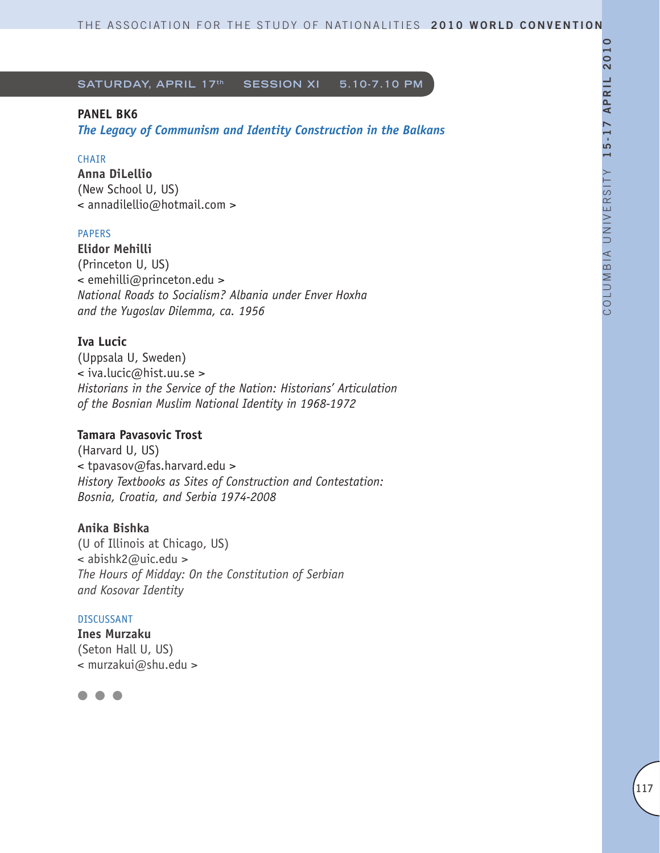## **PANEL BK6**

*The Legacy of Communism and Identity Construction in the Balkans* 

## **CHAIR**

**Anna DiLellio** (New School U, US) < annadilellio@hotmail.com >

## PAPERS

**Elidor Mehilli**  (Princeton U, US) < emehilli@princeton.edu > *National Roads to Socialism? Albania under Enver Hoxha and the Yugoslav Dilemma, ca. 1956*

## **Iva Lucic**

(Uppsala U, Sweden) < iva.lucic@hist.uu.se > *Historians in the Service of the Nation: Historians' Articulation of the Bosnian Muslim National Identity in 1968-1972*

## **Tamara Pavasovic Trost**

(Harvard U, US) < tpavasov@fas.harvard.edu > *History Textbooks as Sites of Construction and Contestation: Bosnia, Croatia, and Serbia 1974-2008*

## **Anika Bishka**

(U of Illinois at Chicago, US) < abishk2@uic.edu > *The Hours of Midday: On the Constitution of Serbian and Kosovar Identity*

#### DISCUSSANT

**Ines Murzaku** (Seton Hall U, US) < murzakui@shu.edu >

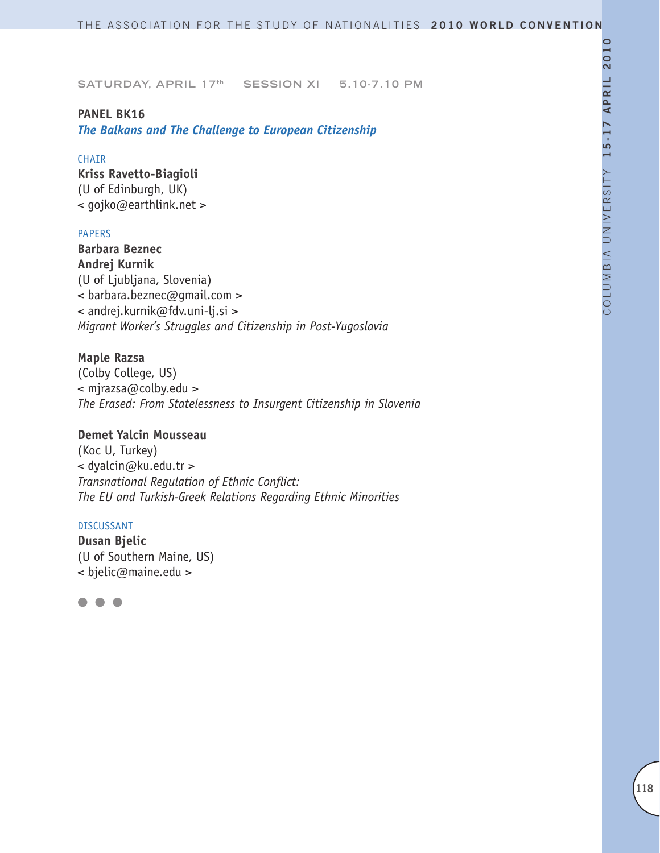#### **PANEL BK16**

*The Balkans and The Challenge to European Citizenship*

### **CHAIR**

**Kriss Ravetto-Biagioli** (U of Edinburgh, UK) < gojko@earthlink.net >

#### PAPERS

**Barbara Beznec Andrej Kurnik** (U of Ljubljana, Slovenia) < barbara.beznec@gmail.com > < andrej.kurnik@fdv.uni-lj.si > *Migrant Worker's Struggles and Citizenship in Post-Yugoslavia*

## **Maple Razsa**

(Colby College, US) < mjrazsa@colby.edu > *The Erased: From Statelessness to Insurgent Citizenship in Slovenia* 

### **Demet Yalcin Mousseau**

(Koc U, Turkey) < dyalcin@ku.edu.tr > *Transnational Regulation of Ethnic Conflict: The EU and Turkish-Greek Relations Regarding Ethnic Minorities* 

#### DISCUSSANT

**Dusan Bjelic** (U of Southern Maine, US) < bjelic@maine.edu >

l l l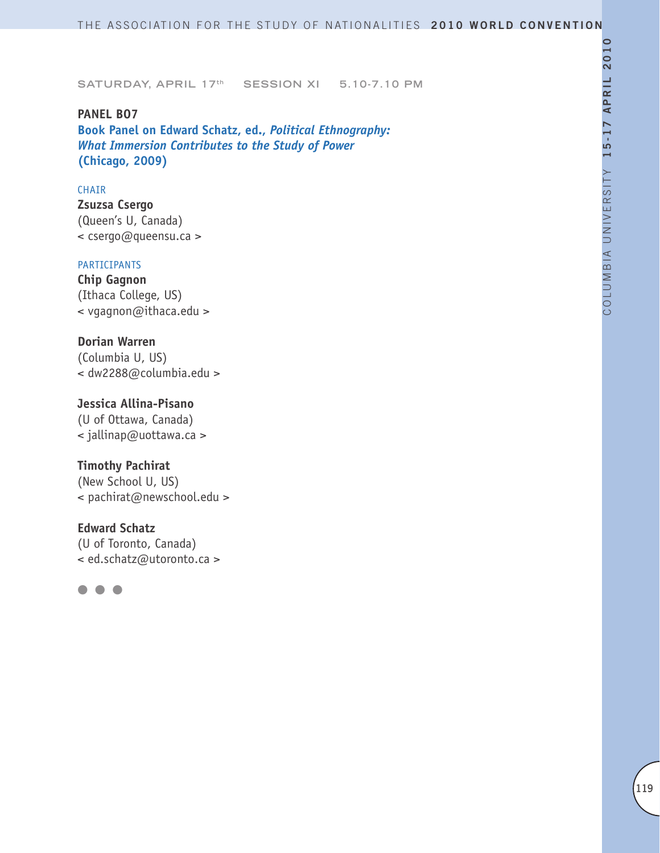**PANEL BO7 Book Panel on Edward Schatz, ed.,** *Political Ethnography: What Immersion Contributes to the Study of Power*  **(Chicago, 2009)**

#### CHAIR

**Zsuzsa Csergo** (Queen's U, Canada) < csergo@queensu.ca >

#### PARTICIPANTS

**Chip Gagnon** (Ithaca College, US) < vgagnon@ithaca.edu >

## **Dorian Warren**

(Columbia U, US) < dw2288@columbia.edu >

### **Jessica Allina-Pisano**

(U of Ottawa, Canada) < jallinap@uottawa.ca >

## **Timothy Pachirat**

(New School U, US) < pachirat@newschool.edu >

### **Edward Schatz**

(U of Toronto, Canada) < ed.schatz@utoronto.ca >

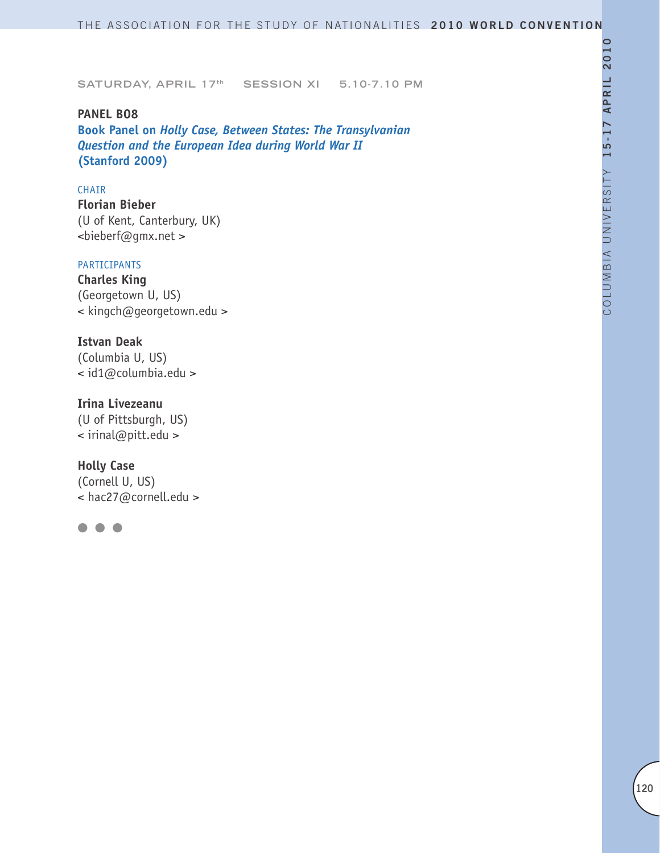**PANEL BO8 Book Panel on** *Holly Case, Between States: The Transylvanian Question and the European Idea during World War II*  **(Stanford 2009)**

#### CHAIR

**Florian Bieber** (U of Kent, Canterbury, UK) <bieberf@gmx.net >

#### PARTICIPANTS

**Charles King** (Georgetown U, US) < kingch@georgetown.edu >

### **Istvan Deak**

(Columbia U, US) < id1@columbia.edu >

### **Irina Livezeanu**

(U of Pittsburgh, US) < irinal@pitt.edu >

## **Holly Case**

(Cornell U, US) < hac27@cornell.edu >

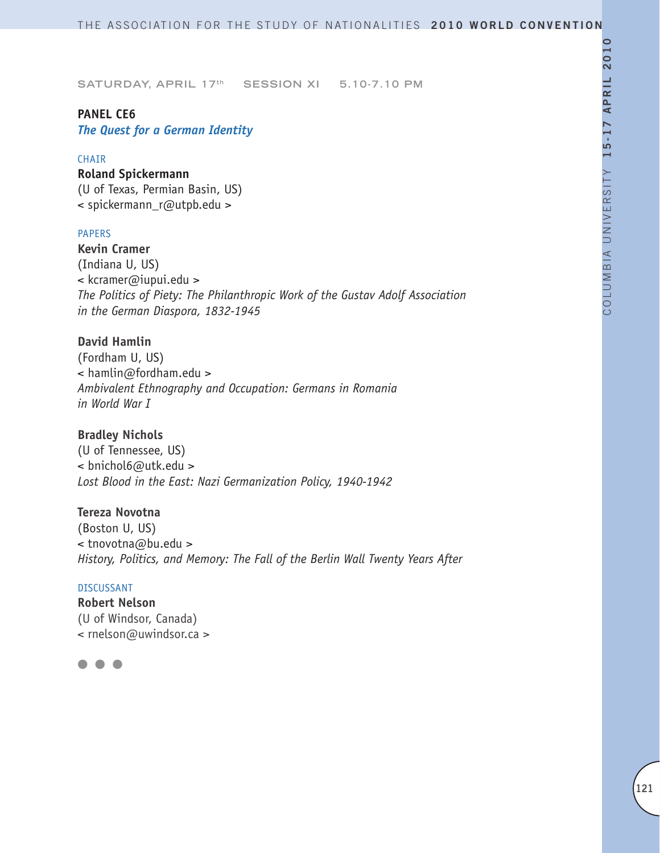### **PANEL CE6**

*The Quest for a German Identity*

### **CHAIR**

### **Roland Spickermann** (U of Texas, Permian Basin, US)

< spickermann\_r@utpb.edu >

#### PAPERS

**Kevin Cramer** (Indiana U, US) < kcramer@iupui.edu > *The Politics of Piety: The Philanthropic Work of the Gustav Adolf Association in the German Diaspora, 1832-1945*

**David Hamlin** (Fordham U, US) < hamlin@fordham.edu > *Ambivalent Ethnography and Occupation: Germans in Romania in World War I*

### **Bradley Nichols**

(U of Tennessee, US) < bnichol6@utk.edu > *Lost Blood in the East: Nazi Germanization Policy, 1940-1942*

**Tereza Novotna**

(Boston U, US) < tnovotna@bu.edu > *History, Politics, and Memory: The Fall of the Berlin Wall Twenty Years After*

#### DISCUSSANT

**Robert Nelson** (U of Windsor, Canada) < rnelson@uwindsor.ca >

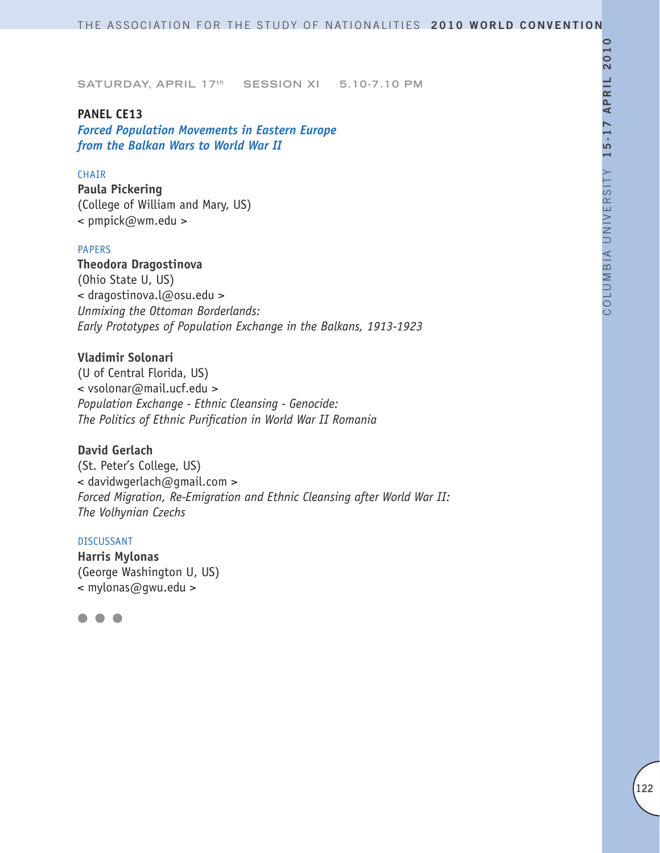#### **PANEL CE13**

*Forced Population Movements in Eastern Europe from the Balkan Wars to World War II* 

### CHAIR

**Paula Pickering** (College of William and Mary, US) < pmpick@wm.edu >

### PAPERS

**Theodora Dragostinova** (Ohio State U, US) < dragostinova.l@osu.edu > *Unmixing the Ottoman Borderlands: Early Prototypes of Population Exchange in the Balkans, 1913-1923* 

### **Vladimir Solonari**

(U of Central Florida, US) < vsolonar@mail.ucf.edu > *Population Exchange - Ethnic Cleansing - Genocide: The Politics of Ethnic Purification in World War II Romania*

## **David Gerlach**

(St. Peter's College, US) < davidwgerlach@gmail.com > *Forced Migration, Re-Emigration and Ethnic Cleansing after World War II: The Volhynian Czechs*

### DISCUSSANT

**Harris Mylonas** (George Washington U, US) < mylonas@gwu.edu >

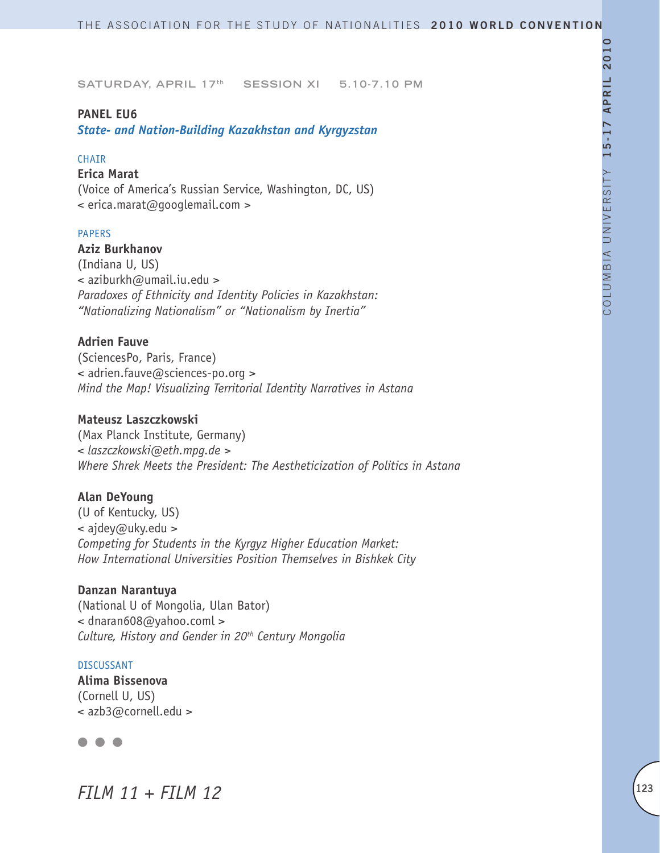#### **PANEL EU6**

*State- and Nation-Building Kazakhstan and Kyrgyzstan*

#### CHAIR

#### **Erica Marat**

(Voice of America's Russian Service, Washington, DC, US) < erica.marat@googlemail.com >

#### PAPERS

**Aziz Burkhanov** (Indiana U, US) < aziburkh@umail.iu.edu > *Paradoxes of Ethnicity and Identity Policies in Kazakhstan: "Nationalizing Nationalism" or "Nationalism by Inertia"*

#### **Adrien Fauve**

(SciencesPo, Paris, France) < adrien.fauve@sciences-po.org > *Mind the Map! Visualizing Territorial Identity Narratives in Astana*

#### **Mateusz Laszczkowski**

(Max Planck Institute, Germany) *< laszczkowski@eth.mpg.de > Where Shrek Meets the President: The Aestheticization of Politics in Astana*

#### **Alan DeYoung**

(U of Kentucky, US) < ajdey@uky.edu > *Competing for Students in the Kyrgyz Higher Education Market: How International Universities Position Themselves in Bishkek City*

#### **Danzan Narantuya**

(National U of Mongolia, Ulan Bator) < dnaran608@yahoo.coml > *Culture, History and Gender in 20th Century Mongolia*

#### DISCUSSANT

**Alima Bissenova** (Cornell U, US) < azb3@cornell.edu >

## $\bullet$   $\bullet$

*FILM 11 + FILM 12*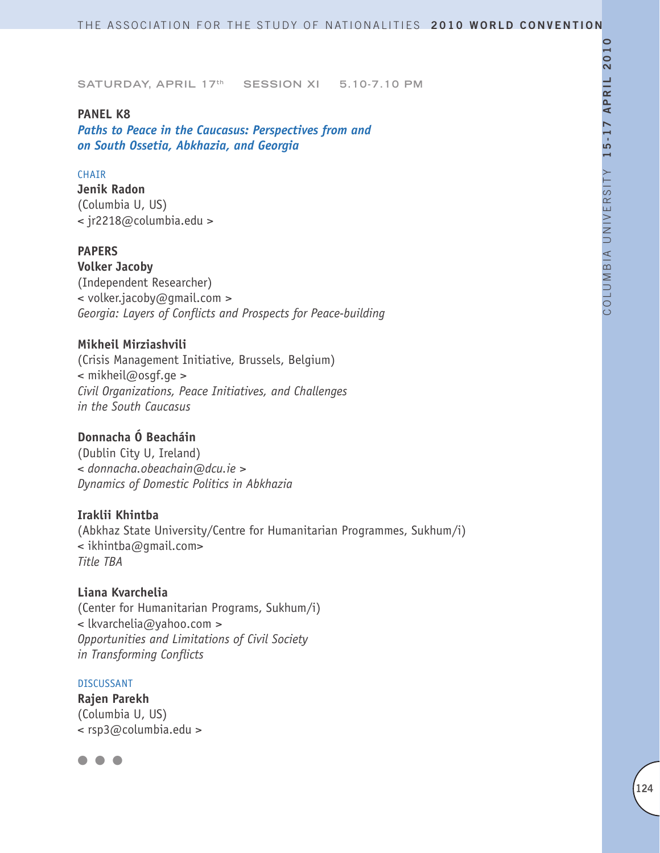### **PANEL K8**

*Paths to Peace in the Caucasus: Perspectives from and on South Ossetia, Abkhazia, and Georgia*

#### **CHAIR**

**Jenik Radon** (Columbia U, US) < jr2218@columbia.edu >

### **PAPERS**

**Volker Jacoby** (Independent Researcher) < volker.jacoby@gmail.com > *Georgia: Layers of Conflicts and Prospects for Peace-building*

## **Mikheil Mirziashvili**

(Crisis Management Initiative, Brussels, Belgium) < mikheil@osgf.ge > *Civil Organizations, Peace Initiatives, and Challenges in the South Caucasus*

### **Donnacha Ó Beacháin**

(Dublin City U, Ireland) *< donnacha.obeachain@dcu.ie > Dynamics of Domestic Politics in Abkhazia* 

### **Iraklii Khintba**

(Abkhaz State University/Centre for Humanitarian Programmes, Sukhum/i) < ikhintba@gmail.com> *Title TBA*

**Liana Kvarchelia** (Center for Humanitarian Programs, Sukhum/i) < lkvarchelia@yahoo.com > *Opportunities and Limitations of Civil Society in Transforming Conflicts*

#### DISCUSSANT

**Rajen Parekh**  (Columbia U, US) < rsp3@columbia.edu >

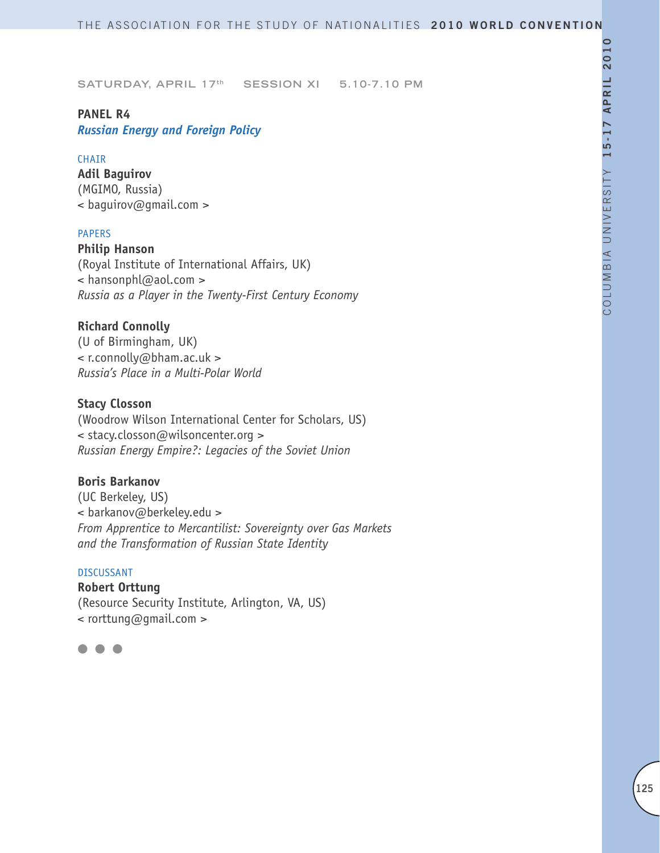## **PANEL R4**

*Russian Energy and Foreign Policy*

### CHAIR

**Adil Baguirov** (MGIMO, Russia) < baguirov@gmail.com >

### PAPERS

**Philip Hanson** (Royal Institute of International Affairs, UK) < hansonphl@aol.com > *Russia as a Player in the Twenty-First Century Economy* 

## **Richard Connolly**

(U of Birmingham, UK) < r.connolly@bham.ac.uk > *Russia's Place in a Multi-Polar World*

## **Stacy Closson**

(Woodrow Wilson International Center for Scholars, US) < stacy.closson@wilsoncenter.org > *Russian Energy Empire?: Legacies of the Soviet Union* 

## **Boris Barkanov**

(UC Berkeley, US) < barkanov@berkeley.edu > *From Apprentice to Mercantilist: Sovereignty over Gas Markets and the Transformation of Russian State Identity*

#### DISCUSSANT

**Robert Orttung** (Resource Security Institute, Arlington, VA, US) < rorttung@gmail.com >

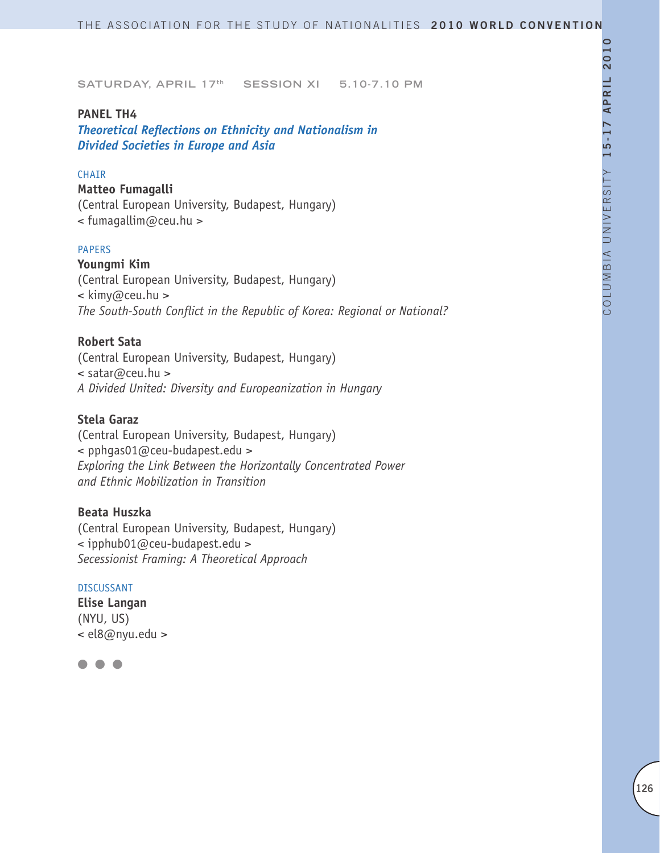#### **PANEL TH4**

*Theoretical Reflections on Ethnicity and Nationalism in Divided Societies in Europe and Asia*

### **CHAIR**

## **Matteo Fumagalli**

(Central European University, Budapest, Hungary) < fumagallim@ceu.hu >

### PAPERS

**Youngmi Kim** (Central European University, Budapest, Hungary) < kimy@ceu.hu > *The South-South Conflict in the Republic of Korea: Regional or National?*

### **Robert Sata**

(Central European University, Budapest, Hungary) < satar@ceu.hu > *A Divided United: Diversity and Europeanization in Hungary*

## **Stela Garaz**

(Central European University, Budapest, Hungary) < pphgas01@ceu-budapest.edu > *Exploring the Link Between the Horizontally Concentrated Power and Ethnic Mobilization in Transition* 

### **Beata Huszka**

(Central European University, Budapest, Hungary) < ipphub01@ceu-budapest.edu > *Secessionist Framing: A Theoretical Approach*

#### DISCUSSANT

**Elise Langan** (NYU, US) < el8@nyu.edu >

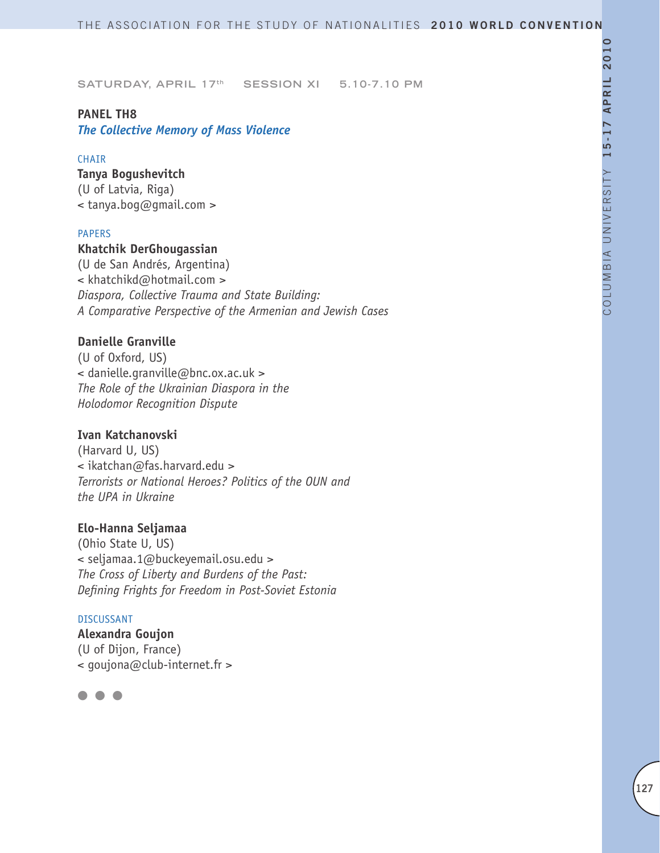## **PANEL TH8**

*The Collective Memory of Mass Violence*

### **CHAIR**

**Tanya Bogushevitch** (U of Latvia, Riga) < tanya.bog@gmail.com >

#### PAPERS

### **Khatchik DerGhougassian**

(U de San Andrés, Argentina) < khatchikd@hotmail.com > *Diaspora, Collective Trauma and State Building: A Comparative Perspective of the Armenian and Jewish Cases*

## **Danielle Granville**

(U of Oxford, US) < danielle.granville@bnc.ox.ac.uk > *The Role of the Ukrainian Diaspora in the Holodomor Recognition Dispute*

### **Ivan Katchanovski**

(Harvard U, US) < ikatchan@fas.harvard.edu > *Terrorists or National Heroes? Politics of the OUN and the UPA in Ukraine*

## **Elo-Hanna Seljamaa**

(Ohio State U, US) < seljamaa.1@buckeyemail.osu.edu > *The Cross of Liberty and Burdens of the Past: Defining Frights for Freedom in Post-Soviet Estonia* 

#### DISCUSSANT

**Alexandra Goujon** (U of Dijon, France) < goujona@club-internet.fr >

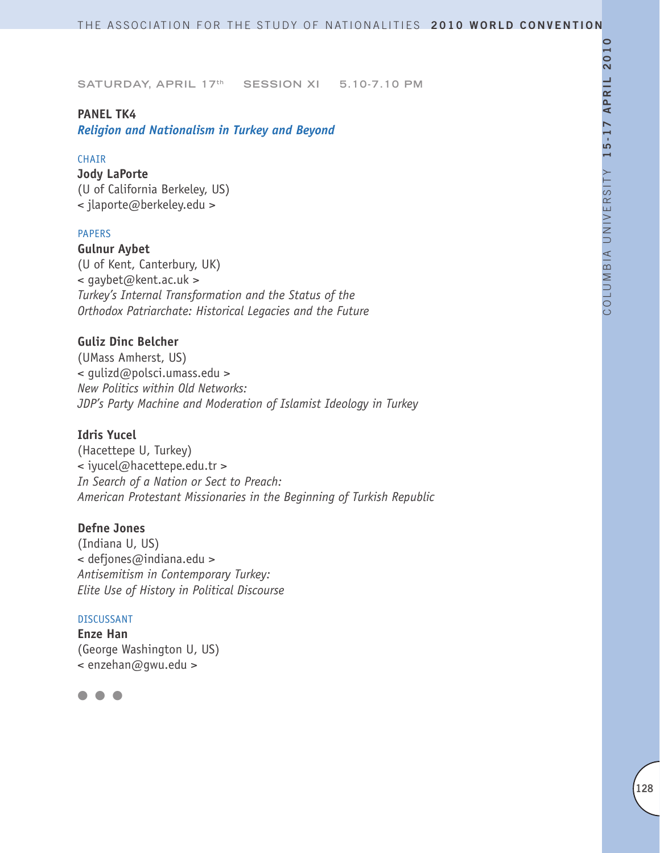#### **PANEL TK4**

*Religion and Nationalism in Turkey and Beyond*

#### CHAIR

**Jody LaPorte**  (U of California Berkeley, US) < jlaporte@berkeley.edu >

#### PAPERS

**Gulnur Aybet**

(U of Kent, Canterbury, UK) < gaybet@kent.ac.uk > *Turkey's Internal Transformation and the Status of the Orthodox Patriarchate: Historical Legacies and the Future*

#### **Guliz Dinc Belcher**

(UMass Amherst, US) < gulizd@polsci.umass.edu > *New Politics within Old Networks: JDP's Party Machine and Moderation of Islamist Ideology in Turkey*

#### **Idris Yucel**

(Hacettepe U, Turkey) < iyucel@hacettepe.edu.tr > *In Search of a Nation or Sect to Preach: American Protestant Missionaries in the Beginning of Turkish Republic*

## **Defne Jones**

(Indiana U, US) < defjones@indiana.edu > *Antisemitism in Contemporary Turkey: Elite Use of History in Political Discourse*

#### DISCUSSANT

**Enze Han** (George Washington U, US) < enzehan@gwu.edu >